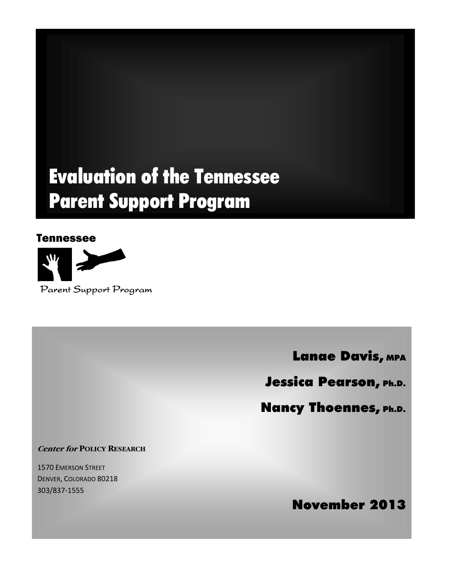# Evaluation of the Tennessee Parent Support Program

## Tennessee



Lanae Davis, MPA

Jessica Pearson, Ph.D.

Nancy Thoennes, Ph.D.

**Center for POLICY RESEARCH**

1570 EMERSON STREET DENVER, COLORADO 80218 303/837‐1555

November 2013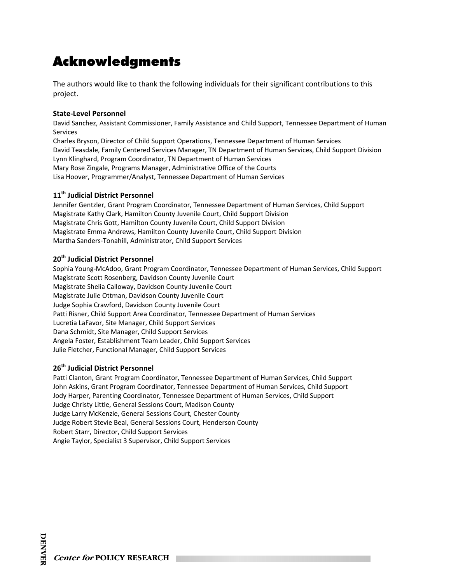## Acknowledgments

The authors would like to thank the following individuals for their significant contributions to this project.

#### **State‐Level Personnel**

David Sanchez, Assistant Commissioner, Family Assistance and Child Support, Tennessee Department of Human Services

Charles Bryson, Director of Child Support Operations, Tennessee Department of Human Services David Teasdale, Family Centered Services Manager, TN Department of Human Services, Child Support Division Lynn Klinghard, Program Coordinator, TN Department of Human Services Mary Rose Zingale, Programs Manager, Administrative Office of the Courts Lisa Hoover, Programmer/Analyst, Tennessee Department of Human Services

#### **11th Judicial District Personnel**

Jennifer Gentzler, Grant Program Coordinator, Tennessee Department of Human Services, Child Support Magistrate Kathy Clark, Hamilton County Juvenile Court, Child Support Division Magistrate Chris Gott, Hamilton County Juvenile Court, Child Support Division Magistrate Emma Andrews, Hamilton County Juvenile Court, Child Support Division Martha Sanders‐Tonahill, Administrator, Child Support Services

#### **20th Judicial District Personnel**

Sophia Young‐McAdoo, Grant Program Coordinator, Tennessee Department of Human Services, Child Support Magistrate Scott Rosenberg, Davidson County Juvenile Court Magistrate Shelia Calloway, Davidson County Juvenile Court Magistrate Julie Ottman, Davidson County Juvenile Court Judge Sophia Crawford, Davidson County Juvenile Court Patti Risner, Child Support Area Coordinator, Tennessee Department of Human Services Lucretia LaFavor, Site Manager, Child Support Services Dana Schmidt, Site Manager, Child Support Services Angela Foster, Establishment Team Leader, Child Support Services Julie Fletcher, Functional Manager, Child Support Services

#### **26th Judicial District Personnel**

Patti Clanton, Grant Program Coordinator, Tennessee Department of Human Services, Child Support John Askins, Grant Program Coordinator, Tennessee Department of Human Services, Child Support Jody Harper, Parenting Coordinator, Tennessee Department of Human Services, Child Support Judge Christy Little, General Sessions Court, Madison County Judge Larry McKenzie, General Sessions Court, Chester County Judge Robert Stevie Beal, General Sessions Court, Henderson County Robert Starr, Director, Child Support Services Angie Taylor, Specialist 3 Supervisor, Child Support Services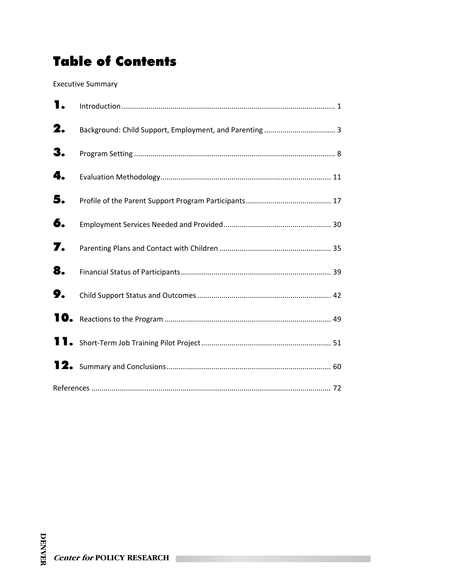# Table of Contents

Executive Summary

| 1. |  |
|----|--|
| 2. |  |
| 3. |  |
| 4. |  |
| 5. |  |
| 6. |  |
| 7. |  |
| 8. |  |
| 9. |  |
|    |  |
|    |  |
|    |  |
|    |  |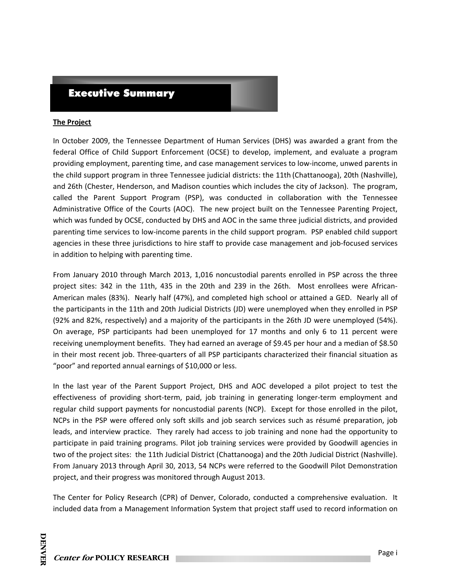### Executive Summary

#### **The Project**

In October 2009, the Tennessee Department of Human Services (DHS) was awarded a grant from the federal Office of Child Support Enforcement (OCSE) to develop, implement, and evaluate a program providing employment, parenting time, and case management services to low‐income, unwed parents in the child support program in three Tennessee judicial districts: the 11th (Chattanooga), 20th (Nashville), and 26th (Chester, Henderson, and Madison counties which includes the city of Jackson). The program, called the Parent Support Program (PSP), was conducted in collaboration with the Tennessee Administrative Office of the Courts (AOC). The new project built on the Tennessee Parenting Project, which was funded by OCSE, conducted by DHS and AOC in the same three judicial districts, and provided parenting time services to low-income parents in the child support program. PSP enabled child support agencies in these three jurisdictions to hire staff to provide case management and job-focused services in addition to helping with parenting time.

From January 2010 through March 2013, 1,016 noncustodial parents enrolled in PSP across the three project sites: 342 in the 11th, 435 in the 20th and 239 in the 26th. Most enrollees were African-American males (83%). Nearly half (47%), and completed high school or attained a GED. Nearly all of the participants in the 11th and 20th Judicial Districts (JD) were unemployed when they enrolled in PSP (92% and 82%, respectively) and a majority of the participants in the 26th JD were unemployed (54%). On average, PSP participants had been unemployed for 17 months and only 6 to 11 percent were receiving unemployment benefits. They had earned an average of \$9.45 per hour and a median of \$8.50 in their most recent job. Three‐quarters of all PSP participants characterized their financial situation as "poor" and reported annual earnings of \$10,000 or less.

In the last year of the Parent Support Project, DHS and AOC developed a pilot project to test the effectiveness of providing short-term, paid, job training in generating longer-term employment and regular child support payments for noncustodial parents (NCP). Except for those enrolled in the pilot, NCPs in the PSP were offered only soft skills and job search services such as résumé preparation, job leads, and interview practice. They rarely had access to job training and none had the opportunity to participate in paid training programs. Pilot job training services were provided by Goodwill agencies in two of the project sites: the 11th Judicial District (Chattanooga) and the 20th Judicial District (Nashville). From January 2013 through April 30, 2013, 54 NCPs were referred to the Goodwill Pilot Demonstration project, and their progress was monitored through August 2013.

The Center for Policy Research (CPR) of Denver, Colorado, conducted a comprehensive evaluation. It included data from a Management Information System that project staff used to record information on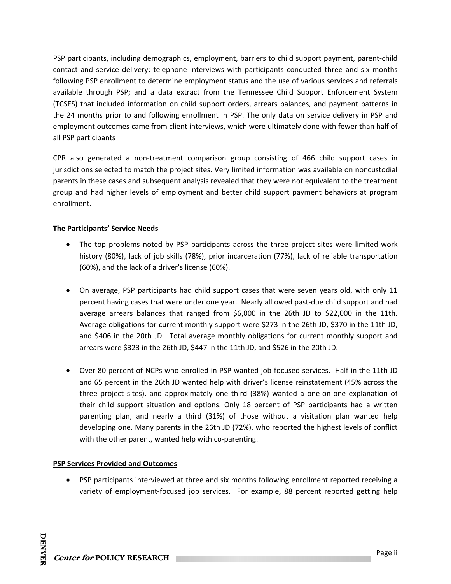PSP participants, including demographics, employment, barriers to child support payment, parent‐child contact and service delivery; telephone interviews with participants conducted three and six months following PSP enrollment to determine employment status and the use of various services and referrals available through PSP; and a data extract from the Tennessee Child Support Enforcement System (TCSES) that included information on child support orders, arrears balances, and payment patterns in the 24 months prior to and following enrollment in PSP. The only data on service delivery in PSP and employment outcomes came from client interviews, which were ultimately done with fewer than half of all PSP participants

CPR also generated a non‐treatment comparison group consisting of 466 child support cases in jurisdictions selected to match the project sites. Very limited information was available on noncustodial parents in these cases and subsequent analysis revealed that they were not equivalent to the treatment group and had higher levels of employment and better child support payment behaviors at program enrollment.

#### **The Participants' Service Needs**

- The top problems noted by PSP participants across the three project sites were limited work history (80%), lack of job skills (78%), prior incarceration (77%), lack of reliable transportation (60%), and the lack of a driver's license (60%).
- On average, PSP participants had child support cases that were seven years old, with only 11 percent having cases that were under one year. Nearly all owed past-due child support and had average arrears balances that ranged from \$6,000 in the 26th JD to \$22,000 in the 11th. Average obligations for current monthly support were \$273 in the 26th JD, \$370 in the 11th JD, and \$406 in the 20th JD. Total average monthly obligations for current monthly support and arrears were \$323 in the 26th JD, \$447 in the 11th JD, and \$526 in the 20th JD.
- Over 80 percent of NCPs who enrolled in PSP wanted job-focused services. Half in the 11th JD and 65 percent in the 26th JD wanted help with driver's license reinstatement (45% across the three project sites), and approximately one third (38%) wanted a one‐on‐one explanation of their child support situation and options. Only 18 percent of PSP participants had a written parenting plan, and nearly a third (31%) of those without a visitation plan wanted help developing one. Many parents in the 26th JD (72%), who reported the highest levels of conflict with the other parent, wanted help with co-parenting.

#### **PSP Services Provided and Outcomes**

 PSP participants interviewed at three and six months following enrollment reported receiving a variety of employment-focused job services. For example, 88 percent reported getting help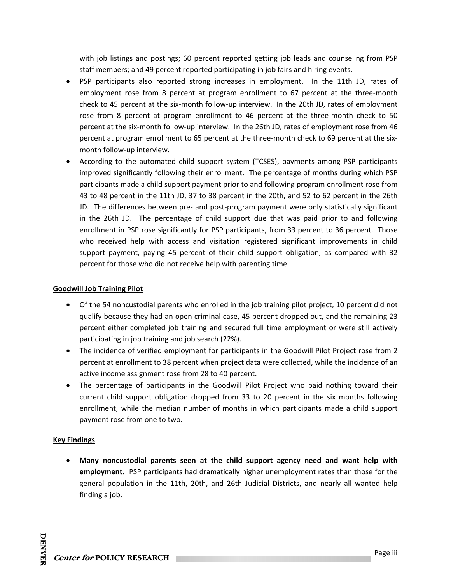with job listings and postings; 60 percent reported getting job leads and counseling from PSP staff members; and 49 percent reported participating in job fairs and hiring events.

- PSP participants also reported strong increases in employment. In the 11th JD, rates of employment rose from 8 percent at program enrollment to 67 percent at the three-month check to 45 percent at the six‐month follow‐up interview. In the 20th JD, rates of employment rose from 8 percent at program enrollment to 46 percent at the three-month check to 50 percent at the six‐month follow‐up interview. In the 26th JD, rates of employment rose from 46 percent at program enrollment to 65 percent at the three-month check to 69 percent at the sixmonth follow‐up interview.
- According to the automated child support system (TCSES), payments among PSP participants improved significantly following their enrollment. The percentage of months during which PSP participants made a child support payment prior to and following program enrollment rose from 43 to 48 percent in the 11th JD, 37 to 38 percent in the 20th, and 52 to 62 percent in the 26th JD. The differences between pre‐ and post‐program payment were only statistically significant in the 26th JD. The percentage of child support due that was paid prior to and following enrollment in PSP rose significantly for PSP participants, from 33 percent to 36 percent. Those who received help with access and visitation registered significant improvements in child support payment, paying 45 percent of their child support obligation, as compared with 32 percent for those who did not receive help with parenting time.

#### **Goodwill Job Training Pilot**

- Of the 54 noncustodial parents who enrolled in the job training pilot project, 10 percent did not qualify because they had an open criminal case, 45 percent dropped out, and the remaining 23 percent either completed job training and secured full time employment or were still actively participating in job training and job search (22%).
- The incidence of verified employment for participants in the Goodwill Pilot Project rose from 2 percent at enrollment to 38 percent when project data were collected, while the incidence of an active income assignment rose from 28 to 40 percent.
- The percentage of participants in the Goodwill Pilot Project who paid nothing toward their current child support obligation dropped from 33 to 20 percent in the six months following enrollment, while the median number of months in which participants made a child support payment rose from one to two.

#### **Key Findings**

 **Many noncustodial parents seen at the child support agency need and want help with employment.** PSP participants had dramatically higher unemployment rates than those for the general population in the 11th, 20th, and 26th Judicial Districts, and nearly all wanted help finding a job.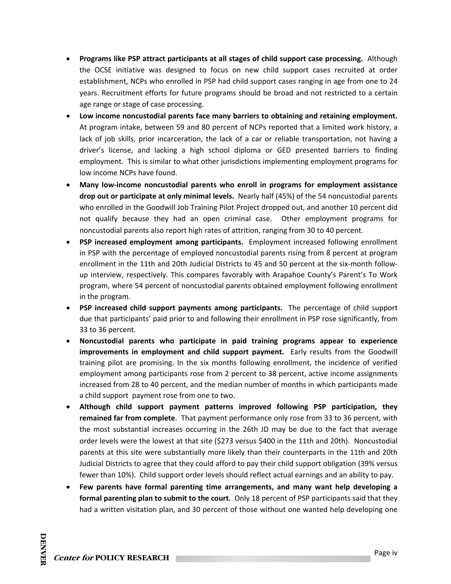- **Programs like PSP attract participants at all stages of child support case processing.** Although the OCSE initiative was designed to focus on new child support cases recruited at order establishment, NCPs who enrolled in PSP had child support cases ranging in age from one to 24 years. Recruitment efforts for future programs should be broad and not restricted to a certain age range or stage of case processing.
- **Low income noncustodial parents face many barriers to obtaining and retaining employment.**  At program intake, between 59 and 80 percent of NCPs reported that a limited work history, a lack of job skills, prior incarceration, the lack of a car or reliable transportation, not having a driver's license, and lacking a high school diploma or GED presented barriers to finding employment. This is similar to what other jurisdictions implementing employment programs for low income NCPs have found.
- **Many low‐income noncustodial parents who enroll in programs for employment assistance drop out or participate at only minimal levels.** Nearly half (45%) of the 54 noncustodial parents who enrolled in the Goodwill Job Training Pilot Project dropped out, and another 10 percent did not qualify because they had an open criminal case. Other employment programs for noncustodial parents also report high rates of attrition, ranging from 30 to 40 percent.
- **PSP increased employment among participants.** Employment increased following enrollment in PSP with the percentage of employed noncustodial parents rising from 8 percent at program enrollment in the 11th and 20th Judicial Districts to 45 and 50 percent at the six-month followup interview, respectively. This compares favorably with Arapahoe County's Parent's To Work program, where 54 percent of noncustodial parents obtained employment following enrollment in the program.
- **PSP increased child support payments among participants.**  The percentage of child support due that participants' paid prior to and following their enrollment in PSP rose significantly, from 33 to 36 percent.
- **Noncustodial parents who participate in paid training programs appear to experience improvements in employment and child support payment.**  Early results from the Goodwill training pilot are promising. In the six months following enrollment, the incidence of verified employment among participants rose from 2 percent to 38 percent, active income assignments increased from 28 to 40 percent, and the median number of months in which participants made a child support payment rose from one to two.
- **Although child support payment patterns improved following PSP participation, they remained far from complete**. That payment performance only rose from 33 to 36 percent, with the most substantial increases occurring in the 26th JD may be due to the fact that average order levels were the lowest at that site (\$273 versus \$400 in the 11th and 20th). Noncustodial parents at this site were substantially more likely than their counterparts in the 11th and 20th Judicial Districts to agree that they could afford to pay their child support obligation (39% versus fewer than 10%). Child support order levels should reflect actual earnings and an ability to pay.
- **Few parents have formal parenting time arrangements, and many want help developing a formal parenting plan to submit to the court.** Only 18 percent of PSP participants said that they had a written visitation plan, and 30 percent of those without one wanted help developing one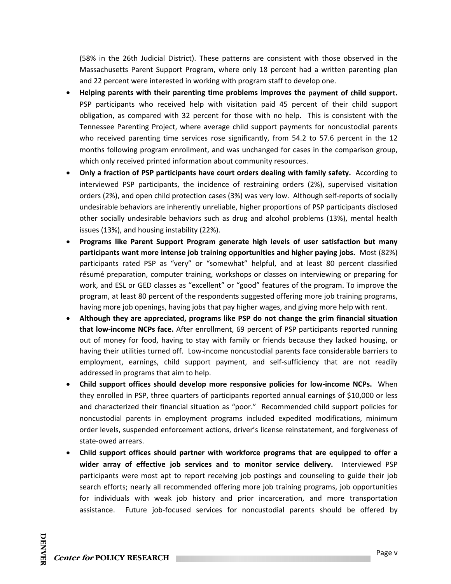(58% in the 26th Judicial District). These patterns are consistent with those observed in the Massachusetts Parent Support Program, where only 18 percent had a written parenting plan and 22 percent were interested in working with program staff to develop one.

- **Helping parents with their parenting time problems improves the payment of child support.**  PSP participants who received help with visitation paid 45 percent of their child support obligation, as compared with 32 percent for those with no help. This is consistent with the Tennessee Parenting Project, where average child support payments for noncustodial parents who received parenting time services rose significantly, from 54.2 to 57.6 percent in the 12 months following program enrollment, and was unchanged for cases in the comparison group, which only received printed information about community resources.
- **Only a fraction of PSP participants have court orders dealing with family safety.** According to interviewed PSP participants, the incidence of restraining orders (2%), supervised visitation orders (2%), and open child protection cases (3%) was very low. Although self‐reports of socially undesirable behaviors are inherently unreliable, higher proportions of PSP participants disclosed other socially undesirable behaviors such as drug and alcohol problems (13%), mental health issues (13%), and housing instability (22%).
- **Programs like Parent Support Program generate high levels of user satisfaction but many participants want more intense job training opportunities and higher paying jobs.** Most (82%) participants rated PSP as "very" or "somewhat" helpful, and at least 80 percent classified résumé preparation, computer training, workshops or classes on interviewing or preparing for work, and ESL or GED classes as "excellent" or "good" features of the program. To improve the program, at least 80 percent of the respondents suggested offering more job training programs, having more job openings, having jobs that pay higher wages, and giving more help with rent.
- **Although they are appreciated, programs like PSP do not change the grim financial situation that low‐income NCPs face.** After enrollment, 69 percent of PSP participants reported running out of money for food, having to stay with family or friends because they lacked housing, or having their utilities turned off. Low‐income noncustodial parents face considerable barriers to employment, earnings, child support payment, and self-sufficiency that are not readily addressed in programs that aim to help.
- **Child support offices should develop more responsive policies for low‐income NCPs.** When they enrolled in PSP, three quarters of participants reported annual earnings of \$10,000 or less and characterized their financial situation as "poor." Recommended child support policies for noncustodial parents in employment programs included expedited modifications, minimum order levels, suspended enforcement actions, driver's license reinstatement, and forgiveness of state‐owed arrears.
- **Child support offices should partner with workforce programs that are equipped to offer a wider array of effective job services and to monitor service delivery.**  Interviewed PSP participants were most apt to report receiving job postings and counseling to guide their job search efforts; nearly all recommended offering more job training programs, job opportunities for individuals with weak job history and prior incarceration, and more transportation assistance. Future job-focused services for noncustodial parents should be offered by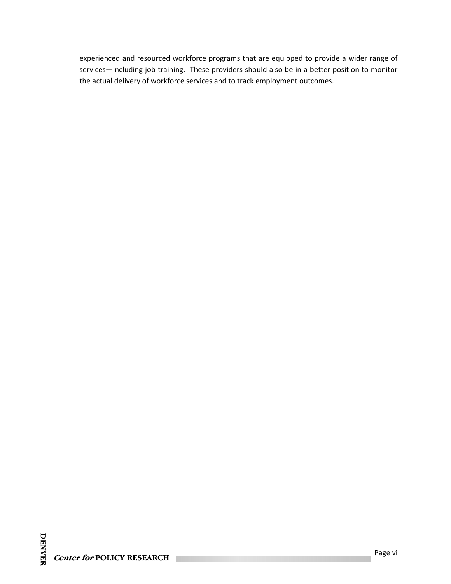experienced and resourced workforce programs that are equipped to provide a wider range of services—including job training. These providers should also be in a better position to monitor the actual delivery of workforce services and to track employment outcomes.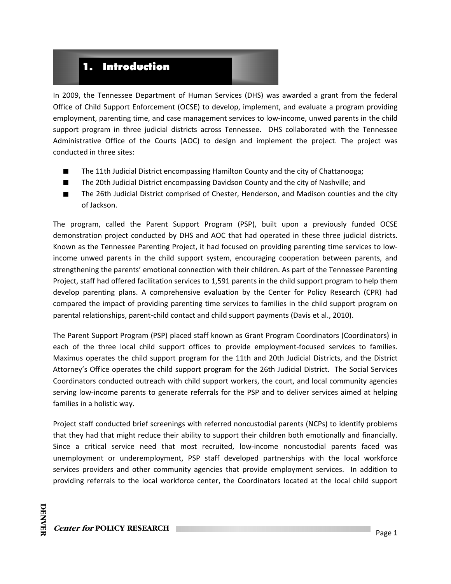## 1. Introduction

In 2009, the Tennessee Department of Human Services (DHS) was awarded a grant from the federal Office of Child Support Enforcement (OCSE) to develop, implement, and evaluate a program providing employment, parenting time, and case management services to low-income, unwed parents in the child support program in three judicial districts across Tennessee. DHS collaborated with the Tennessee Administrative Office of the Courts (AOC) to design and implement the project. The project was conducted in three sites:

- The 11th Judicial District encompassing Hamilton County and the city of Chattanooga;
- $\blacksquare$ The 20th Judicial District encompassing Davidson County and the city of Nashville; and
- The 26th Judicial District comprised of Chester, Henderson, and Madison counties and the city  $\blacksquare$ of Jackson.

The program, called the Parent Support Program (PSP), built upon a previously funded OCSE demonstration project conducted by DHS and AOC that had operated in these three judicial districts. Known as the Tennessee Parenting Project, it had focused on providing parenting time services to low‐ income unwed parents in the child support system, encouraging cooperation between parents, and strengthening the parents' emotional connection with their children. As part of the Tennessee Parenting Project, staff had offered facilitation services to 1,591 parents in the child support program to help them develop parenting plans. A comprehensive evaluation by the Center for Policy Research (CPR) had compared the impact of providing parenting time services to families in the child support program on parental relationships, parent‐child contact and child support payments (Davis et al., 2010).

The Parent Support Program (PSP) placed staff known as Grant Program Coordinators (Coordinators) in each of the three local child support offices to provide employment-focused services to families. Maximus operates the child support program for the 11th and 20th Judicial Districts, and the District Attorney's Office operates the child support program for the 26th Judicial District. The Social Services Coordinators conducted outreach with child support workers, the court, and local community agencies serving low-income parents to generate referrals for the PSP and to deliver services aimed at helping families in a holistic way.

Project staff conducted brief screenings with referred noncustodial parents (NCPs) to identify problems that they had that might reduce their ability to support their children both emotionally and financially. Since a critical service need that most recruited, low-income noncustodial parents faced was unemployment or underemployment, PSP staff developed partnerships with the local workforce services providers and other community agencies that provide employment services. In addition to providing referrals to the local workforce center, the Coordinators located at the local child support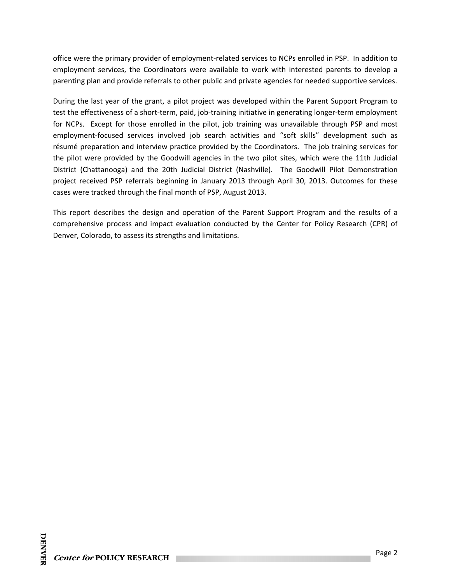office were the primary provider of employment‐related services to NCPs enrolled in PSP. In addition to employment services, the Coordinators were available to work with interested parents to develop a parenting plan and provide referrals to other public and private agencies for needed supportive services.

During the last year of the grant, a pilot project was developed within the Parent Support Program to test the effectiveness of a short-term, paid, job-training initiative in generating longer-term employment for NCPs. Except for those enrolled in the pilot, job training was unavailable through PSP and most employment-focused services involved job search activities and "soft skills" development such as résumé preparation and interview practice provided by the Coordinators. The job training services for the pilot were provided by the Goodwill agencies in the two pilot sites, which were the 11th Judicial District (Chattanooga) and the 20th Judicial District (Nashville). The Goodwill Pilot Demonstration project received PSP referrals beginning in January 2013 through April 30, 2013. Outcomes for these cases were tracked through the final month of PSP, August 2013.

This report describes the design and operation of the Parent Support Program and the results of a comprehensive process and impact evaluation conducted by the Center for Policy Research (CPR) of Denver, Colorado, to assess its strengths and limitations.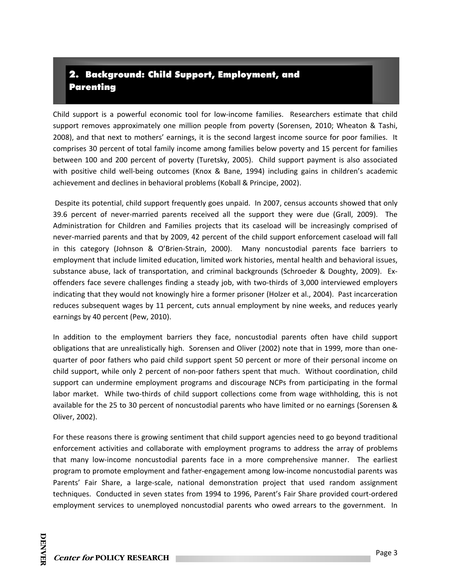## 2. Background: Child Support, Employment, and Parenting

Child support is a powerful economic tool for low‐income families. Researchers estimate that child support removes approximately one million people from poverty (Sorensen, 2010; Wheaton & Tashi, 2008), and that next to mothers' earnings, it is the second largest income source for poor families. It comprises 30 percent of total family income among families below poverty and 15 percent for families between 100 and 200 percent of poverty (Turetsky, 2005). Child support payment is also associated with positive child well-being outcomes (Knox & Bane, 1994) including gains in children's academic achievement and declines in behavioral problems (Koball & Principe, 2002).

Despite its potential, child support frequently goes unpaid. In 2007, census accounts showed that only 39.6 percent of never-married parents received all the support they were due (Grall, 2009). The Administration for Children and Families projects that its caseload will be increasingly comprised of never‐married parents and that by 2009, 42 percent of the child support enforcement caseload will fall in this category (Johnson & O'Brien-Strain, 2000). Many noncustodial parents face barriers to employment that include limited education, limited work histories, mental health and behavioral issues, substance abuse, lack of transportation, and criminal backgrounds (Schroeder & Doughty, 2009). Exoffenders face severe challenges finding a steady job, with two‐thirds of 3,000 interviewed employers indicating that they would not knowingly hire a former prisoner (Holzer et al., 2004). Past incarceration reduces subsequent wages by 11 percent, cuts annual employment by nine weeks, and reduces yearly earnings by 40 percent (Pew, 2010).

In addition to the employment barriers they face, noncustodial parents often have child support obligations that are unrealistically high. Sorensen and Oliver (2002) note that in 1999, more than one‐ quarter of poor fathers who paid child support spent 50 percent or more of their personal income on child support, while only 2 percent of non‐poor fathers spent that much. Without coordination, child support can undermine employment programs and discourage NCPs from participating in the formal labor market. While two-thirds of child support collections come from wage withholding, this is not available for the 25 to 30 percent of noncustodial parents who have limited or no earnings (Sorensen & Oliver, 2002).

For these reasons there is growing sentiment that child support agencies need to go beyond traditional enforcement activities and collaborate with employment programs to address the array of problems that many low-income noncustodial parents face in a more comprehensive manner. The earliest program to promote employment and father‐engagement among low‐income noncustodial parents was Parents' Fair Share, a large-scale, national demonstration project that used random assignment techniques. Conducted in seven states from 1994 to 1996, Parent's Fair Share provided court-ordered employment services to unemployed noncustodial parents who owed arrears to the government. In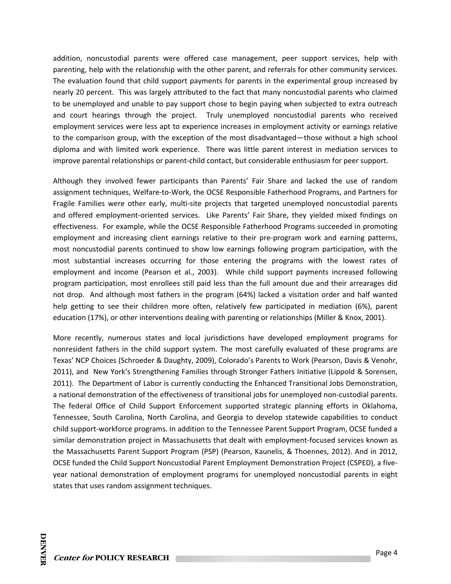addition, noncustodial parents were offered case management, peer support services, help with parenting, help with the relationship with the other parent, and referrals for other community services. The evaluation found that child support payments for parents in the experimental group increased by nearly 20 percent. This was largely attributed to the fact that many noncustodial parents who claimed to be unemployed and unable to pay support chose to begin paying when subjected to extra outreach and court hearings through the project. Truly unemployed noncustodial parents who received employment services were less apt to experience increases in employment activity or earnings relative to the comparison group, with the exception of the most disadvantaged—those without a high school diploma and with limited work experience. There was little parent interest in mediation services to improve parental relationships or parent‐child contact, but considerable enthusiasm for peer support.

Although they involved fewer participants than Parents' Fair Share and lacked the use of random assignment techniques, Welfare‐to‐Work, the OCSE Responsible Fatherhood Programs, and Partners for Fragile Families were other early, multi‐site projects that targeted unemployed noncustodial parents and offered employment-oriented services. Like Parents' Fair Share, they yielded mixed findings on effectiveness. For example, while the OCSE Responsible Fatherhood Programs succeeded in promoting employment and increasing client earnings relative to their pre-program work and earning patterns, most noncustodial parents continued to show low earnings following program participation, with the most substantial increases occurring for those entering the programs with the lowest rates of employment and income (Pearson et al., 2003). While child support payments increased following program participation, most enrollees still paid less than the full amount due and their arrearages did not drop. And although most fathers in the program (64%) lacked a visitation order and half wanted help getting to see their children more often, relatively few participated in mediation (6%), parent education (17%), or other interventions dealing with parenting or relationships (Miller & Knox, 2001).

More recently, numerous states and local jurisdictions have developed employment programs for nonresident fathers in the child support system. The most carefully evaluated of these programs are Texas' NCP Choices (Schroeder & Daughty, 2009), Colorado's Parents to Work (Pearson, Davis & Venohr, 2011), and New York's Strengthening Families through Stronger Fathers Initiative (Lippold & Sorensen, 2011). The Department of Labor is currently conducting the Enhanced Transitional Jobs Demonstration, a national demonstration of the effectiveness of transitional jobs for unemployed non‐custodial parents. The federal Office of Child Support Enforcement supported strategic planning efforts in Oklahoma, Tennessee, South Carolina, North Carolina, and Georgia to develop statewide capabilities to conduct child support‐workforce programs. In addition to the Tennessee Parent Support Program, OCSE funded a similar demonstration project in Massachusetts that dealt with employment-focused services known as the Massachusetts Parent Support Program (PSP) (Pearson, Kaunelis, & Thoennes, 2012). And in 2012, OCSE funded the Child Support Noncustodial Parent Employment Demonstration Project (CSPED), a five‐ year national demonstration of employment programs for unemployed noncustodial parents in eight states that uses random assignment techniques.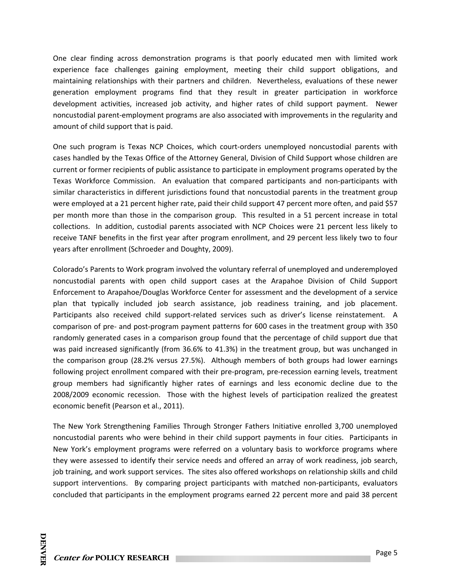One clear finding across demonstration programs is that poorly educated men with limited work experience face challenges gaining employment, meeting their child support obligations, and maintaining relationships with their partners and children. Nevertheless, evaluations of these newer generation employment programs find that they result in greater participation in workforce development activities, increased job activity, and higher rates of child support payment. Newer noncustodial parent‐employment programs are also associated with improvements in the regularity and amount of child support that is paid.

One such program is Texas NCP Choices, which court-orders unemployed noncustodial parents with cases handled by the Texas Office of the Attorney General, Division of Child Support whose children are current or former recipients of public assistance to participate in employment programs operated by the Texas Workforce Commission. An evaluation that compared participants and non-participants with similar characteristics in different jurisdictions found that noncustodial parents in the treatment group were employed at a 21 percent higher rate, paid their child support 47 percent more often, and paid \$57 per month more than those in the comparison group. This resulted in a 51 percent increase in total collections. In addition, custodial parents associated with NCP Choices were 21 percent less likely to receive TANF benefits in the first year after program enrollment, and 29 percent less likely two to four years after enrollment (Schroeder and Doughty, 2009).

Colorado's Parents to Work program involved the voluntary referral of unemployed and underemployed noncustodial parents with open child support cases at the Arapahoe Division of Child Support Enforcement to Arapahoe/Douglas Workforce Center for assessment and the development of a service plan that typically included job search assistance, job readiness training, and job placement. Participants also received child support-related services such as driver's license reinstatement. A comparison of pre‐ and post‐program payment patterns for 600 cases in the treatment group with 350 randomly generated cases in a comparison group found that the percentage of child support due that was paid increased significantly (from 36.6% to 41.3%) in the treatment group, but was unchanged in the comparison group (28.2% versus 27.5%). Although members of both groups had lower earnings following project enrollment compared with their pre-program, pre-recession earning levels, treatment group members had significantly higher rates of earnings and less economic decline due to the 2008/2009 economic recession. Those with the highest levels of participation realized the greatest economic benefit (Pearson et al., 2011).

The New York Strengthening Families Through Stronger Fathers Initiative enrolled 3,700 unemployed noncustodial parents who were behind in their child support payments in four cities. Participants in New York's employment programs were referred on a voluntary basis to workforce programs where they were assessed to identify their service needs and offered an array of work readiness, job search, job training, and work support services. The sites also offered workshops on relationship skills and child support interventions. By comparing project participants with matched non-participants, evaluators concluded that participants in the employment programs earned 22 percent more and paid 38 percent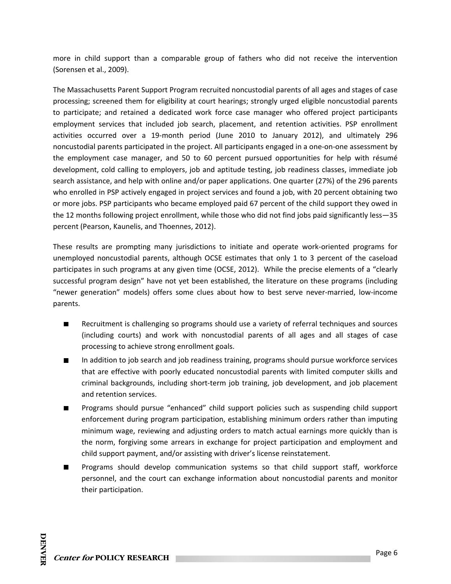more in child support than a comparable group of fathers who did not receive the intervention (Sorensen et al., 2009).

The Massachusetts Parent Support Program recruited noncustodial parents of all ages and stages of case processing; screened them for eligibility at court hearings; strongly urged eligible noncustodial parents to participate; and retained a dedicated work force case manager who offered project participants employment services that included job search, placement, and retention activities. PSP enrollment activities occurred over a 19‐month period (June 2010 to January 2012), and ultimately 296 noncustodial parents participated in the project. All participants engaged in a one‐on‐one assessment by the employment case manager, and 50 to 60 percent pursued opportunities for help with résumé development, cold calling to employers, job and aptitude testing, job readiness classes, immediate job search assistance, and help with online and/or paper applications. One quarter (27%) of the 296 parents who enrolled in PSP actively engaged in project services and found a job, with 20 percent obtaining two or more jobs. PSP participants who became employed paid 67 percent of the child support they owed in the 12 months following project enrollment, while those who did not find jobs paid significantly less—35 percent (Pearson, Kaunelis, and Thoennes, 2012).

These results are prompting many jurisdictions to initiate and operate work‐oriented programs for unemployed noncustodial parents, although OCSE estimates that only 1 to 3 percent of the caseload participates in such programs at any given time (OCSE, 2012). While the precise elements of a "clearly successful program design" have not yet been established, the literature on these programs (including "newer generation" models) offers some clues about how to best serve never‐married, low‐income parents.

- Recruitment is challenging so programs should use a variety of referral techniques and sources  $\blacksquare$ (including courts) and work with noncustodial parents of all ages and all stages of case processing to achieve strong enrollment goals.
- In addition to job search and job readiness training, programs should pursue workforce services  $\blacksquare$ that are effective with poorly educated noncustodial parents with limited computer skills and criminal backgrounds, including short‐term job training, job development, and job placement and retention services.
- $\blacksquare$ Programs should pursue "enhanced" child support policies such as suspending child support enforcement during program participation, establishing minimum orders rather than imputing minimum wage, reviewing and adjusting orders to match actual earnings more quickly than is the norm, forgiving some arrears in exchange for project participation and employment and child support payment, and/or assisting with driver's license reinstatement.
- $\blacksquare$ Programs should develop communication systems so that child support staff, workforce personnel, and the court can exchange information about noncustodial parents and monitor their participation.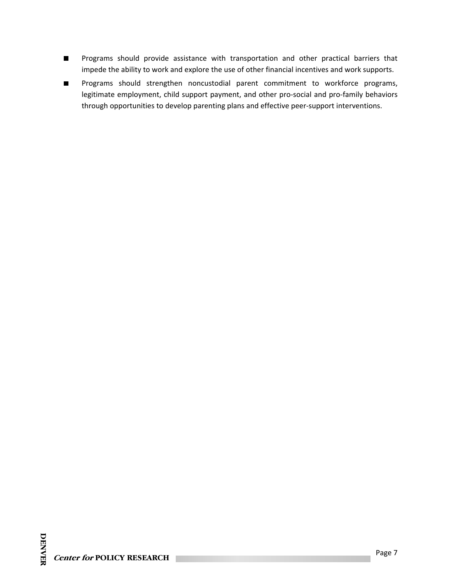- Programs should provide assistance with transportation and other practical barriers that  $\blacksquare$ impede the ability to work and explore the use of other financial incentives and work supports.
- Programs should strengthen noncustodial parent commitment to workforce programs,  $\blacksquare$ legitimate employment, child support payment, and other pro-social and pro-family behaviors through opportunities to develop parenting plans and effective peer‐support interventions.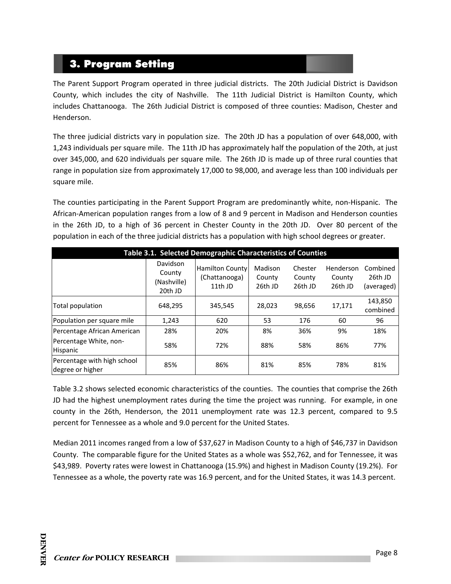## 3. Program Setting

The Parent Support Program operated in three judicial districts. The 20th Judicial District is Davidson County, which includes the city of Nashville. The 11th Judicial District is Hamilton County, which includes Chattanooga. The 26th Judicial District is composed of three counties: Madison, Chester and Henderson.

The three judicial districts vary in population size. The 20th JD has a population of over 648,000, with 1,243 individuals per square mile. The 11th JD has approximately half the population of the 20th, at just over 345,000, and 620 individuals per square mile. The 26th JD is made up of three rural counties that range in population size from approximately 17,000 to 98,000, and average less than 100 individuals per square mile.

The counties participating in the Parent Support Program are predominantly white, non‐Hispanic. The African‐American population ranges from a low of 8 and 9 percent in Madison and Henderson counties in the 26th JD, to a high of 36 percent in Chester County in the 20th JD. Over 80 percent of the population in each of the three judicial districts has a population with high school degrees or greater.

| Table 3.1. Selected Demographic Characteristics of Counties |                                              |                                                    |                              |                              |                                |                                   |  |  |
|-------------------------------------------------------------|----------------------------------------------|----------------------------------------------------|------------------------------|------------------------------|--------------------------------|-----------------------------------|--|--|
|                                                             | Davidson<br>County<br>(Nashville)<br>20th JD | <b>Hamilton County</b><br>(Chattanooga)<br>11th JD | Madison<br>County<br>26th JD | Chester<br>County<br>26th JD | Henderson<br>County<br>26th JD | Combined<br>26th JD<br>(averaged) |  |  |
| Total population                                            | 648,295                                      | 345,545                                            | 28,023                       | 98,656                       | 17,171                         | 143,850<br>combined               |  |  |
| Population per square mile                                  | 1,243                                        | 620                                                | 53                           | 176                          | 60                             | 96                                |  |  |
| Percentage African American                                 | 28%                                          | 20%                                                | 8%                           | 36%                          | 9%                             | 18%                               |  |  |
| Percentage White, non-<br>Hispanic                          | 58%                                          | 72%                                                | 88%                          | 58%                          | 86%                            | 77%                               |  |  |
| Percentage with high school<br>degree or higher             | 85%                                          | 86%                                                | 81%                          | 85%                          | 78%                            | 81%                               |  |  |

Table 3.2 shows selected economic characteristics of the counties. The counties that comprise the 26th JD had the highest unemployment rates during the time the project was running. For example, in one county in the 26th, Henderson, the 2011 unemployment rate was 12.3 percent, compared to 9.5 percent for Tennessee as a whole and 9.0 percent for the United States.

Median 2011 incomes ranged from a low of \$37,627 in Madison County to a high of \$46,737 in Davidson County. The comparable figure for the United States as a whole was \$52,762, and for Tennessee, it was \$43,989. Poverty rates were lowest in Chattanooga (15.9%) and highest in Madison County (19.2%). For Tennessee as a whole, the poverty rate was 16.9 percent, and for the United States, it was 14.3 percent.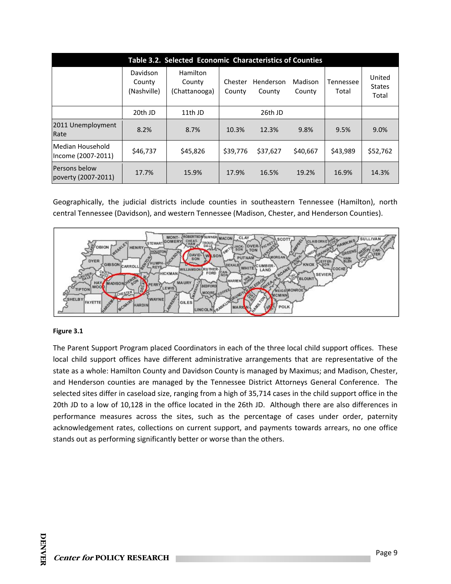|                                        | Table 3.2. Selected Economic Characteristics of Counties |                                     |                   |                     |                   |                    |                                  |  |
|----------------------------------------|----------------------------------------------------------|-------------------------------------|-------------------|---------------------|-------------------|--------------------|----------------------------------|--|
|                                        | Davidson<br>County<br>(Nashville)                        | Hamilton<br>County<br>(Chattanooga) | Chester<br>County | Henderson<br>County | Madison<br>County | Tennessee<br>Total | United<br><b>States</b><br>Total |  |
|                                        | 20th JD                                                  | 11th JD                             |                   | 26th JD             |                   |                    |                                  |  |
| 2011 Unemployment<br>Rate              | 8.2%                                                     | 8.7%                                | 10.3%             | 12.3%               | 9.8%              | 9.5%               | 9.0%                             |  |
| Median Household<br>Income (2007-2011) | \$46,737                                                 | \$45,826                            | \$39,776          | \$37,627            | \$40,667          | \$43,989           | \$52,762                         |  |
| Persons below<br>poverty (2007-2011)   | 17.7%                                                    | 15.9%                               | 17.9%             | 16.5%               | 19.2%             | 16.9%              | 14.3%                            |  |

Geographically, the judicial districts include counties in southeastern Tennessee (Hamilton), north central Tennessee (Davidson), and western Tennessee (Madison, Chester, and Henderson Counties).



#### **Figure 3.1**

The Parent Support Program placed Coordinators in each of the three local child support offices. These local child support offices have different administrative arrangements that are representative of the state as a whole: Hamilton County and Davidson County is managed by Maximus; and Madison, Chester, and Henderson counties are managed by the Tennessee District Attorneys General Conference. The selected sites differ in caseload size, ranging from a high of 35,714 cases in the child support office in the 20th JD to a low of 10,128 in the office located in the 26th JD. Although there are also differences in performance measures across the sites, such as the percentage of cases under order, paternity acknowledgement rates, collections on current support, and payments towards arrears, no one office stands out as performing significantly better or worse than the others.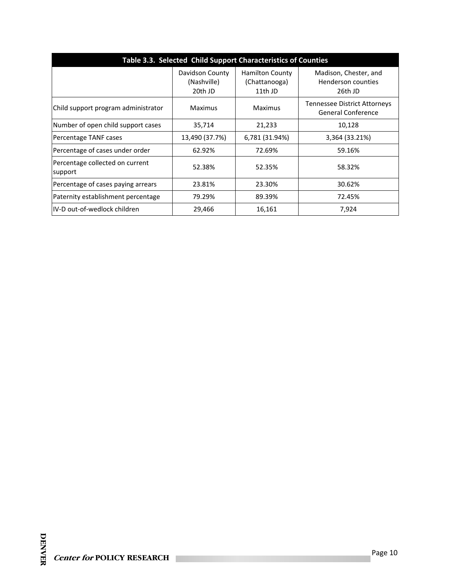| Table 3.3. Selected Child Support Characteristics of Counties |                                           |                                                    |                                                        |  |  |  |
|---------------------------------------------------------------|-------------------------------------------|----------------------------------------------------|--------------------------------------------------------|--|--|--|
|                                                               | Davidson County<br>(Nashville)<br>20th JD | <b>Hamilton County</b><br>(Chattanooga)<br>11th JD | Madison, Chester, and<br>Henderson counties<br>26th JD |  |  |  |
| Child support program administrator                           | Maximus                                   | Maximus                                            | Tennessee District Attorneys<br>General Conference     |  |  |  |
| Number of open child support cases                            | 35,714                                    | 21,233                                             | 10,128                                                 |  |  |  |
| Percentage TANF cases                                         | 13,490 (37.7%)                            | 6,781 (31.94%)                                     | 3,364 (33.21%)                                         |  |  |  |
| Percentage of cases under order                               | 62.92%                                    | 72.69%                                             | 59.16%                                                 |  |  |  |
| Percentage collected on current<br>support                    | 52.38%                                    | 52.35%                                             | 58.32%                                                 |  |  |  |
| Percentage of cases paying arrears                            | 23.81%                                    | 23.30%                                             | 30.62%                                                 |  |  |  |
| Paternity establishment percentage                            | 79.29%                                    | 89.39%                                             | 72.45%                                                 |  |  |  |
| IIV-D out-of-wedlock children                                 | 29,466                                    | 16,161                                             | 7,924                                                  |  |  |  |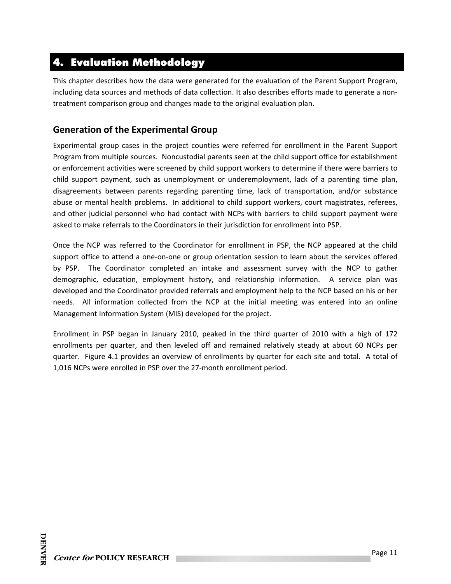## 4. Evaluation Methodology

This chapter describes how the data were generated for the evaluation of the Parent Support Program, including data sources and methods of data collection. It also describes efforts made to generate a non‐ treatment comparison group and changes made to the original evaluation plan.

### **Generation of the Experimental Group**

Experimental group cases in the project counties were referred for enrollment in the Parent Support Program from multiple sources. Noncustodial parents seen at the child support office for establishment or enforcement activities were screened by child support workers to determine if there were barriers to child support payment, such as unemployment or underemployment, lack of a parenting time plan, disagreements between parents regarding parenting time, lack of transportation, and/or substance abuse or mental health problems. In additional to child support workers, court magistrates, referees, and other judicial personnel who had contact with NCPs with barriers to child support payment were asked to make referrals to the Coordinators in their jurisdiction for enrollment into PSP.

Once the NCP was referred to the Coordinator for enrollment in PSP, the NCP appeared at the child support office to attend a one-on-one or group orientation session to learn about the services offered by PSP. The Coordinator completed an intake and assessment survey with the NCP to gather demographic, education, employment history, and relationship information. A service plan was developed and the Coordinator provided referrals and employment help to the NCP based on his or her needs. All information collected from the NCP at the initial meeting was entered into an online Management Information System (MIS) developed for the project.

Enrollment in PSP began in January 2010, peaked in the third quarter of 2010 with a high of 172 enrollments per quarter, and then leveled off and remained relatively steady at about 60 NCPs per quarter. Figure 4.1 provides an overview of enrollments by quarter for each site and total. A total of 1,016 NCPs were enrolled in PSP over the 27‐month enrollment period.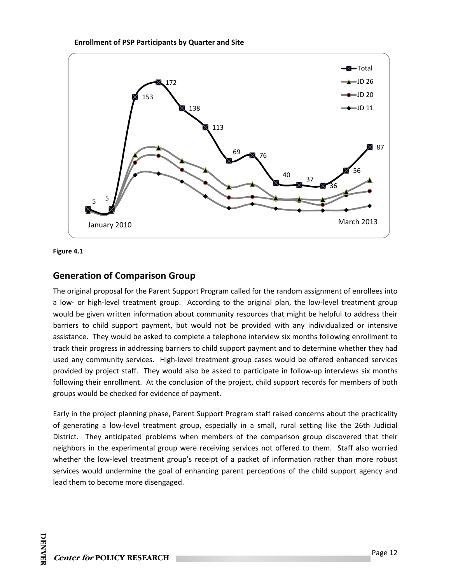





#### **Generation of Comparison Group**

The original proposal for the Parent Support Program called for the random assignment of enrollees into a low- or high-level treatment group. According to the original plan, the low-level treatment group would be given written information about community resources that might be helpful to address their barriers to child support payment, but would not be provided with any individualized or intensive assistance. They would be asked to complete a telephone interview six months following enrollment to track their progress in addressing barriers to child support payment and to determine whether they had used any community services. High-level treatment group cases would be offered enhanced services provided by project staff. They would also be asked to participate in follow‐up interviews six months following their enrollment. At the conclusion of the project, child support records for members of both groups would be checked for evidence of payment.

Early in the project planning phase, Parent Support Program staff raised concerns about the practicality of generating a low‐level treatment group, especially in a small, rural setting like the 26th Judicial District. They anticipated problems when members of the comparison group discovered that their neighbors in the experimental group were receiving services not offered to them. Staff also worried whether the low-level treatment group's receipt of a packet of information rather than more robust services would undermine the goal of enhancing parent perceptions of the child support agency and lead them to become more disengaged.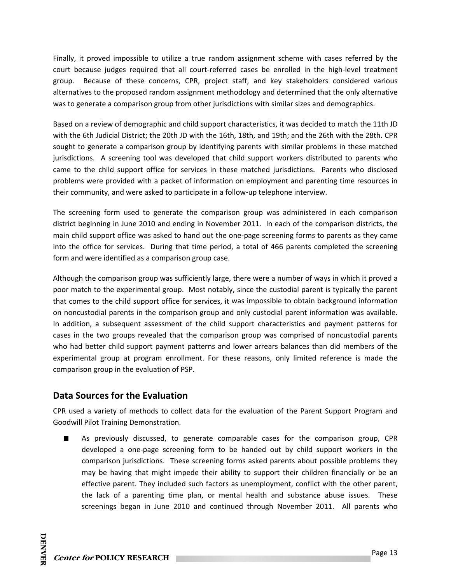Finally, it proved impossible to utilize a true random assignment scheme with cases referred by the court because judges required that all court-referred cases be enrolled in the high-level treatment group. Because of these concerns, CPR, project staff, and key stakeholders considered various alternatives to the proposed random assignment methodology and determined that the only alternative was to generate a comparison group from other jurisdictions with similar sizes and demographics.

Based on a review of demographic and child support characteristics, it was decided to match the 11th JD with the 6th Judicial District; the 20th JD with the 16th, 18th, and 19th; and the 26th with the 28th. CPR sought to generate a comparison group by identifying parents with similar problems in these matched jurisdictions. A screening tool was developed that child support workers distributed to parents who came to the child support office for services in these matched jurisdictions. Parents who disclosed problems were provided with a packet of information on employment and parenting time resources in their community, and were asked to participate in a follow‐up telephone interview.

The screening form used to generate the comparison group was administered in each comparison district beginning in June 2010 and ending in November 2011. In each of the comparison districts, the main child support office was asked to hand out the one‐page screening forms to parents as they came into the office for services. During that time period, a total of 466 parents completed the screening form and were identified as a comparison group case.

Although the comparison group was sufficiently large, there were a number of ways in which it proved a poor match to the experimental group. Most notably, since the custodial parent is typically the parent that comes to the child support office for services, it was impossible to obtain background information on noncustodial parents in the comparison group and only custodial parent information was available. In addition, a subsequent assessment of the child support characteristics and payment patterns for cases in the two groups revealed that the comparison group was comprised of noncustodial parents who had better child support payment patterns and lower arrears balances than did members of the experimental group at program enrollment. For these reasons, only limited reference is made the comparison group in the evaluation of PSP.

## **Data Sources for the Evaluation**

CPR used a variety of methods to collect data for the evaluation of the Parent Support Program and Goodwill Pilot Training Demonstration.

As previously discussed, to generate comparable cases for the comparison group, CPR developed a one‐page screening form to be handed out by child support workers in the comparison jurisdictions. These screening forms asked parents about possible problems they may be having that might impede their ability to support their children financially or be an effective parent. They included such factors as unemployment, conflict with the other parent, the lack of a parenting time plan, or mental health and substance abuse issues. These screenings began in June 2010 and continued through November 2011. All parents who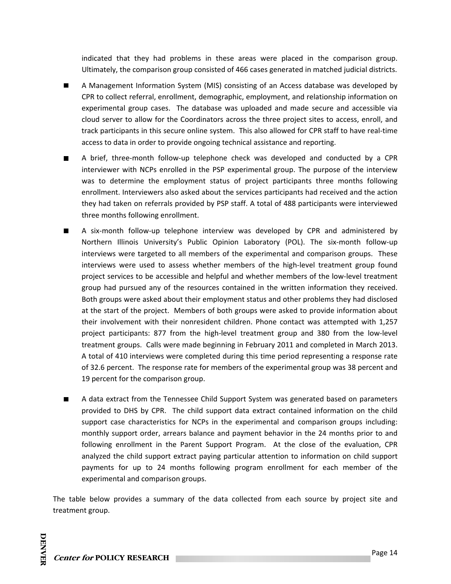indicated that they had problems in these areas were placed in the comparison group. Ultimately, the comparison group consisted of 466 cases generated in matched judicial districts.

- A Management Information System (MIS) consisting of an Access database was developed by CPR to collect referral, enrollment, demographic, employment, and relationship information on experimental group cases. The database was uploaded and made secure and accessible via cloud server to allow for the Coordinators across the three project sites to access, enroll, and track participants in this secure online system. This also allowed for CPR staff to have real‐time access to data in order to provide ongoing technical assistance and reporting.
- A brief, three‐month follow‐up telephone check was developed and conducted by a CPR П interviewer with NCPs enrolled in the PSP experimental group. The purpose of the interview was to determine the employment status of project participants three months following enrollment. Interviewers also asked about the services participants had received and the action they had taken on referrals provided by PSP staff. A total of 488 participants were interviewed three months following enrollment.
- A six‐month follow‐up telephone interview was developed by CPR and administered by Northern Illinois University's Public Opinion Laboratory (POL). The six‐month follow‐up interviews were targeted to all members of the experimental and comparison groups. These interviews were used to assess whether members of the high‐level treatment group found project services to be accessible and helpful and whether members of the low‐level treatment group had pursued any of the resources contained in the written information they received. Both groups were asked about their employment status and other problems they had disclosed at the start of the project. Members of both groups were asked to provide information about their involvement with their nonresident children. Phone contact was attempted with 1,257 project participants: 877 from the high-level treatment group and 380 from the low-level treatment groups. Calls were made beginning in February 2011 and completed in March 2013. A total of 410 interviews were completed during this time period representing a response rate of 32.6 percent. The response rate for members of the experimental group was 38 percent and 19 percent for the comparison group.
- A data extract from the Tennessee Child Support System was generated based on parameters provided to DHS by CPR. The child support data extract contained information on the child support case characteristics for NCPs in the experimental and comparison groups including: monthly support order, arrears balance and payment behavior in the 24 months prior to and following enrollment in the Parent Support Program. At the close of the evaluation, CPR analyzed the child support extract paying particular attention to information on child support payments for up to 24 months following program enrollment for each member of the experimental and comparison groups.

The table below provides a summary of the data collected from each source by project site and treatment group.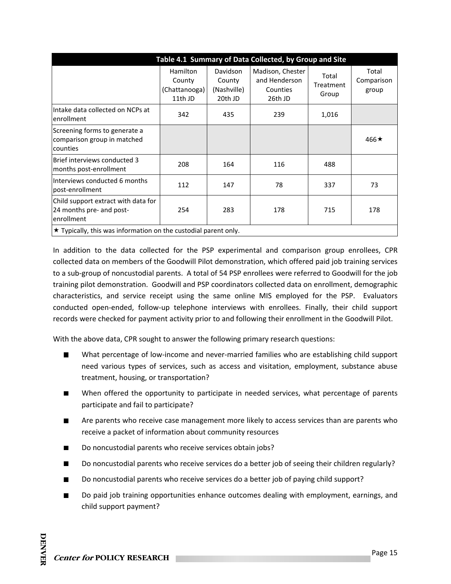| Table 4.1 Summary of Data Collected, by Group and Site                        |                                                |                                                     |                                                          |                             |                              |  |  |
|-------------------------------------------------------------------------------|------------------------------------------------|-----------------------------------------------------|----------------------------------------------------------|-----------------------------|------------------------------|--|--|
|                                                                               | Hamilton<br>County<br>(Chattanooga)<br>11th JD | <b>Davidson</b><br>County<br>(Nashville)<br>20th JD | Madison, Chester<br>and Henderson<br>Counties<br>26th JD | Total<br>Treatment<br>Group | Total<br>Comparison<br>group |  |  |
| Intake data collected on NCPs at<br>enrollment                                | 342                                            | 435                                                 | 239                                                      | 1,016                       |                              |  |  |
| Screening forms to generate a<br>comparison group in matched<br>counties      |                                                |                                                     |                                                          |                             | 466 $\star$                  |  |  |
| Brief interviews conducted 3<br>months post-enrollment                        | 208                                            | 164                                                 | 116                                                      | 488                         |                              |  |  |
| Interviews conducted 6 months<br>post-enrollment                              | 112                                            | 147                                                 | 78                                                       | 337                         | 73                           |  |  |
| Child support extract with data for<br>24 months pre- and post-<br>enrollment | 254                                            | 283                                                 | 178                                                      | 715                         | 178                          |  |  |
| $\star$ Typically, this was information on the custodial parent only.         |                                                |                                                     |                                                          |                             |                              |  |  |

In addition to the data collected for the PSP experimental and comparison group enrollees, CPR collected data on members of the Goodwill Pilot demonstration, which offered paid job training services to a sub‐group of noncustodial parents. A total of 54 PSP enrollees were referred to Goodwill for the job training pilot demonstration. Goodwill and PSP coordinators collected data on enrollment, demographic characteristics, and service receipt using the same online MIS employed for the PSP. Evaluators conducted open‐ended, follow‐up telephone interviews with enrollees. Finally, their child support records were checked for payment activity prior to and following their enrollment in the Goodwill Pilot.

With the above data, CPR sought to answer the following primary research questions:

- What percentage of low-income and never-married families who are establishing child support  $\blacksquare$ need various types of services, such as access and visitation, employment, substance abuse treatment, housing, or transportation?
- When offered the opportunity to participate in needed services, what percentage of parents  $\blacksquare$ participate and fail to participate?
- $\blacksquare$ Are parents who receive case management more likely to access services than are parents who receive a packet of information about community resources
- ٦ Do noncustodial parents who receive services obtain jobs?
- Do noncustodial parents who receive services do a better job of seeing their children regularly? ٠
- Do noncustodial parents who receive services do a better job of paying child support? m.
- Do paid job training opportunities enhance outcomes dealing with employment, earnings, and П child support payment?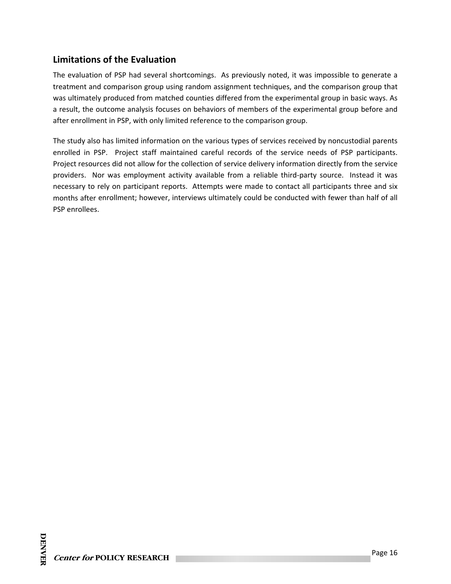## **Limitations of the Evaluation**

The evaluation of PSP had several shortcomings. As previously noted, it was impossible to generate a treatment and comparison group using random assignment techniques, and the comparison group that was ultimately produced from matched counties differed from the experimental group in basic ways. As a result, the outcome analysis focuses on behaviors of members of the experimental group before and after enrollment in PSP, with only limited reference to the comparison group.

The study also has limited information on the various types of services received by noncustodial parents enrolled in PSP. Project staff maintained careful records of the service needs of PSP participants. Project resources did not allow for the collection of service delivery information directly from the service providers. Nor was employment activity available from a reliable third-party source. Instead it was necessary to rely on participant reports. Attempts were made to contact all participants three and six months after enrollment; however, interviews ultimately could be conducted with fewer than half of all PSP enrollees.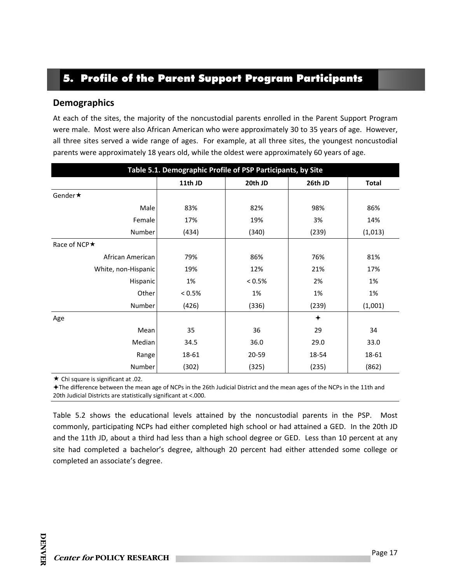## 5. Profile of the Parent Support Program Participants

#### **Demographics**

At each of the sites, the majority of the noncustodial parents enrolled in the Parent Support Program were male. Most were also African American who were approximately 30 to 35 years of age. However, all three sites served a wide range of ages. For example, at all three sites, the youngest noncustodial parents were approximately 18 years old, while the oldest were approximately 60 years of age.

| Table 5.1. Demographic Profile of PSP Participants, by Site |         |           |         |              |  |  |  |
|-------------------------------------------------------------|---------|-----------|---------|--------------|--|--|--|
|                                                             | 11th JD | 20th JD   | 26th JD | <b>Total</b> |  |  |  |
| Gender★                                                     |         |           |         |              |  |  |  |
| Male                                                        | 83%     | 82%       | 98%     | 86%          |  |  |  |
| Female                                                      | 17%     | 19%       | 3%      | 14%          |  |  |  |
| Number                                                      | (434)   | (340)     | (239)   | (1,013)      |  |  |  |
| Race of NCP $\star$                                         |         |           |         |              |  |  |  |
| African American                                            | 79%     | 86%       | 76%     | 81%          |  |  |  |
| White, non-Hispanic                                         | 19%     | 12%       | 21%     | 17%          |  |  |  |
| Hispanic                                                    | 1%      | $< 0.5\%$ | 2%      | 1%           |  |  |  |
| Other                                                       | < 0.5%  | 1%        | 1%      | 1%           |  |  |  |
| Number                                                      | (426)   | (336)     | (239)   | (1,001)      |  |  |  |
| Age                                                         |         |           | ✦       |              |  |  |  |
| Mean                                                        | 35      | 36        | 29      | 34           |  |  |  |
| Median                                                      | 34.5    | 36.0      | 29.0    | 33.0         |  |  |  |
| Range                                                       | 18-61   | 20-59     | 18-54   | 18-61        |  |  |  |
| Number                                                      | (302)   | (325)     | (235)   | (862)        |  |  |  |

 $\star$  Chi square is significant at .02.

The difference between the mean age of NCPs in the 26th Judicial District and the mean ages of the NCPs in the 11th and 20th Judicial Districts are statistically significant at <.000.

Table 5.2 shows the educational levels attained by the noncustodial parents in the PSP. Most commonly, participating NCPs had either completed high school or had attained a GED. In the 20th JD and the 11th JD, about a third had less than a high school degree or GED. Less than 10 percent at any site had completed a bachelor's degree, although 20 percent had either attended some college or completed an associate's degree.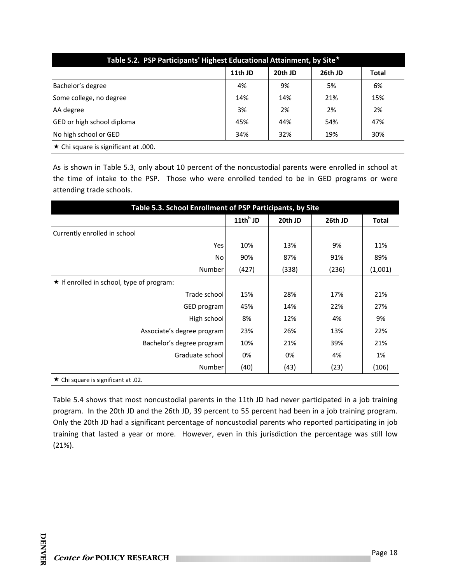| Table 5.2. PSP Participants' Highest Educational Attainment, by Site* |         |         |         |              |  |
|-----------------------------------------------------------------------|---------|---------|---------|--------------|--|
|                                                                       | 11th JD | 20th JD | 26th JD | <b>Total</b> |  |
| Bachelor's degree                                                     | 4%      | 9%      | 5%      | 6%           |  |
| Some college, no degree                                               | 14%     | 14%     | 21%     | 15%          |  |
| AA degree                                                             | 3%      | 2%      | 2%      | 2%           |  |
| GED or high school diploma                                            | 45%     | 44%     | 54%     | 47%          |  |
| No high school or GED                                                 | 34%     | 32%     | 19%     | 30%          |  |
| $\star$ Chi square is significant at .000.                            |         |         |         |              |  |

As is shown in Table 5.3, only about 10 percent of the noncustodial parents were enrolled in school at the time of intake to the PSP. Those who were enrolled tended to be in GED programs or were attending trade schools.

| Table 5.3. School Enrollment of PSP Participants, by Site |         |         |              |  |  |  |
|-----------------------------------------------------------|---------|---------|--------------|--|--|--|
| 11th $^h$ JD                                              | 20th JD | 26th JD | <b>Total</b> |  |  |  |
|                                                           |         |         |              |  |  |  |
| 10%                                                       | 13%     | 9%      | 11%          |  |  |  |
| 90%                                                       | 87%     | 91%     | 89%          |  |  |  |
| (427)                                                     | (338)   | (236)   | (1,001)      |  |  |  |
|                                                           |         |         |              |  |  |  |
| 15%                                                       | 28%     | 17%     | 21%          |  |  |  |
| 45%                                                       | 14%     | 22%     | 27%          |  |  |  |
| 8%                                                        | 12%     | 4%      | 9%           |  |  |  |
| 23%                                                       | 26%     | 13%     | 22%          |  |  |  |
| 10%                                                       | 21%     | 39%     | 21%          |  |  |  |
| 0%                                                        | 0%      | 4%      | 1%           |  |  |  |
| (40)                                                      | (43)    | (23)    | (106)        |  |  |  |
|                                                           |         |         |              |  |  |  |

Table 5.4 shows that most noncustodial parents in the 11th JD had never participated in a job training program. In the 20th JD and the 26th JD, 39 percent to 55 percent had been in a job training program. Only the 20th JD had a significant percentage of noncustodial parents who reported participating in job training that lasted a year or more. However, even in this jurisdiction the percentage was still low (21%).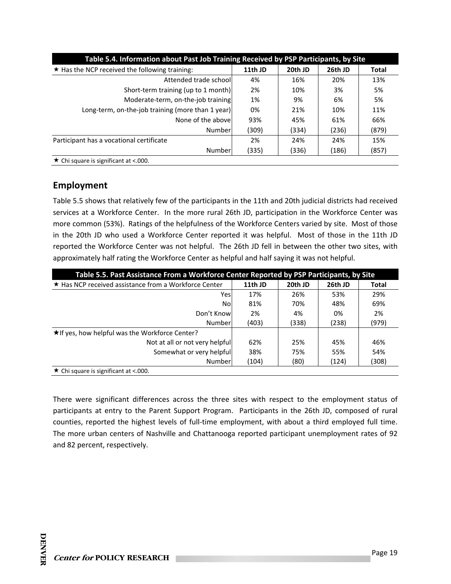| Table 5.4. Information about Past Job Training Received by PSP Participants, by Site |         |         |         |              |  |
|--------------------------------------------------------------------------------------|---------|---------|---------|--------------|--|
| $\star$ Has the NCP received the following training:                                 | 11th JD | 20th JD | 26th JD | <b>Total</b> |  |
| Attended trade school                                                                | 4%      | 16%     | 20%     | 13%          |  |
| Short-term training (up to 1 month)                                                  | 2%      | 10%     | 3%      | 5%           |  |
| Moderate-term, on-the-job training                                                   | 1%      | 9%      | 6%      | 5%           |  |
| Long-term, on-the-job training (more than 1 year)                                    | 0%      | 21%     | 10%     | 11%          |  |
| None of the above                                                                    | 93%     | 45%     | 61%     | 66%          |  |
| Number                                                                               | (309)   | (334)   | (236)   | (879)        |  |
| Participant has a vocational certificate                                             | 2%      | 24%     | 24%     | 15%          |  |
| Number                                                                               | (335)   | (336)   | (186)   | (857)        |  |
| $\star$ Chi square is significant at <.000.                                          |         |         |         |              |  |

## **Employment**

Table 5.5 shows that relatively few of the participants in the 11th and 20th judicial districts had received services at a Workforce Center. In the more rural 26th JD, participation in the Workforce Center was more common (53%). Ratings of the helpfulness of the Workforce Centers varied by site. Most of those in the 20th JD who used a Workforce Center reported it was helpful. Most of those in the 11th JD reported the Workforce Center was not helpful. The 26th JD fell in between the other two sites, with approximately half rating the Workforce Center as helpful and half saying it was not helpful.

| Table 5.5. Past Assistance From a Workforce Center Reported by PSP Participants, by Site |         |         |         |              |  |
|------------------------------------------------------------------------------------------|---------|---------|---------|--------------|--|
| ★ Has NCP received assistance from a Workforce Center                                    | 11th JD | 20th JD | 26th JD | <b>Total</b> |  |
| Yes                                                                                      | 17%     | 26%     | 53%     | 29%          |  |
| Nol                                                                                      | 81%     | 70%     | 48%     | 69%          |  |
| Don't Knowl                                                                              | 2%      | 4%      | 0%      | 2%           |  |
| Numberl                                                                                  | (403)   | (338)   | (238)   | (979)        |  |
| ★ If yes, how helpful was the Workforce Center?                                          |         |         |         |              |  |
| Not at all or not very helpfull                                                          | 62%     | 25%     | 45%     | 46%          |  |
| Somewhat or very helpful                                                                 | 38%     | 75%     | 55%     | 54%          |  |
| Numberl                                                                                  | (104)   | (80)    | (124)   | (308)        |  |
| $\star$ Chi square is significant at <.000.                                              |         |         |         |              |  |

There were significant differences across the three sites with respect to the employment status of participants at entry to the Parent Support Program. Participants in the 26th JD, composed of rural counties, reported the highest levels of full-time employment, with about a third employed full time. The more urban centers of Nashville and Chattanooga reported participant unemployment rates of 92 and 82 percent, respectively.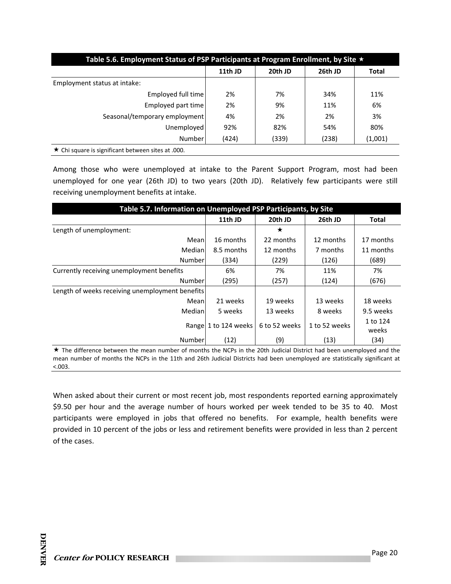| Table 5.6. Employment Status of PSP Participants at Program Enrollment, by Site $\star$ |         |         |         |         |  |  |
|-----------------------------------------------------------------------------------------|---------|---------|---------|---------|--|--|
|                                                                                         | 11th JD | 20th JD | 26th JD | Total   |  |  |
| Employment status at intake:                                                            |         |         |         |         |  |  |
| Employed full time                                                                      | 2%      | 7%      | 34%     | 11%     |  |  |
| Employed part time                                                                      | 2%      | 9%      | 11%     | 6%      |  |  |
| Seasonal/temporary employment                                                           | 4%      | 2%      | 2%      | 3%      |  |  |
| Unemployed                                                                              | 92%     | 82%     | 54%     | 80%     |  |  |
| Number                                                                                  | (424)   | (339)   | (238)   | (1,001) |  |  |
| $\star$ Chi square is significant between sites at .000.                                |         |         |         |         |  |  |

Among those who were unemployed at intake to the Parent Support Program, most had been unemployed for one year (26th JD) to two years (20th JD). Relatively few participants were still receiving unemployment benefits at intake.

| Table 5.7. Information on Unemployed PSP Participants, by Site |                      |               |               |              |  |  |
|----------------------------------------------------------------|----------------------|---------------|---------------|--------------|--|--|
|                                                                | 11th JD              | 20th JD       | 26th JD       | <b>Total</b> |  |  |
| Length of unemployment:                                        |                      | ★             |               |              |  |  |
| Mean                                                           | 16 months            | 22 months     | 12 months     | 17 months    |  |  |
| Medianl                                                        | 8.5 months           | 12 months     | 7 months      | 11 months    |  |  |
| Number                                                         | (334)                | (229)         | (126)         | (689)        |  |  |
| Currently receiving unemployment benefits                      | 6%                   | 7%            | 11%           | 7%           |  |  |
| Number                                                         | (295)                | (257)         | (124)         | (676)        |  |  |
| Length of weeks receiving unemployment benefits                |                      |               |               |              |  |  |
| Meanl                                                          | 21 weeks             | 19 weeks      | 13 weeks      | 18 weeks     |  |  |
| Medianl                                                        | 5 weeks              | 13 weeks      | 8 weeks       | 9.5 weeks    |  |  |
|                                                                | Range 1 to 124 weeks | 6 to 52 weeks | 1 to 52 weeks | 1 to 124     |  |  |
|                                                                |                      |               |               | weeks        |  |  |
| Number                                                         | (12)                 | (9)           | (13)          | (34)         |  |  |

 The difference between the mean number of months the NCPs in the 20th Judicial District had been unemployed and the mean number of months the NCPs in the 11th and 26th Judicial Districts had been unemployed are statistically significant at  $< .003.$ 

When asked about their current or most recent job, most respondents reported earning approximately \$9.50 per hour and the average number of hours worked per week tended to be 35 to 40. Most participants were employed in jobs that offered no benefits. For example, health benefits were provided in 10 percent of the jobs or less and retirement benefits were provided in less than 2 percent of the cases.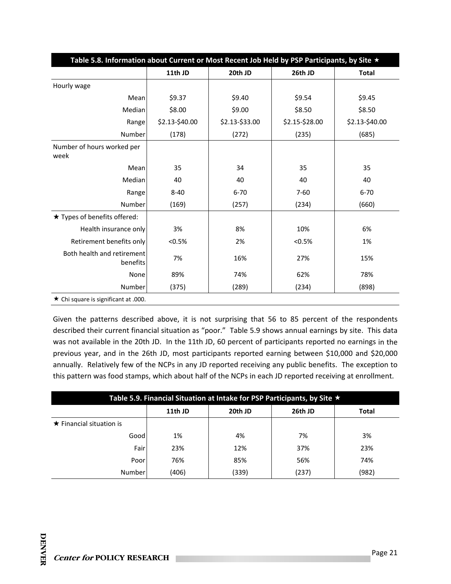| Table 5.8. Information about Current or Most Recent Job Held by PSP Participants, by Site * |                |                |                |                |
|---------------------------------------------------------------------------------------------|----------------|----------------|----------------|----------------|
|                                                                                             | 11th JD        | 20th JD        | 26th JD        | <b>Total</b>   |
| Hourly wage                                                                                 |                |                |                |                |
| Mean                                                                                        | \$9.37         | \$9.40         | \$9.54         | \$9.45         |
| Median                                                                                      | \$8.00         | \$9.00         | \$8.50         | \$8.50         |
| Range                                                                                       | \$2.13-\$40.00 | \$2.13-\$33.00 | \$2.15-\$28.00 | \$2.13-\$40.00 |
| Number                                                                                      | (178)          | (272)          | (235)          | (685)          |
| Number of hours worked per<br>week                                                          |                |                |                |                |
| Mean                                                                                        | 35             | 34             | 35             | 35             |
| Median                                                                                      | 40             | 40             | 40             | 40             |
| Range                                                                                       | $8 - 40$       | $6 - 70$       | $7 - 60$       | $6 - 70$       |
| Number                                                                                      | (169)          | (257)          | (234)          | (660)          |
| ★ Types of benefits offered:                                                                |                |                |                |                |
| Health insurance only                                                                       | 3%             | 8%             | 10%            | 6%             |
| Retirement benefits only                                                                    | < 0.5%         | 2%             | < 0.5%         | 1%             |
| Both health and retirement<br>benefits                                                      | 7%             | 16%            | 27%            | 15%            |
| None                                                                                        | 89%            | 74%            | 62%            | 78%            |
| Number                                                                                      | (375)          | (289)          | (234)          | (898)          |
| $\star$ Chi square is significant at .000.                                                  |                |                |                |                |

Given the patterns described above, it is not surprising that 56 to 85 percent of the respondents described their current financial situation as "poor." Table 5.9 shows annual earnings by site. This data was not available in the 20th JD. In the 11th JD, 60 percent of participants reported no earnings in the previous year, and in the 26th JD, most participants reported earning between \$10,000 and \$20,000 annually. Relatively few of the NCPs in any JD reported receiving any public benefits. The exception to this pattern was food stamps, which about half of the NCPs in each JD reported receiving at enrollment.

| Table 5.9. Financial Situation at Intake for PSP Participants, by Site $\star$ |         |         |         |              |  |
|--------------------------------------------------------------------------------|---------|---------|---------|--------------|--|
|                                                                                | 11th JD | 20th JD | 26th JD | <b>Total</b> |  |
| $\star$ Financial situation is                                                 |         |         |         |              |  |
| Good                                                                           | 1%      | 4%      | 7%      | 3%           |  |
| Fair                                                                           | 23%     | 12%     | 37%     | 23%          |  |
| Poor                                                                           | 76%     | 85%     | 56%     | 74%          |  |
| Number                                                                         | (406)   | (339)   | (237)   | (982)        |  |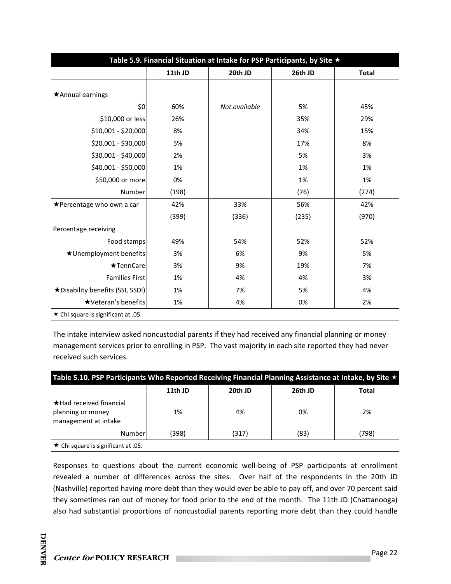| Table 5.9. Financial Situation at Intake for PSP Participants, by Site ★ |         |               |         |              |  |
|--------------------------------------------------------------------------|---------|---------------|---------|--------------|--|
|                                                                          | 11th JD | 20th JD       | 26th JD | <b>Total</b> |  |
| *Annual earnings                                                         |         |               |         |              |  |
|                                                                          |         |               |         |              |  |
| \$0                                                                      | 60%     | Not available | 5%      | 45%          |  |
| \$10,000 or less                                                         | 26%     |               | 35%     | 29%          |  |
| \$10,001 - \$20,000                                                      | 8%      |               | 34%     | 15%          |  |
| \$20,001 - \$30,000                                                      | 5%      |               | 17%     | 8%           |  |
| \$30,001 - \$40,000                                                      | 2%      |               | 5%      | 3%           |  |
| \$40,001 - \$50,000                                                      | 1%      |               | 1%      | 1%           |  |
| \$50,000 or more                                                         | 0%      |               | 1%      | 1%           |  |
| Number                                                                   | (198)   |               | (76)    | (274)        |  |
| ★Percentage who own a car                                                | 42%     | 33%           | 56%     | 42%          |  |
|                                                                          | (399)   | (336)         | (235)   | (970)        |  |
| Percentage receiving                                                     |         |               |         |              |  |
| Food stamps                                                              | 49%     | 54%           | 52%     | 52%          |  |
| ★Unemployment benefits                                                   | 3%      | 6%            | 9%      | 5%           |  |
| $\star$ TennCare                                                         | 3%      | 9%            | 19%     | 7%           |  |
| <b>Families First</b>                                                    | 1%      | 4%            | 4%      | 3%           |  |
| *Disability benefits (SSI, SSDI)                                         | 1%      | 7%            | 5%      | 4%           |  |
| ★Veteran's benefits                                                      | 1%      | 4%            | 0%      | 2%           |  |
| ★ Chi square is significant at .05.                                      |         |               |         |              |  |

The intake interview asked noncustodial parents if they had received any financial planning or money management services prior to enrolling in PSP. The vast majority in each site reported they had never received such services.

|                                                                             | 11th JD | 20th JD | 26th JD | Total |
|-----------------------------------------------------------------------------|---------|---------|---------|-------|
| $\star$ Had received financial<br>planning or money<br>management at intake | 1%      | 4%      | 0%      | 2%    |
| Number                                                                      | (398)   | (317)   | (83)    | (798) |

Responses to questions about the current economic well-being of PSP participants at enrollment revealed a number of differences across the sites. Over half of the respondents in the 20th JD (Nashville) reported having more debt than they would ever be able to pay off, and over 70 percent said they sometimes ran out of money for food prior to the end of the month. The 11th JD (Chattanooga) also had substantial proportions of noncustodial parents reporting more debt than they could handle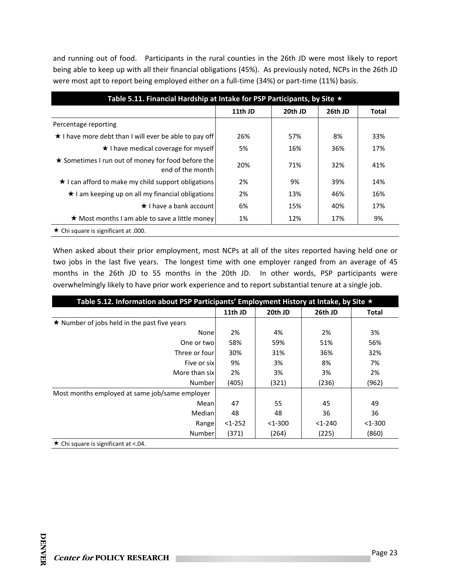and running out of food. Participants in the rural counties in the 26th JD were most likely to report being able to keep up with all their financial obligations (45%). As previously noted, NCPs in the 26th JD were most apt to report being employed either on a full-time (34%) or part-time (11%) basis.

| Table 5.11. Financial Hardship at Intake for PSP Participants, by Site * |         |         |         |       |  |
|--------------------------------------------------------------------------|---------|---------|---------|-------|--|
|                                                                          | 11th JD | 20th JD | 26th JD | Total |  |
| Percentage reporting                                                     |         |         |         |       |  |
| ★ I have more debt than I will ever be able to pay off                   | 26%     | 57%     | 8%      | 33%   |  |
| $\star$ I have medical coverage for myself                               | 5%      | 16%     | 36%     | 17%   |  |
| ★ Sometimes I run out of money for food before the<br>end of the month   | 20%     | 71%     | 32%     | 41%   |  |
| $\star$ I can afford to make my child support obligations                | 2%      | 9%      | 39%     | 14%   |  |
| ★ I am keeping up on all my financial obligations                        | 2%      | 13%     | 46%     | 16%   |  |
| $\star$ I have a bank account                                            | 6%      | 15%     | 40%     | 17%   |  |
| ★ Most months I am able to save a little money                           | 1%      | 12%     | 17%     | 9%    |  |
| $\star$ Chi square is significant at .000.                               |         |         |         |       |  |

When asked about their prior employment, most NCPs at all of the sites reported having held one or two jobs in the last five years. The longest time with one employer ranged from an average of 45 months in the 26th JD to 55 months in the 20th JD. In other words, PSP participants were overwhelmingly likely to have prior work experience and to report substantial tenure at a single job.

| Table 5.12. Information about PSP Participants' Employment History at Intake, by Site $\star$ |          |           |            |              |
|-----------------------------------------------------------------------------------------------|----------|-----------|------------|--------------|
|                                                                                               | 11th JD  | 20th JD   | 26th JD    | <b>Total</b> |
| $\star$ Number of jobs held in the past five years                                            |          |           |            |              |
| None                                                                                          | 2%       | 4%        | 2%         | 3%           |
| One or twol                                                                                   | 58%      | 59%       | 51%        | 56%          |
| Three or four                                                                                 | 30%      | 31%       | 36%        | 32%          |
| Five or six                                                                                   | 9%       | 3%        | 8%         | 7%           |
| More than sixl                                                                                | 2%       | 3%        | 3%         | 2%           |
| Number                                                                                        | (405)    | (321)     | (236)      | (962)        |
| Most months employed at same job/same employer                                                |          |           |            |              |
| Mean                                                                                          | 47       | 55        | 45         | 49           |
| Median                                                                                        | 48       | 48        | 36         | 36           |
| Range                                                                                         | $<1-252$ | $<$ 1-300 | $<1 - 240$ | $<$ 1-300    |
| Number                                                                                        | (371)    | (264)     | (225)      | (860)        |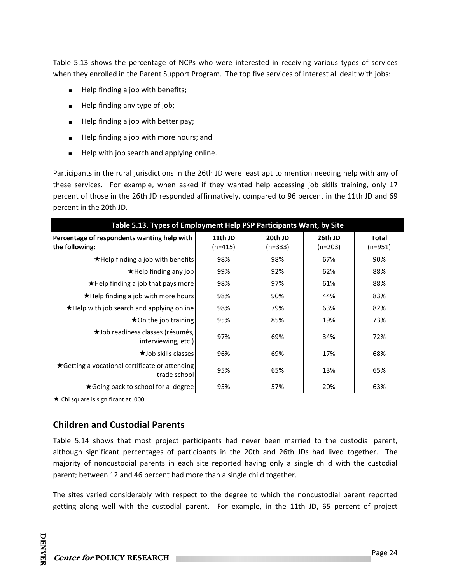Table 5.13 shows the percentage of NCPs who were interested in receiving various types of services when they enrolled in the Parent Support Program. The top five services of interest all dealt with jobs:

- Help finding a job with benefits;
- Help finding any type of job;
- Help finding a job with better pay;
- Help finding a job with more hours; and
- Help with job search and applying online.

Participants in the rural jurisdictions in the 26th JD were least apt to mention needing help with any of these services. For example, when asked if they wanted help accessing job skills training, only 17 percent of those in the 26th JD responded affirmatively, compared to 96 percent in the 11th JD and 69 percent in the 20th JD.

| Table 5.13. Types of Employment Help PSP Participants Want, by Site |                      |                      |                      |                           |  |  |  |
|---------------------------------------------------------------------|----------------------|----------------------|----------------------|---------------------------|--|--|--|
| Percentage of respondents wanting help with<br>the following:       | 11th JD<br>$(n=415)$ | 20th JD<br>$(n=333)$ | 26th JD<br>$(n=203)$ | <b>Total</b><br>$(n=951)$ |  |  |  |
| $\star$ Help finding a job with benefits                            | 98%                  | 98%                  | 67%                  | 90%                       |  |  |  |
| ★Help finding any job                                               | 99%                  | 92%                  | 62%                  | 88%                       |  |  |  |
| $\star$ Help finding a job that pays more                           | 98%                  | 97%                  | 61%                  | 88%                       |  |  |  |
| $\star$ Help finding a job with more hours                          | 98%                  | 90%                  | 44%                  | 83%                       |  |  |  |
| *Help with job search and applying online                           | 98%                  | 79%                  | 63%                  | 82%                       |  |  |  |
| $\star$ On the job training                                         | 95%                  | 85%                  | 19%                  | 73%                       |  |  |  |
| ★Job readiness classes (résumés,<br>interviewing, etc.)             | 97%                  | 69%                  | 34%                  | 72%                       |  |  |  |
| <b>★Job skills classes</b>                                          | 96%                  | 69%                  | 17%                  | 68%                       |  |  |  |
| ★ Getting a vocational certificate or attending<br>trade school     | 95%                  | 65%                  | 13%                  | 65%                       |  |  |  |
| ★ Going back to school for a degree                                 | 95%                  | 57%                  | 20%                  | 63%                       |  |  |  |
| $\star$ Chi square is significant at .000.                          |                      |                      |                      |                           |  |  |  |

## **Children and Custodial Parents**

Table 5.14 shows that most project participants had never been married to the custodial parent, although significant percentages of participants in the 20th and 26th JDs had lived together. The majority of noncustodial parents in each site reported having only a single child with the custodial parent; between 12 and 46 percent had more than a single child together.

The sites varied considerably with respect to the degree to which the noncustodial parent reported getting along well with the custodial parent. For example, in the 11th JD, 65 percent of project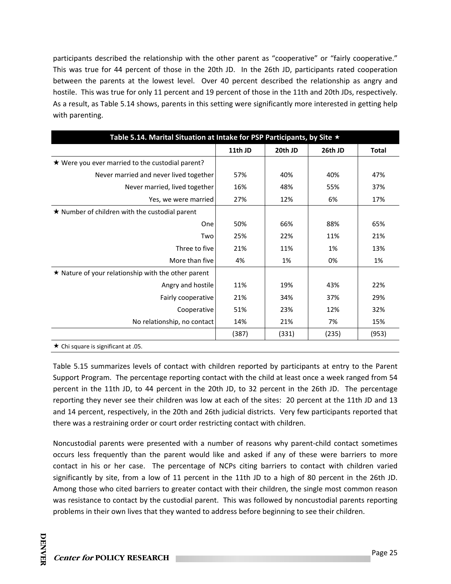participants described the relationship with the other parent as "cooperative" or "fairly cooperative." This was true for 44 percent of those in the 20th JD. In the 26th JD, participants rated cooperation between the parents at the lowest level. Over 40 percent described the relationship as angry and hostile. This was true for only 11 percent and 19 percent of those in the 11th and 20th JDs, respectively. As a result, as Table 5.14 shows, parents in this setting were significantly more interested in getting help with parenting.

| Table 5.14. Marital Situation at Intake for PSP Participants, by Site $\star$ |         |         |         |              |
|-------------------------------------------------------------------------------|---------|---------|---------|--------------|
|                                                                               | 11th JD | 20th JD | 26th JD | <b>Total</b> |
| ★ Were you ever married to the custodial parent?                              |         |         |         |              |
| Never married and never lived together                                        | 57%     | 40%     | 40%     | 47%          |
| Never married, lived together                                                 | 16%     | 48%     | 55%     | 37%          |
| Yes, we were married                                                          | 27%     | 12%     | 6%      | 17%          |
| $\star$ Number of children with the custodial parent                          |         |         |         |              |
| One                                                                           | 50%     | 66%     | 88%     | 65%          |
| Two                                                                           | 25%     | 22%     | 11%     | 21%          |
| Three to five                                                                 | 21%     | 11%     | 1%      | 13%          |
| More than five                                                                | 4%      | 1%      | 0%      | 1%           |
| $\star$ Nature of your relationship with the other parent                     |         |         |         |              |
| Angry and hostile                                                             | 11%     | 19%     | 43%     | 22%          |
| Fairly cooperative                                                            | 21%     | 34%     | 37%     | 29%          |
| Cooperative                                                                   | 51%     | 23%     | 12%     | 32%          |
| No relationship, no contact                                                   | 14%     | 21%     | 7%      | 15%          |
|                                                                               | (387)   | (331)   | (235)   | (953)        |
| de Alternative to des Charles of AF                                           |         |         |         |              |

 $\star$  Chi square is significant at .05.

Table 5.15 summarizes levels of contact with children reported by participants at entry to the Parent Support Program. The percentage reporting contact with the child at least once a week ranged from 54 percent in the 11th JD, to 44 percent in the 20th JD, to 32 percent in the 26th JD. The percentage reporting they never see their children was low at each of the sites: 20 percent at the 11th JD and 13 and 14 percent, respectively, in the 20th and 26th judicial districts. Very few participants reported that there was a restraining order or court order restricting contact with children.

Noncustodial parents were presented with a number of reasons why parent‐child contact sometimes occurs less frequently than the parent would like and asked if any of these were barriers to more contact in his or her case. The percentage of NCPs citing barriers to contact with children varied significantly by site, from a low of 11 percent in the 11th JD to a high of 80 percent in the 26th JD. Among those who cited barriers to greater contact with their children, the single most common reason was resistance to contact by the custodial parent. This was followed by noncustodial parents reporting problems in their own lives that they wanted to address before beginning to see their children.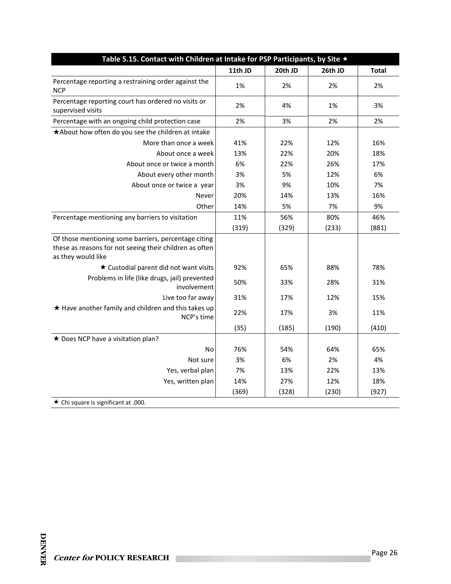| Table 5.15. Contact with Children at Intake for PSP Participants, by Site $\star$                                                     |         |         |         |              |  |
|---------------------------------------------------------------------------------------------------------------------------------------|---------|---------|---------|--------------|--|
|                                                                                                                                       | 11th JD | 20th JD | 26th JD | <b>Total</b> |  |
| Percentage reporting a restraining order against the<br><b>NCP</b>                                                                    | 1%      | 2%      | 2%      | 2%           |  |
| Percentage reporting court has ordered no visits or<br>supervised visits                                                              | 2%      | 4%      | 1%      | 3%           |  |
| Percentage with an ongoing child protection case                                                                                      | 2%      | 3%      | 2%      | 2%           |  |
| *About how often do you see the children at intake                                                                                    |         |         |         |              |  |
| More than once a week                                                                                                                 | 41%     | 22%     | 12%     | 16%          |  |
| About once a week                                                                                                                     | 13%     | 22%     | 20%     | 18%          |  |
| About once or twice a month                                                                                                           | 6%      | 22%     | 26%     | 17%          |  |
| About every other month                                                                                                               | 3%      | 5%      | 12%     | 6%           |  |
| About once or twice a year                                                                                                            | 3%      | 9%      | 10%     | 7%           |  |
| Never                                                                                                                                 | 20%     | 14%     | 13%     | 16%          |  |
| Other                                                                                                                                 | 14%     | 5%      | 7%      | 9%           |  |
| Percentage mentioning any barriers to visitation                                                                                      | 11%     | 56%     | 80%     | 46%          |  |
|                                                                                                                                       | (319)   | (329)   | (233)   | (881)        |  |
| Of those mentioning some barriers, percentage citing<br>these as reasons for not seeing their children as often<br>as they would like |         |         |         |              |  |
| ★ Custodial parent did not want visits                                                                                                | 92%     | 65%     | 88%     | 78%          |  |
| Problems in life (like drugs, jail) prevented<br>involvement                                                                          | 50%     | 33%     | 28%     | 31%          |  |
| Live too far away                                                                                                                     | 31%     | 17%     | 12%     | 15%          |  |
| ★ Have another family and children and this takes up<br>NCP's time                                                                    | 22%     | 17%     | 3%      | 11%          |  |
|                                                                                                                                       | (35)    | (185)   | (190)   | (410)        |  |
| * Does NCP have a visitation plan?                                                                                                    |         |         |         |              |  |
| No                                                                                                                                    | 76%     | 54%     | 64%     | 65%          |  |
| Not sure                                                                                                                              | 3%      | 6%      | 2%      | 4%           |  |
| Yes, verbal plan                                                                                                                      | 7%      | 13%     | 22%     | 13%          |  |
| Yes, written plan                                                                                                                     | 14%     | 27%     | 12%     | 18%          |  |
|                                                                                                                                       | (369)   | (328)   | (230)   | (927)        |  |
| $\star$ Chi square is significant at .000.                                                                                            |         |         |         |              |  |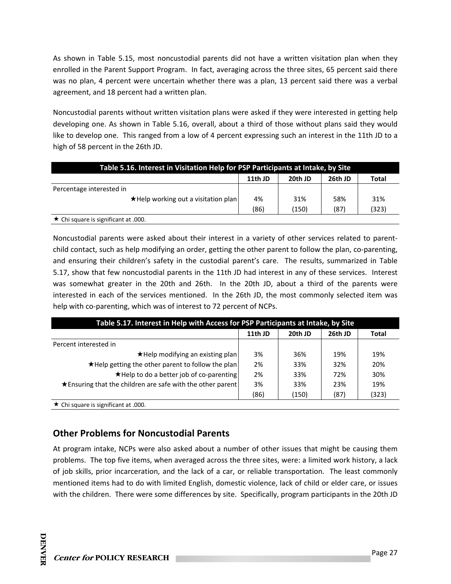As shown in Table 5.15, most noncustodial parents did not have a written visitation plan when they enrolled in the Parent Support Program. In fact, averaging across the three sites, 65 percent said there was no plan, 4 percent were uncertain whether there was a plan, 13 percent said there was a verbal agreement, and 18 percent had a written plan.

Noncustodial parents without written visitation plans were asked if they were interested in getting help developing one. As shown in Table 5.16, overall, about a third of those without plans said they would like to develop one. This ranged from a low of 4 percent expressing such an interest in the 11th JD to a high of 58 percent in the 26th JD.

| Table 5.16. Interest in Visitation Help for PSP Participants at Intake, by Site |         |         |         |              |
|---------------------------------------------------------------------------------|---------|---------|---------|--------------|
|                                                                                 | 11th JD | 20th JD | 26th JD | <b>Total</b> |
| Percentage interested in                                                        |         |         |         |              |
| ★Help working out a visitation plan                                             | 4%      | 31%     | 58%     | 31%          |
|                                                                                 | (86)    | (150)   | (87)    | (323)        |
| $\star$ Chi square is significant at .000.                                      |         |         |         |              |

Noncustodial parents were asked about their interest in a variety of other services related to parent‐ child contact, such as help modifying an order, getting the other parent to follow the plan, co-parenting, and ensuring their children's safety in the custodial parent's care. The results, summarized in Table 5.17, show that few noncustodial parents in the 11th JD had interest in any of these services. Interest was somewhat greater in the 20th and 26th. In the 20th JD, about a third of the parents were interested in each of the services mentioned. In the 26th JD, the most commonly selected item was help with co-parenting, which was of interest to 72 percent of NCPs.

| Table 5.17. Interest in Help with Access for PSP Participants at Intake, by Site |         |         |         |       |  |
|----------------------------------------------------------------------------------|---------|---------|---------|-------|--|
|                                                                                  | 11th JD | 20th JD | 26th JD | Total |  |
| Percent interested in                                                            |         |         |         |       |  |
| ★Help modifying an existing plan                                                 | 3%      | 36%     | 19%     | 19%   |  |
| *Help getting the other parent to follow the plan                                | 2%      | 33%     | 32%     | 20%   |  |
| ★Help to do a better job of co-parenting                                         | 2%      | 33%     | 72%     | 30%   |  |
| ★ Ensuring that the children are safe with the other parent                      | 3%      | 33%     | 23%     | 19%   |  |
|                                                                                  | (86)    | (150)   | (87)    | (323) |  |
| $\star$ Chi square is significant at .000.                                       |         |         |         |       |  |

## **Other Problems for Noncustodial Parents**

At program intake, NCPs were also asked about a number of other issues that might be causing them problems. The top five items, when averaged across the three sites, were: a limited work history, a lack of job skills, prior incarceration, and the lack of a car, or reliable transportation. The least commonly mentioned items had to do with limited English, domestic violence, lack of child or elder care, or issues with the children. There were some differences by site. Specifically, program participants in the 20th JD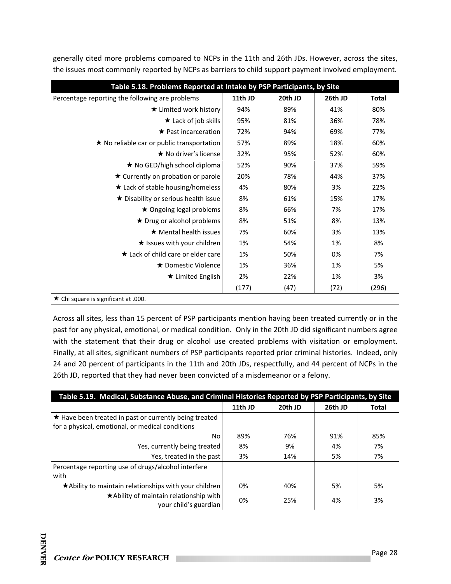generally cited more problems compared to NCPs in the 11th and 26th JDs. However, across the sites, the issues most commonly reported by NCPs as barriers to child support payment involved employment.

| Table 5.18. Problems Reported at Intake by PSP Participants, by Site |         |         |         |              |  |
|----------------------------------------------------------------------|---------|---------|---------|--------------|--|
| Percentage reporting the following are problems                      | 11th JD | 20th JD | 26th JD | <b>Total</b> |  |
| ★ Limited work history                                               | 94%     | 89%     | 41%     | 80%          |  |
| $\star$ Lack of job skills                                           | 95%     | 81%     | 36%     | 78%          |  |
| $\star$ Past incarceration                                           | 72%     | 94%     | 69%     | 77%          |  |
| ★ No reliable car or public transportation                           | 57%     | 89%     | 18%     | 60%          |  |
| ★ No driver's license                                                | 32%     | 95%     | 52%     | 60%          |  |
| ★ No GED/high school diploma                                         | 52%     | 90%     | 37%     | 59%          |  |
| $\star$ Currently on probation or parole                             | 20%     | 78%     | 44%     | 37%          |  |
| ★ Lack of stable housing/homeless                                    | 4%      | 80%     | 3%      | 22%          |  |
| ★ Disability or serious health issue                                 | 8%      | 61%     | 15%     | 17%          |  |
| ★ Ongoing legal problems                                             | 8%      | 66%     | 7%      | 17%          |  |
| ★ Drug or alcohol problems                                           | 8%      | 51%     | 8%      | 13%          |  |
| $\star$ Mental health issues                                         | 7%      | 60%     | 3%      | 13%          |  |
| $\star$ Issues with your children                                    | 1%      | 54%     | 1%      | 8%           |  |
| ★ Lack of child care or elder care                                   | 1%      | 50%     | 0%      | 7%           |  |
| ★ Domestic Violence                                                  | 1%      | 36%     | 1%      | 5%           |  |
| ★ Limited English                                                    | 2%      | 22%     | 1%      | 3%           |  |
|                                                                      | (177)   | (47)    | (72)    | (296)        |  |
| ★ Chi square is significant at .000.                                 |         |         |         |              |  |

Across all sites, less than 15 percent of PSP participants mention having been treated currently or in the past for any physical, emotional, or medical condition. Only in the 20th JD did significant numbers agree with the statement that their drug or alcohol use created problems with visitation or employment. Finally, at all sites, significant numbers of PSP participants reported prior criminal histories. Indeed, only 24 and 20 percent of participants in the 11th and 20th JDs, respectfully, and 44 percent of NCPs in the 26th JD, reported that they had never been convicted of a misdemeanor or a felony.

| Table 5.19. Medical, Substance Abuse, and Criminal Histories Reported by PSP Participants, by Site         |         |         |         |              |  |
|------------------------------------------------------------------------------------------------------------|---------|---------|---------|--------------|--|
|                                                                                                            | 11th JD | 20th JD | 26th JD | <b>Total</b> |  |
| ★ Have been treated in past or currently being treated<br>for a physical, emotional, or medical conditions |         |         |         |              |  |
| No                                                                                                         | 89%     | 76%     | 91%     | 85%          |  |
| Yes, currently being treated                                                                               | 8%      | 9%      | 4%      | 7%           |  |
| Yes, treated in the past                                                                                   | 3%      | 14%     | 5%      | 7%           |  |
| Percentage reporting use of drugs/alcohol interfere<br>with                                                |         |         |         |              |  |
| ★ Ability to maintain relationships with your children                                                     | 0%      | 40%     | 5%      | 5%           |  |
| *Ability of maintain relationship with<br>your child's guardian                                            | 0%      | 25%     | 4%      | 3%           |  |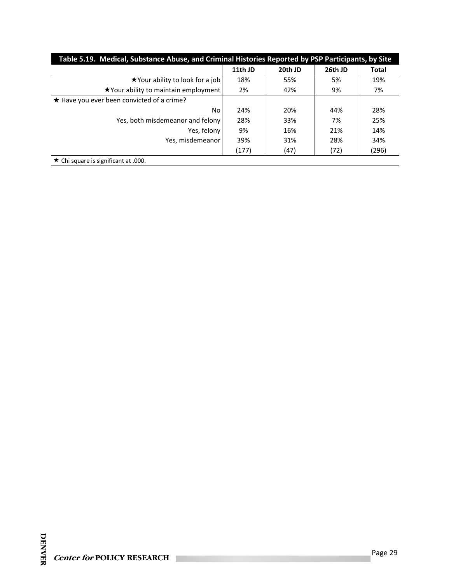| Table 5.19. Medical, Substance Abuse, and Criminal Histories Reported by PSP Participants, by Site |         |         |         |              |  |
|----------------------------------------------------------------------------------------------------|---------|---------|---------|--------------|--|
|                                                                                                    | 11th JD | 20th JD | 26th JD | <b>Total</b> |  |
| ★ Your ability to look for a job                                                                   | 18%     | 55%     | 5%      | 19%          |  |
| ★ Your ability to maintain employment                                                              | 2%      | 42%     | 9%      | 7%           |  |
| ★ Have you ever been convicted of a crime?                                                         |         |         |         |              |  |
| No                                                                                                 | 24%     | 20%     | 44%     | 28%          |  |
| Yes, both misdemeanor and felony                                                                   | 28%     | 33%     | 7%      | 25%          |  |
| Yes, felony                                                                                        | 9%      | 16%     | 21%     | 14%          |  |
| Yes, misdemeanor                                                                                   | 39%     | 31%     | 28%     | 34%          |  |
|                                                                                                    | (177)   | (47)    | (72)    | (296)        |  |
| $\star$ Chi square is significant at .000.                                                         |         |         |         |              |  |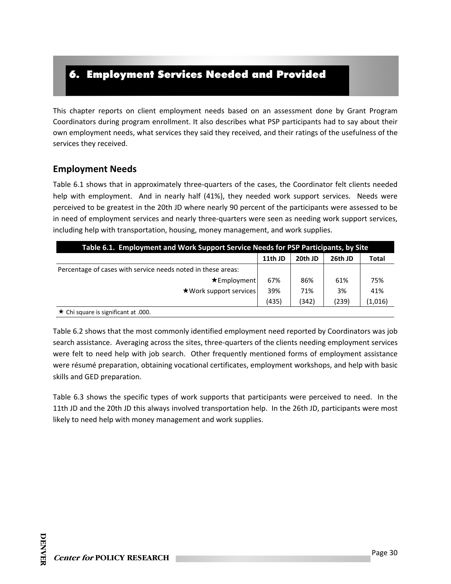# 6. Employment Services Needed and Provided

This chapter reports on client employment needs based on an assessment done by Grant Program Coordinators during program enrollment. It also describes what PSP participants had to say about their own employment needs, what services they said they received, and their ratings of the usefulness of the services they received.

### **Employment Needs**

Table 6.1 shows that in approximately three‐quarters of the cases, the Coordinator felt clients needed help with employment. And in nearly half (41%), they needed work support services. Needs were perceived to be greatest in the 20th JD where nearly 90 percent of the participants were assessed to be in need of employment services and nearly three-quarters were seen as needing work support services, including help with transportation, housing, money management, and work supplies.

| Table 6.1. Employment and Work Support Service Needs for PSP Participants, by Site |         |         |         |              |
|------------------------------------------------------------------------------------|---------|---------|---------|--------------|
|                                                                                    | 11th JD | 20th JD | 26th JD | <b>Total</b> |
| Percentage of cases with service needs noted in these areas:                       |         |         |         |              |
| $\star$ Employment                                                                 | 67%     | 86%     | 61%     | 75%          |
| $\star$ Work support services                                                      | 39%     | 71%     | 3%      | 41%          |
|                                                                                    | (435)   | (342)   | (239)   | (1,016)      |
| $\star$ Chi square is significant at .000.                                         |         |         |         |              |

Table 6.2 shows that the most commonly identified employment need reported by Coordinators was job search assistance. Averaging across the sites, three-quarters of the clients needing employment services were felt to need help with job search. Other frequently mentioned forms of employment assistance were résumé preparation, obtaining vocational certificates, employment workshops, and help with basic skills and GED preparation.

Table 6.3 shows the specific types of work supports that participants were perceived to need. In the 11th JD and the 20th JD this always involved transportation help. In the 26th JD, participants were most likely to need help with money management and work supplies.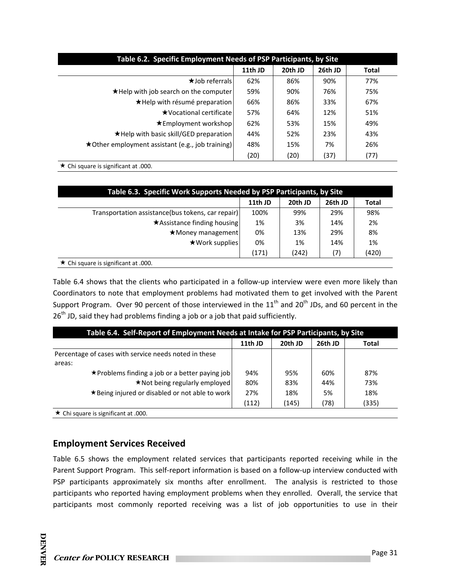| Table 6.2. Specific Employment Needs of PSP Participants, by Site |         |         |         |              |  |
|-------------------------------------------------------------------|---------|---------|---------|--------------|--|
|                                                                   | 11th JD | 20th JD | 26th JD | <b>Total</b> |  |
| $\star$ Job referrals                                             | 62%     | 86%     | 90%     | 77%          |  |
| ★Help with job search on the computer                             | 59%     | 90%     | 76%     | 75%          |  |
| ★Help with résumé preparation                                     | 66%     | 86%     | 33%     | 67%          |  |
| ★Vocational certificate                                           | 57%     | 64%     | 12%     | 51%          |  |
| $\star$ Employment workshop                                       | 62%     | 53%     | 15%     | 49%          |  |
| *Help with basic skill/GED preparation                            | 44%     | 52%     | 23%     | 43%          |  |
| ★Other employment assistant (e.g., job training)                  | 48%     | 15%     | 7%      | 26%          |  |
|                                                                   | (20)    | (20)    | (37)    | (77)         |  |

 $\star$  Chi square is significant at .000.

| Table 6.3. Specific Work Supports Needed by PSP Participants, by Site |         |         |         |              |
|-----------------------------------------------------------------------|---------|---------|---------|--------------|
|                                                                       | 11th JD | 20th JD | 26th JD | <b>Total</b> |
| Transportation assistance(bus tokens, car repair)                     | 100%    | 99%     | 29%     | 98%          |
| $\star$ Assistance finding housing                                    | 1%      | 3%      | 14%     | 2%           |
| $\star$ Money management                                              | 0%      | 13%     | 29%     | 8%           |
| $\star$ Work supplies                                                 | 0%      | 1%      | 14%     | 1%           |
|                                                                       | (171)   | (242)   | (7)     | (420)        |
| $\star$ Chi square is significant at .000.                            |         |         |         |              |

Table 6.4 shows that the clients who participated in a follow-up interview were even more likely than Coordinators to note that employment problems had motivated them to get involved with the Parent Support Program. Over 90 percent of those interviewed in the  $11<sup>th</sup>$  and  $20<sup>th</sup>$  JDs, and 60 percent in the  $26<sup>th</sup>$  JD, said they had problems finding a job or a job that paid sufficiently.

| Table 6.4. Self-Report of Employment Needs at Intake for PSP Participants, by Site |         |         |         |              |  |
|------------------------------------------------------------------------------------|---------|---------|---------|--------------|--|
|                                                                                    | 11th JD | 20th JD | 26th JD | <b>Total</b> |  |
| Percentage of cases with service needs noted in these<br>areas:                    |         |         |         |              |  |
| ★Problems finding a job or a better paying job                                     | 94%     | 95%     | 60%     | 87%          |  |
| ★ Not being regularly employed                                                     | 80%     | 83%     | 44%     | 73%          |  |
| ★ Being injured or disabled or not able to work                                    | 27%     | 18%     | 5%      | 18%          |  |
|                                                                                    | (112)   | (145)   | (78)    | (335)        |  |
| $\star$ Chi square is significant at .000.                                         |         |         |         |              |  |

# **Employment Services Received**

Table 6.5 shows the employment related services that participants reported receiving while in the Parent Support Program. This self-report information is based on a follow-up interview conducted with PSP participants approximately six months after enrollment. The analysis is restricted to those participants who reported having employment problems when they enrolled. Overall, the service that participants most commonly reported receiving was a list of job opportunities to use in their

**DENVER** 

**DENVER**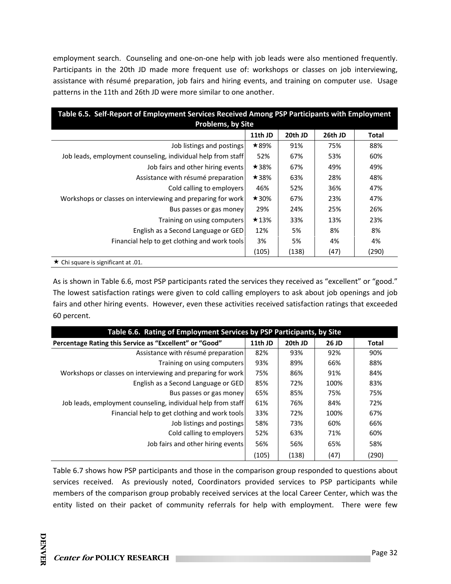employment search. Counseling and one-on-one help with job leads were also mentioned frequently. Participants in the 20th JD made more frequent use of: workshops or classes on job interviewing, assistance with résumé preparation, job fairs and hiring events, and training on computer use. Usage patterns in the 11th and 26th JD were more similar to one another.

| Table 6.5. Self-Report of Employment Services Received Among PSP Participants with Employment<br><b>Problems, by Site</b> |             |         |         |              |
|---------------------------------------------------------------------------------------------------------------------------|-------------|---------|---------|--------------|
|                                                                                                                           | 11th JD     | 20th JD | 26th JD | <b>Total</b> |
| Job listings and postings                                                                                                 | $\star$ 89% | 91%     | 75%     | 88%          |
| Job leads, employment counseling, individual help from staff                                                              | 52%         | 67%     | 53%     | 60%          |
| Job fairs and other hiring events                                                                                         | $\star$ 38% | 67%     | 49%     | 49%          |
| Assistance with résumé preparation                                                                                        | $\star$ 38% | 63%     | 28%     | 48%          |
| Cold calling to employers                                                                                                 | 46%         | 52%     | 36%     | 47%          |
| Workshops or classes on interviewing and preparing for work                                                               | $\star$ 30% | 67%     | 23%     | 47%          |
| Bus passes or gas money                                                                                                   | 29%         | 24%     | 25%     | 26%          |
| Training on using computers                                                                                               | $\star$ 13% | 33%     | 13%     | 23%          |
| English as a Second Language or GED                                                                                       | 12%         | 5%      | 8%      | 8%           |
| Financial help to get clothing and work tools                                                                             | 3%          | 5%      | 4%      | 4%           |
|                                                                                                                           | (105)       | (138)   | (47)    | (290)        |
| $\star$ Chi square is significant at .01.                                                                                 |             |         |         |              |

As is shown in Table 6.6, most PSP participants rated the services they received as "excellent" or "good." The lowest satisfaction ratings were given to cold calling employers to ask about job openings and job fairs and other hiring events. However, even these activities received satisfaction ratings that exceeded 60 percent.

| Table 6.6. Rating of Employment Services by PSP Participants, by Site |         |         |       |              |
|-----------------------------------------------------------------------|---------|---------|-------|--------------|
| Percentage Rating this Service as "Excellent" or "Good"               | 11th JD | 20th JD | 26 JD | <b>Total</b> |
| Assistance with résumé preparation                                    | 82%     | 93%     | 92%   | 90%          |
| Training on using computers                                           | 93%     | 89%     | 66%   | 88%          |
| Workshops or classes on interviewing and preparing for work           | 75%     | 86%     | 91%   | 84%          |
| English as a Second Language or GED                                   | 85%     | 72%     | 100%  | 83%          |
| Bus passes or gas money                                               | 65%     | 85%     | 75%   | 75%          |
| Job leads, employment counseling, individual help from staff          | 61%     | 76%     | 84%   | 72%          |
| Financial help to get clothing and work tools                         | 33%     | 72%     | 100%  | 67%          |
| Job listings and postings                                             | 58%     | 73%     | 60%   | 66%          |
| Cold calling to employers                                             | 52%     | 63%     | 71%   | 60%          |
| Job fairs and other hiring events                                     | 56%     | 56%     | 65%   | 58%          |
|                                                                       | (105)   | (138)   | (47)  | (290)        |

Table 6.7 shows how PSP participants and those in the comparison group responded to questions about services received. As previously noted, Coordinators provided services to PSP participants while members of the comparison group probably received services at the local Career Center, which was the entity listed on their packet of community referrals for help with employment. There were few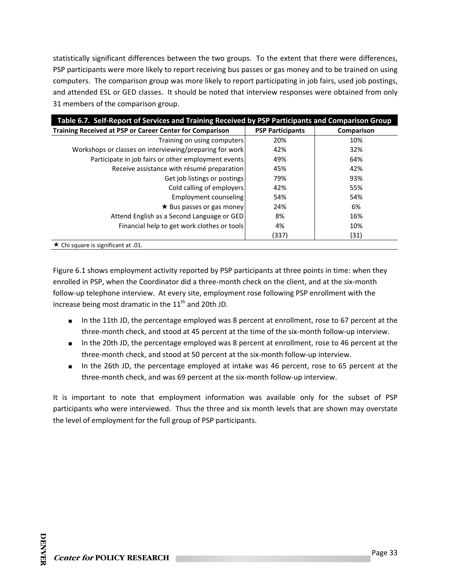statistically significant differences between the two groups. To the extent that there were differences, PSP participants were more likely to report receiving bus passes or gas money and to be trained on using computers. The comparison group was more likely to report participating in job fairs, used job postings, and attended ESL or GED classes. It should be noted that interview responses were obtained from only 31 members of the comparison group.

| Table 6.7. Self-Report of Services and Training Received by PSP Participants and Comparison Group |                         |            |
|---------------------------------------------------------------------------------------------------|-------------------------|------------|
| Training Received at PSP or Career Center for Comparison                                          | <b>PSP Participants</b> | Comparison |
| Training on using computers                                                                       | 20%                     | 10%        |
| Workshops or classes on interviewing/preparing for work                                           | 42%                     | 32%        |
| Participate in job fairs or other employment events                                               | 49%                     | 64%        |
| Receive assistance with résumé preparation                                                        | 45%                     | 42%        |
| Get job listings or postings                                                                      | 79%                     | 93%        |
| Cold calling of employers                                                                         | 42%                     | 55%        |
| Employment counseling                                                                             | 54%                     | 54%        |
| $\star$ Bus passes or gas money                                                                   | 24%                     | 6%         |
| Attend English as a Second Language or GED                                                        | 8%                      | 16%        |
| Financial help to get work clothes or tools                                                       | 4%                      | 10%        |
|                                                                                                   | (337)                   | (31)       |
| $\star$ Chi square is significant at .01.                                                         |                         |            |

Figure 6.1 shows employment activity reported by PSP participants at three points in time: when they enrolled in PSP, when the Coordinator did a three‐month check on the client, and at the six‐month follow‐up telephone interview. At every site, employment rose following PSP enrollment with the increase being most dramatic in the  $11<sup>th</sup>$  and 20th JD.

- In the 11th JD, the percentage employed was 8 percent at enrollment, rose to 67 percent at the three‐month check, and stood at 45 percent at the time of the six‐month follow‐up interview.
- In the 20th JD, the percentage employed was 8 percent at enrollment, rose to 46 percent at the three‐month check, and stood at 50 percent at the six‐month follow‐up interview.
- In the 26th JD, the percentage employed at intake was 46 percent, rose to 65 percent at the three‐month check, and was 69 percent at the six‐month follow‐up interview.

It is important to note that employment information was available only for the subset of PSP participants who were interviewed. Thus the three and six month levels that are shown may overstate the level of employment for the full group of PSP participants.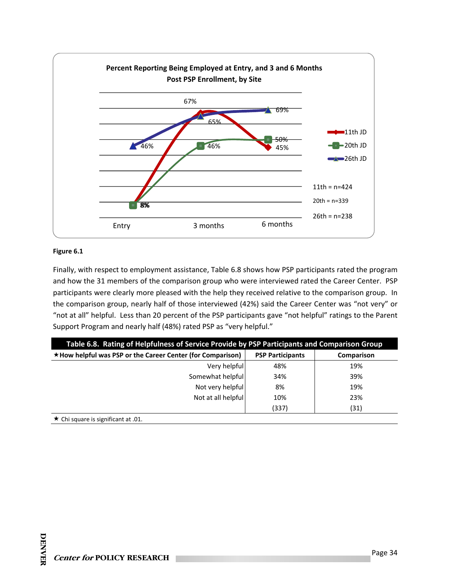

#### **Figure 6.1**

Finally, with respect to employment assistance, Table 6.8 shows how PSP participants rated the program and how the 31 members of the comparison group who were interviewed rated the Career Center. PSP participants were clearly more pleased with the help they received relative to the comparison group. In the comparison group, nearly half of those interviewed (42%) said the Career Center was "not very" or "not at all" helpful. Less than 20 percent of the PSP participants gave "not helpful" ratings to the Parent Support Program and nearly half (48%) rated PSP as "very helpful."

| Table 6.8. Rating of Helpfulness of Service Provide by PSP Participants and Comparison Group |                         |            |  |  |
|----------------------------------------------------------------------------------------------|-------------------------|------------|--|--|
| $\star$ How helpful was PSP or the Career Center (for Comparison)                            | <b>PSP Participants</b> | Comparison |  |  |
| Very helpful                                                                                 | 48%                     | 19%        |  |  |
| Somewhat helpful                                                                             | 34%                     | 39%        |  |  |
| Not very helpful                                                                             | 8%                      | 19%        |  |  |
| Not at all helpful                                                                           | 10%                     | 23%        |  |  |
|                                                                                              | (337)                   | (31)       |  |  |
| $\star$ Chi square is significant at .01.                                                    |                         |            |  |  |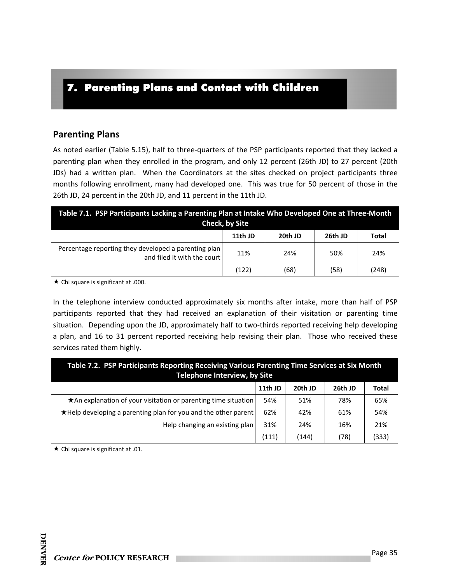# 7. Parenting Plans and Contact with Children

#### **Parenting Plans**

As noted earlier (Table 5.15), half to three‐quarters of the PSP participants reported that they lacked a parenting plan when they enrolled in the program, and only 12 percent (26th JD) to 27 percent (20th JDs) had a written plan. When the Coordinators at the sites checked on project participants three months following enrollment, many had developed one. This was true for 50 percent of those in the 26th JD, 24 percent in the 20th JD, and 11 percent in the 11th JD.

| Table 7.1. PSP Participants Lacking a Parenting Plan at Intake Who Developed One at Three-Month<br><b>Check, by Site</b> |         |         |         |       |  |
|--------------------------------------------------------------------------------------------------------------------------|---------|---------|---------|-------|--|
|                                                                                                                          | 11th JD | 20th JD | 26th JD | Total |  |
| Percentage reporting they developed a parenting plan<br>and filed it with the court                                      | 11%     | 24%     | 50%     | 24%   |  |
|                                                                                                                          | (122)   | (68)    | (58)    | (248) |  |
| $\star$ Chi square is significant at .000.                                                                               |         |         |         |       |  |

In the telephone interview conducted approximately six months after intake, more than half of PSP participants reported that they had received an explanation of their visitation or parenting time situation. Depending upon the JD, approximately half to two-thirds reported receiving help developing a plan, and 16 to 31 percent reported receiving help revising their plan. Those who received these services rated them highly.

| Table 7.2. PSP Participants Reporting Receiving Various Parenting Time Services at Six Month<br><b>Telephone Interview, by Site</b> |         |         |         |              |
|-------------------------------------------------------------------------------------------------------------------------------------|---------|---------|---------|--------------|
|                                                                                                                                     | 11th JD | 20th JD | 26th JD | <b>Total</b> |
| ★ An explanation of your visitation or parenting time situation                                                                     | 54%     | 51%     | 78%     | 65%          |
| $\star$ Help developing a parenting plan for you and the other parent                                                               | 62%     | 42%     | 61%     | 54%          |
| Help changing an existing plan                                                                                                      | 31%     | 24%     | 16%     | 21%          |
| (111)<br>(78)<br>(333)<br>(144)                                                                                                     |         |         |         |              |
| $\star$ Chi square is significant at .01.                                                                                           |         |         |         |              |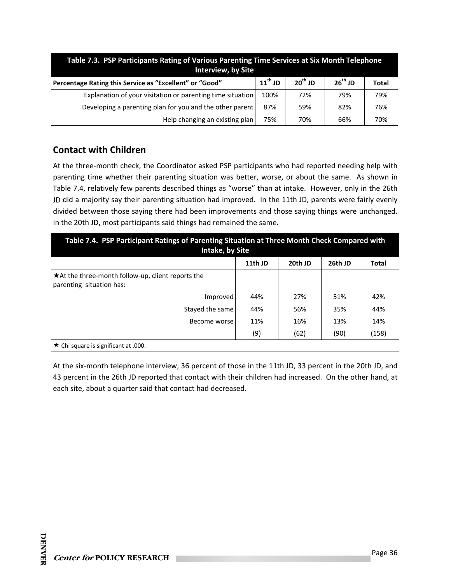| Table 7.3. PSP Participants Rating of Various Parenting Time Services at Six Month Telephone<br><b>Interview, by Site</b> |                     |           |              |       |
|---------------------------------------------------------------------------------------------------------------------------|---------------------|-----------|--------------|-------|
| Percentage Rating this Service as "Excellent" or "Good"                                                                   | $11^{\text{th}}$ JD | $20th$ JD | $26^{th}$ JD | Total |
| Explanation of your visitation or parenting time situation                                                                | 100%                | 72%       | 79%          | 79%   |
| Developing a parenting plan for you and the other parent                                                                  | 87%                 | 59%       | 82%          | 76%   |
| Help changing an existing plan                                                                                            | 75%                 | 70%       | 66%          | 70%   |

### **Contact with Children**

At the three‐month check, the Coordinator asked PSP participants who had reported needing help with parenting time whether their parenting situation was better, worse, or about the same. As shown in Table 7.4, relatively few parents described things as "worse" than at intake. However, only in the 26th JD did a majority say their parenting situation had improved. In the 11th JD, parents were fairly evenly divided between those saying there had been improvements and those saying things were unchanged. In the 20th JD, most participants said things had remained the same.

| Table 7.4. PSP Participant Ratings of Parenting Situation at Three Month Check Compared with<br><b>Intake, by Site</b> |         |         |         |              |  |
|------------------------------------------------------------------------------------------------------------------------|---------|---------|---------|--------------|--|
|                                                                                                                        | 11th JD | 20th JD | 26th JD | <b>Total</b> |  |
| $\star$ At the three-month follow-up, client reports the<br>parenting situation has:                                   |         |         |         |              |  |
| Improved                                                                                                               | 44%     | 27%     | 51%     | 42%          |  |
| Stayed the same                                                                                                        | 44%     | 56%     | 35%     | 44%          |  |
| Become worse                                                                                                           | 11%     | 16%     | 13%     | 14%          |  |
|                                                                                                                        | (9)     | (62)    | (90)    | (158)        |  |
| $\star$ Chi square is significant at .000.                                                                             |         |         |         |              |  |

At the six‐month telephone interview, 36 percent of those in the 11th JD, 33 percent in the 20th JD, and 43 percent in the 26th JD reported that contact with their children had increased. On the other hand, at each site, about a quarter said that contact had decreased.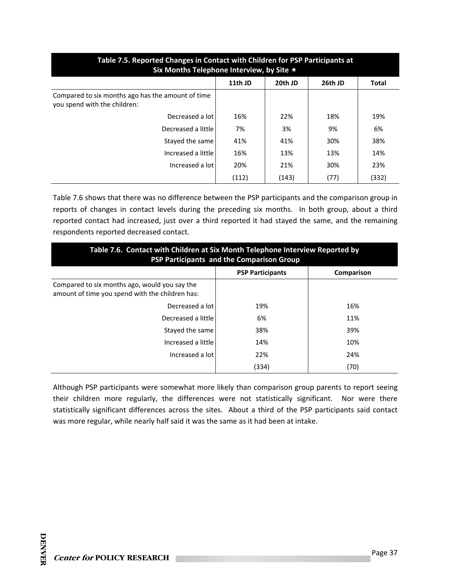| Table 7.5. Reported Changes in Contact with Children for PSP Participants at<br>Six Months Telephone Interview, by Site $\star$ |         |         |         |              |  |  |  |
|---------------------------------------------------------------------------------------------------------------------------------|---------|---------|---------|--------------|--|--|--|
|                                                                                                                                 | 11th JD | 20th JD | 26th JD | <b>Total</b> |  |  |  |
| Compared to six months ago has the amount of time<br>you spend with the children:                                               |         |         |         |              |  |  |  |
| Decreased a lot                                                                                                                 | 16%     | 22%     | 18%     | 19%          |  |  |  |
| Decreased a little                                                                                                              | 7%      | 3%      | 9%      | 6%           |  |  |  |
| Stayed the same                                                                                                                 | 41%     | 41%     | 30%     | 38%          |  |  |  |
| Increased a little                                                                                                              | 16%     | 13%     | 13%     | 14%          |  |  |  |
| Increased a lot                                                                                                                 | 20%     | 21%     | 30%     | 23%          |  |  |  |
|                                                                                                                                 | (112)   | (143)   | (77)    | (332)        |  |  |  |

Table 7.6 shows that there was no difference between the PSP participants and the comparison group in reports of changes in contact levels during the preceding six months. In both group, about a third reported contact had increased, just over a third reported it had stayed the same, and the remaining respondents reported decreased contact.

| Table 7.6. Contact with Children at Six Month Telephone Interview Reported by<br>PSP Participants and the Comparison Group |                         |            |  |  |
|----------------------------------------------------------------------------------------------------------------------------|-------------------------|------------|--|--|
|                                                                                                                            | <b>PSP Participants</b> | Comparison |  |  |
| Compared to six months ago, would you say the<br>amount of time you spend with the children has:                           |                         |            |  |  |
| Decreased a lot                                                                                                            | 19%                     | 16%        |  |  |
| Decreased a little                                                                                                         | 6%                      | 11%        |  |  |
| Stayed the same                                                                                                            | 38%                     | 39%        |  |  |
| Increased a little                                                                                                         | 14%                     | 10%        |  |  |
| Increased a lot                                                                                                            | 22%                     | 24%        |  |  |
|                                                                                                                            | (334)                   | (70)       |  |  |

Although PSP participants were somewhat more likely than comparison group parents to report seeing their children more regularly, the differences were not statistically significant. Nor were there statistically significant differences across the sites. About a third of the PSP participants said contact was more regular, while nearly half said it was the same as it had been at intake.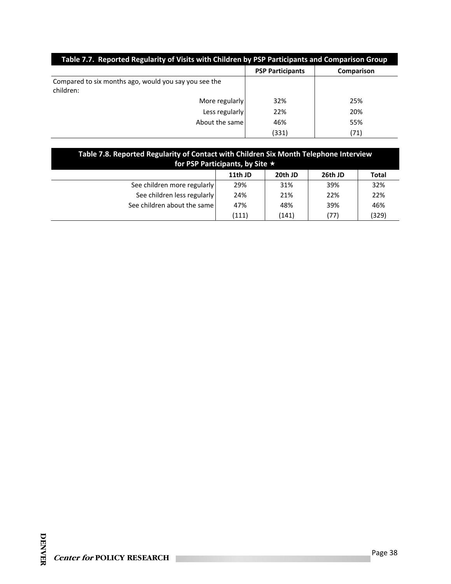| Table 7.7. Reported Regularity of Visits with Children by PSP Participants and Comparison Group |                         |            |  |  |
|-------------------------------------------------------------------------------------------------|-------------------------|------------|--|--|
|                                                                                                 | <b>PSP Participants</b> | Comparison |  |  |
| Compared to six months ago, would you say you see the<br>children:                              |                         |            |  |  |
| More regularly                                                                                  | 32%                     | 25%        |  |  |
| Less regularly                                                                                  | 22%                     | 20%        |  |  |
| About the same                                                                                  | 46%                     | 55%        |  |  |
|                                                                                                 | (331)                   | (71)       |  |  |

| Table 7.8. Reported Regularity of Contact with Children Six Month Telephone Interview<br>for PSP Participants, by Site $\star$ |         |         |         |       |  |  |
|--------------------------------------------------------------------------------------------------------------------------------|---------|---------|---------|-------|--|--|
|                                                                                                                                | 11th JD | 20th JD | 26th JD | Total |  |  |
| See children more regularly                                                                                                    | 29%     | 31%     | 39%     | 32%   |  |  |
| See children less regularly                                                                                                    | 24%     | 21%     | 22%     | 22%   |  |  |
| See children about the same                                                                                                    | 47%     | 48%     | 39%     | 46%   |  |  |
|                                                                                                                                | (111)   | (141)   | (77)    | (329) |  |  |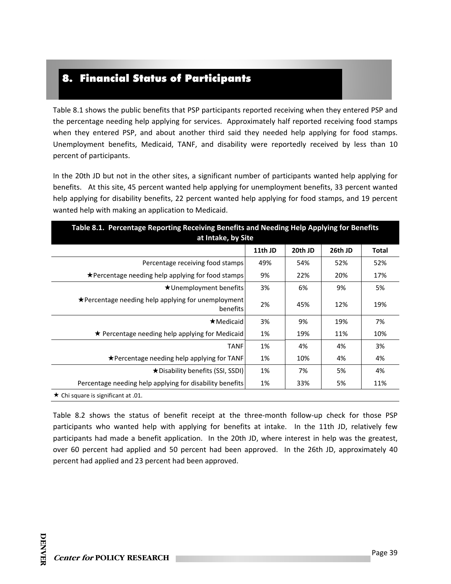# 8. Financial Status of Participants

Table 8.1 shows the public benefits that PSP participants reported receiving when they entered PSP and the percentage needing help applying for services. Approximately half reported receiving food stamps when they entered PSP, and about another third said they needed help applying for food stamps. Unemployment benefits, Medicaid, TANF, and disability were reportedly received by less than 10 percent of participants.

In the 20th JD but not in the other sites, a significant number of participants wanted help applying for benefits. At this site, 45 percent wanted help applying for unemployment benefits, 33 percent wanted help applying for disability benefits, 22 percent wanted help applying for food stamps, and 19 percent wanted help with making an application to Medicaid.

| Table 8.1. Percentage Reporting Receiving Benefits and Needing Help Applying for Benefits<br>at Intake, by Site |         |         |         |              |
|-----------------------------------------------------------------------------------------------------------------|---------|---------|---------|--------------|
|                                                                                                                 | 11th JD | 20th JD | 26th JD | <b>Total</b> |
| Percentage receiving food stamps                                                                                | 49%     | 54%     | 52%     | 52%          |
| ★Percentage needing help applying for food stamps                                                               | 9%      | 22%     | 20%     | 17%          |
| $\star$ Unemployment benefits                                                                                   | 3%      | 6%      | 9%      | 5%           |
| $\star$ Percentage needing help applying for unemployment<br>benefits                                           | 2%      | 45%     | 12%     | 19%          |
| $\star$ Medicaid                                                                                                | 3%      | 9%      | 19%     | 7%           |
| $\star$ Percentage needing help applying for Medicaid                                                           | 1%      | 19%     | 11%     | 10%          |
| <b>TANF</b>                                                                                                     | 1%      | 4%      | 4%      | 3%           |
| ★Percentage needing help applying for TANF                                                                      | 1%      | 10%     | 4%      | 4%           |
| ★ Disability benefits (SSI, SSDI)                                                                               | 1%      | 7%      | 5%      | 4%           |
| Percentage needing help applying for disability benefits                                                        | 1%      | 33%     | 5%      | 11%          |

Table 8.2 shows the status of benefit receipt at the three-month follow-up check for those PSP participants who wanted help with applying for benefits at intake. In the 11th JD, relatively few participants had made a benefit application. In the 20th JD, where interest in help was the greatest, over 60 percent had applied and 50 percent had been approved. In the 26th JD, approximately 40 percent had applied and 23 percent had been approved.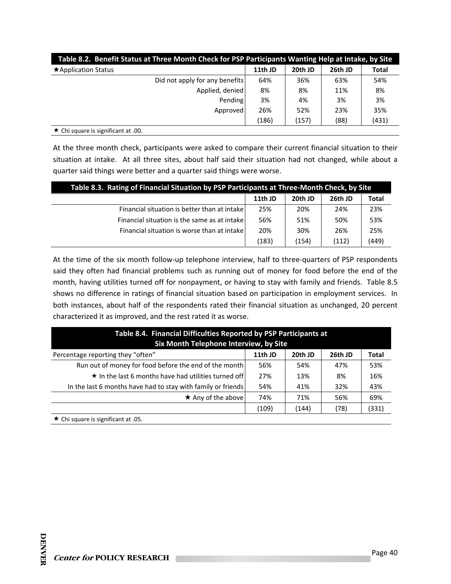| Table 8.2. Benefit Status at Three Month Check for PSP Participants Wanting Help at Intake, by Site |         |         |         |              |  |
|-----------------------------------------------------------------------------------------------------|---------|---------|---------|--------------|--|
| $\star$ Application Status                                                                          | 11th JD | 20th JD | 26th JD | <b>Total</b> |  |
| Did not apply for any benefits                                                                      | 64%     | 36%     | 63%     | 54%          |  |
| Applied, denied                                                                                     | 8%      | 8%      | 11%     | 8%           |  |
| Pending                                                                                             | 3%      | 4%      | 3%      | 3%           |  |
| Approved                                                                                            | 26%     | 52%     | 23%     | 35%          |  |
|                                                                                                     | (186)   | (157)   | (88)    | (431)        |  |
| $\star$ Chi square is significant at .00.                                                           |         |         |         |              |  |

At the three month check, participants were asked to compare their current financial situation to their situation at intake. At all three sites, about half said their situation had not changed, while about a quarter said things were better and a quarter said things were worse.

| Table 8.3. Rating of Financial Situation by PSP Participants at Three-Month Check, by Site |         |         |         |       |  |
|--------------------------------------------------------------------------------------------|---------|---------|---------|-------|--|
|                                                                                            | 11th JD | 20th JD | 26th JD | Total |  |
| Financial situation is better than at intake                                               | 25%     | 20%     | 24%     | 23%   |  |
| Financial situation is the same as at intake                                               | 56%     | 51%     | 50%     | 53%   |  |
| Financial situation is worse than at intake                                                | 20%     | 30%     | 26%     | 25%   |  |
|                                                                                            | (183)   | (154)   | (112)   | (449) |  |

At the time of the six month follow-up telephone interview, half to three-quarters of PSP respondents said they often had financial problems such as running out of money for food before the end of the month, having utilities turned off for nonpayment, or having to stay with family and friends. Table 8.5 shows no difference in ratings of financial situation based on participation in employment services. In both instances, about half of the respondents rated their financial situation as unchanged, 20 percent characterized it as improved, and the rest rated it as worse.

| Table 8.4. Financial Difficulties Reported by PSP Participants at<br>Six Month Telephone Interview, by Site |         |         |         |              |  |
|-------------------------------------------------------------------------------------------------------------|---------|---------|---------|--------------|--|
| Percentage reporting they "often"                                                                           | 11th JD | 20th JD | 26th JD | <b>Total</b> |  |
| Run out of money for food before the end of the month                                                       | 56%     | 54%     | 47%     | 53%          |  |
| $\star$ In the last 6 months have had utilities turned off                                                  | 27%     | 13%     | 8%      | 16%          |  |
| In the last 6 months have had to stay with family or friends                                                | 54%     | 41%     | 32%     | 43%          |  |
| $\star$ Any of the above                                                                                    | 74%     | 71%     | 56%     | 69%          |  |
| (331)<br>(78)<br>(109)<br>(144)                                                                             |         |         |         |              |  |
| <b>★</b> Chi square is significant at .05.                                                                  |         |         |         |              |  |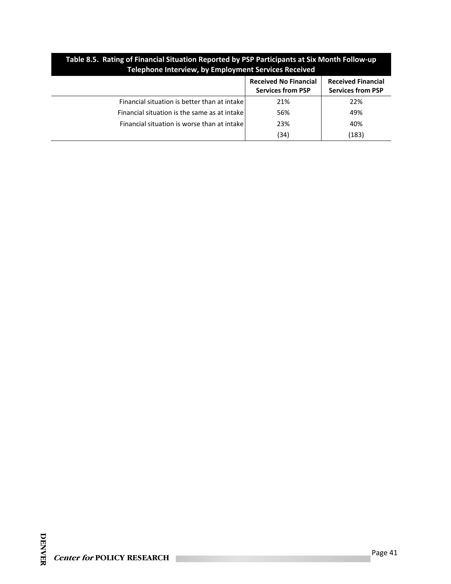| Table 8.5. Rating of Financial Situation Reported by PSP Participants at Six Month Follow-up<br>Telephone Interview, by Employment Services Received |                                                          |                                                       |  |  |  |
|------------------------------------------------------------------------------------------------------------------------------------------------------|----------------------------------------------------------|-------------------------------------------------------|--|--|--|
|                                                                                                                                                      | <b>Received No Financial</b><br><b>Services from PSP</b> | <b>Received Financial</b><br><b>Services from PSP</b> |  |  |  |
| Financial situation is better than at intake                                                                                                         | 21%                                                      | 22%                                                   |  |  |  |
| Financial situation is the same as at intake                                                                                                         | 56%                                                      | 49%                                                   |  |  |  |
| Financial situation is worse than at intake                                                                                                          | 23%                                                      | 40%                                                   |  |  |  |
|                                                                                                                                                      | (34)                                                     | (183)                                                 |  |  |  |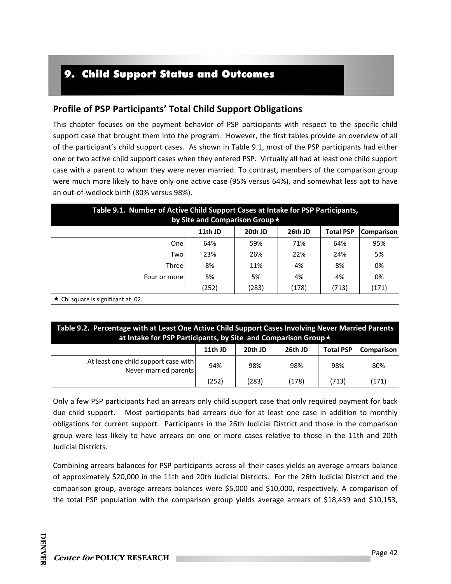# 9. Child Support Status and Outcomes

### **Profile of PSP Participants' Total Child Support Obligations**

This chapter focuses on the payment behavior of PSP participants with respect to the specific child support case that brought them into the program. However, the first tables provide an overview of all of the participant's child support cases. As shown in Table 9.1, most of the PSP participants had either one or two active child support cases when they entered PSP. Virtually all had at least one child support case with a parent to whom they were never married. To contrast, members of the comparison group were much more likely to have only one active case (95% versus 64%), and somewhat less apt to have an out‐of‐wedlock birth (80% versus 98%).

| Table 9.1. Number of Active Child Support Cases at Intake for PSP Participants,<br>by Site and Comparison Group * |         |         |         |                  |            |  |
|-------------------------------------------------------------------------------------------------------------------|---------|---------|---------|------------------|------------|--|
|                                                                                                                   | 11th JD | 20th JD | 26th JD | <b>Total PSP</b> | Comparison |  |
| One                                                                                                               | 64%     | 59%     | 71%     | 64%              | 95%        |  |
| Two                                                                                                               | 23%     | 26%     | 22%     | 24%              | 5%         |  |
| <b>Three</b>                                                                                                      | 8%      | 11%     | 4%      | 8%               | 0%         |  |
| Four or more                                                                                                      | 5%      | 5%      | 4%      | 4%               | 0%         |  |
|                                                                                                                   | (252)   | (283)   | (178)   | (713)            | (171)      |  |

 $\star$  Chi square is significant at .02.

**Table 9.2. Percentage with at Least One Active Child Support Cases Involving Never Married Parents at Intake for PSP Participants, by Site and Comparison Group**

|                                                               | 11th JD | 20th JD | 26th JD | <b>Total PSP</b> | <b>Comparison</b> |
|---------------------------------------------------------------|---------|---------|---------|------------------|-------------------|
| At least one child support case with<br>Never-married parents | 94%     | 98%     | 98%     | 98%              | 80%               |
|                                                               | (252)   | (283)   | (178)   | (713)            | (171)             |

Only a few PSP participants had an arrears only child support case that only required payment for back due child support. Most participants had arrears due for at least one case in addition to monthly obligations for current support. Participants in the 26th Judicial District and those in the comparison group were less likely to have arrears on one or more cases relative to those in the 11th and 20th Judicial Districts.

Combining arrears balances for PSP participants across all their cases yields an average arrears balance of approximately \$20,000 in the 11th and 20th Judicial Districts. For the 26th Judicial District and the comparison group, average arrears balances were \$5,000 and \$10,000, respectively. A comparison of the total PSP population with the comparison group yields average arrears of \$18,439 and \$10,153,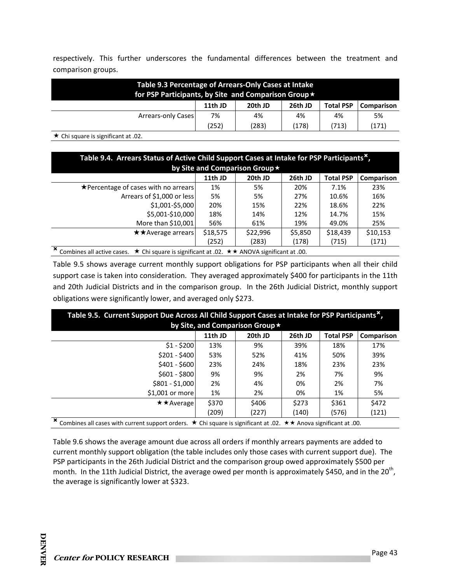respectively. This further underscores the fundamental differences between the treatment and comparison groups.

| Table 9.3 Percentage of Arrears-Only Cases at Intake<br>for PSP Participants, by Site and Comparison Group ★ |         |         |         |                  |            |  |
|--------------------------------------------------------------------------------------------------------------|---------|---------|---------|------------------|------------|--|
|                                                                                                              | 11th JD | 20th JD | 26th JD | <b>Total PSP</b> | Comparison |  |
| Arrears-only Cases                                                                                           | 7%      | 4%      | 4%      | 4%               | 5%         |  |
|                                                                                                              | (252)   | (283)   | (178)   | (713)            | (171)      |  |
| ★ Chi square is significant at .02.                                                                          |         |         |         |                  |            |  |

| Table 9.4. Arrears Status of Active Child Support Cases at Intake for PSP Participants <sup>x</sup> ,        |          |          |         |                  |            |  |
|--------------------------------------------------------------------------------------------------------------|----------|----------|---------|------------------|------------|--|
| by Site and Comparison Group *                                                                               |          |          |         |                  |            |  |
|                                                                                                              | 11th JD  | 20th JD  | 26th JD | <b>Total PSP</b> | Comparison |  |
| $\star$ Percentage of cases with no arrears                                                                  | 1%       | 5%       | 20%     | 7.1%             | 23%        |  |
| Arrears of \$1,000 or less                                                                                   | 5%       | 5%       | 27%     | 10.6%            | 16%        |  |
| \$1,001-\$5,000                                                                                              | 20%      | 15%      | 22%     | 18.6%            | 22%        |  |
| \$5,001-\$10,000                                                                                             | 18%      | 14%      | 12%     | 14.7%            | 15%        |  |
| More than \$10,001                                                                                           | 56%      | 61%      | 19%     | 49.0%            | 25%        |  |
| <b>★★Average arrears</b>                                                                                     | \$18,575 | \$22,996 | \$5,850 | \$18,439         | \$10,153   |  |
|                                                                                                              | (252)    | (283)    | (178)   | (715)            | (171)      |  |
| Combines all active cases. $\star$ Chi square is significant at .02. $\star \star$ ANOVA significant at .00. |          |          |         |                  |            |  |

Table 9.5 shows average current monthly support obligations for PSP participants when all their child support case is taken into consideration. They averaged approximately \$400 for participants in the 11th and 20th Judicial Districts and in the comparison group. In the 26th Judicial District, monthly support obligations were significantly lower, and averaged only \$273.

| Table 9.5. Current Support Due Across All Child Support Cases at Intake for PSP Participants <sup>x</sup> , |                                                                                                                                   |         |         |                  |            |  |  |  |
|-------------------------------------------------------------------------------------------------------------|-----------------------------------------------------------------------------------------------------------------------------------|---------|---------|------------------|------------|--|--|--|
| by Site, and Comparison Group *                                                                             |                                                                                                                                   |         |         |                  |            |  |  |  |
|                                                                                                             | 11th JD                                                                                                                           | 20th JD | 26th JD | <b>Total PSP</b> | Comparison |  |  |  |
| $$1 - $200$                                                                                                 | 13%                                                                                                                               | 9%      | 39%     | 18%              | 17%        |  |  |  |
| $$201 - $400$                                                                                               | 53%                                                                                                                               | 52%     | 41%     | 50%              | 39%        |  |  |  |
| $$401 - $600$                                                                                               | 23%                                                                                                                               | 24%     | 18%     | 23%              | 23%        |  |  |  |
| \$601 - \$800                                                                                               | 9%                                                                                                                                | 9%      | 2%      | 7%               | 9%         |  |  |  |
| $$801 - $1,000$                                                                                             | 2%                                                                                                                                | 4%      | 0%      | 2%               | 7%         |  |  |  |
| $$1.001$ or more                                                                                            | 1%                                                                                                                                | 2%      | 0%      | 1%               | 5%         |  |  |  |
| $\star \star$ Average                                                                                       | \$370                                                                                                                             | \$406   | \$273   | \$361            | \$472      |  |  |  |
|                                                                                                             | (209)                                                                                                                             | (227)   | (140)   | (576)            | (121)      |  |  |  |
| $\overline{\mathbf{x}}$                                                                                     | Combines all cases with current support orders. $\star$ Chi square is significant at .02. $\star \star$ Anova significant at .00. |         |         |                  |            |  |  |  |

Table 9.6 shows the average amount due across all orders if monthly arrears payments are added to current monthly support obligation (the table includes only those cases with current support due). The PSP participants in the 26th Judicial District and the comparison group owed approximately \$500 per month. In the 11th Judicial District, the average owed per month is approximately \$450, and in the 20<sup>th</sup>, the average is significantly lower at \$323.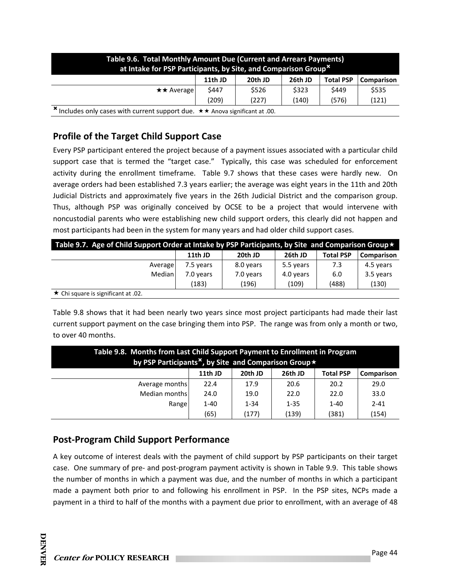| <b>Table 9.6. Total Monthly Amount Due (Current and Arrears Payments)</b><br>at Intake for PSP Participants, by Site, and Comparison Group <sup>x</sup> |         |         |         |                  |            |  |
|---------------------------------------------------------------------------------------------------------------------------------------------------------|---------|---------|---------|------------------|------------|--|
|                                                                                                                                                         | 11th JD | 20th JD | 26th JD | <b>Total PSP</b> | Comparison |  |
| $\star\star$ Average                                                                                                                                    | \$447   | \$526   | \$323   | S449             | \$535      |  |
|                                                                                                                                                         | (209)   | (227)   | (140)   | (576)            | (121)      |  |
| <sup>★</sup> Includes only cases with current support due. ★★ Anova significant at .00.                                                                 |         |         |         |                  |            |  |

# **Profile of the Target Child Support Case**

Every PSP participant entered the project because of a payment issues associated with a particular child support case that is termed the "target case." Typically, this case was scheduled for enforcement activity during the enrollment timeframe. Table 9.7 shows that these cases were hardly new. On average orders had been established 7.3 years earlier; the average was eight years in the 11th and 20th Judicial Districts and approximately five years in the 26th Judicial District and the comparison group. Thus, although PSP was originally conceived by OCSE to be a project that would intervene with noncustodial parents who were establishing new child support orders, this clearly did not happen and most participants had been in the system for many years and had older child support cases.

| Table 9.7. Age of Child Support Order at Intake by PSP Participants, by Site and Comparison Group $\star$ |           |           |           |                  |            |  |  |
|-----------------------------------------------------------------------------------------------------------|-----------|-----------|-----------|------------------|------------|--|--|
|                                                                                                           | 11th JD   | 20th JD   | 26th JD   | <b>Total PSP</b> | Comparison |  |  |
| Average                                                                                                   | 7.5 years | 8.0 years | 5.5 years | 7.3              | 4.5 years  |  |  |
| Median                                                                                                    | 7.0 years | 7.0 years | 4.0 years | 6.0              | 3.5 years  |  |  |
|                                                                                                           | (183)     | (196)     | (109)     | (488)            | (130)      |  |  |
| ★ Chi square is significant at .02.                                                                       |           |           |           |                  |            |  |  |

Table 9.8 shows that it had been nearly two years since most project participants had made their last current support payment on the case bringing them into PSP. The range was from only a month or two, to over 40 months.

| Table 9.8. Months from Last Child Support Payment to Enrollment in Program<br>by PSP Participants <sup>x</sup> , by Site and Comparison Group $\star$ |          |          |          |                  |            |  |  |
|-------------------------------------------------------------------------------------------------------------------------------------------------------|----------|----------|----------|------------------|------------|--|--|
|                                                                                                                                                       | 11th JD  | 20th JD  | 26th JD  | <b>Total PSP</b> | Comparison |  |  |
| Average months                                                                                                                                        | 22.4     | 17.9     | 20.6     | 20.2             | 29.0       |  |  |
| Median months                                                                                                                                         | 24.0     | 19.0     | 22.0     | 22.0             | 33.0       |  |  |
| Range                                                                                                                                                 | $1 - 40$ | $1 - 34$ | $1 - 35$ | $1 - 40$         | $2 - 41$   |  |  |
|                                                                                                                                                       | (65)     | (177)    | (139)    | (381)            | (154)      |  |  |

# **Post‐Program Child Support Performance**

A key outcome of interest deals with the payment of child support by PSP participants on their target case. One summary of pre‐ and post‐program payment activity is shown in Table 9.9. This table shows the number of months in which a payment was due, and the number of months in which a participant made a payment both prior to and following his enrollment in PSP. In the PSP sites, NCPs made a payment in a third to half of the months with a payment due prior to enrollment, with an average of 48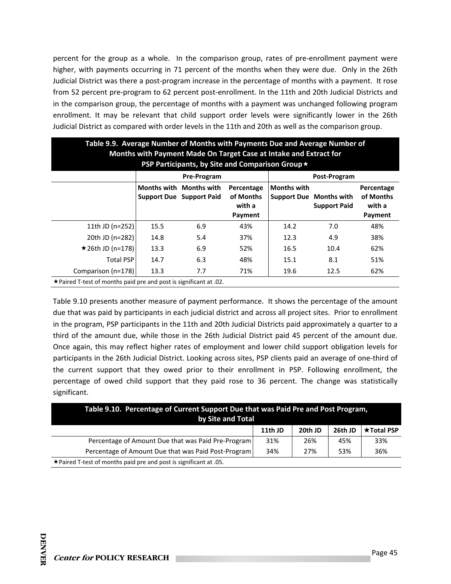percent for the group as a whole. In the comparison group, rates of pre-enrollment payment were higher, with payments occurring in 71 percent of the months when they were due. Only in the 26th Judicial District was there a post‐program increase in the percentage of months with a payment. It rose from 52 percent pre-program to 62 percent post-enrollment. In the 11th and 20th Judicial Districts and in the comparison group, the percentage of months with a payment was unchanged following program enrollment. It may be relevant that child support order levels were significantly lower in the 26th Judicial District as compared with order levels in the 11th and 20th as well as the comparison group.

| Table 9.9. Average Number of Months with Payments Due and Average Number of<br>Months with Payment Made On Target Case at Intake and Extract for |                                                  |                                                            |                                              |                    |                                                       |                                              |  |  |
|--------------------------------------------------------------------------------------------------------------------------------------------------|--------------------------------------------------|------------------------------------------------------------|----------------------------------------------|--------------------|-------------------------------------------------------|----------------------------------------------|--|--|
|                                                                                                                                                  | PSP Participants, by Site and Comparison Group ★ |                                                            |                                              |                    |                                                       |                                              |  |  |
|                                                                                                                                                  | Pre-Program<br>Post-Program                      |                                                            |                                              |                    |                                                       |                                              |  |  |
|                                                                                                                                                  |                                                  | Months with Months with<br><b>Support Due Support Paid</b> | Percentage<br>of Months<br>with a<br>Payment | <b>Months with</b> | <b>Support Due Months with</b><br><b>Support Paid</b> | Percentage<br>of Months<br>with a<br>Payment |  |  |
| 11th JD (n=252)                                                                                                                                  | 15.5                                             | 6.9                                                        | 43%                                          | 14.2               | 7.0                                                   | 48%                                          |  |  |
| 20th JD (n=282)                                                                                                                                  | 14.8                                             | 5.4                                                        | 37%                                          | 12.3               | 4.9                                                   | 38%                                          |  |  |
| $\star$ 26th JD (n=178)                                                                                                                          | 13.3                                             | 6.9                                                        | 52%                                          | 16.5               | 10.4                                                  | 62%                                          |  |  |
| <b>Total PSP</b>                                                                                                                                 | 14.7                                             | 6.3                                                        | 48%                                          | 15.1               | 8.1                                                   | 51%                                          |  |  |
| Comparison (n=178)                                                                                                                               | 13.3                                             | 7.7                                                        | 71%                                          | 19.6               | 12.5                                                  | 62%                                          |  |  |
| ★ Paired T-test of months paid pre and post is significant at .02.                                                                               |                                                  |                                                            |                                              |                    |                                                       |                                              |  |  |

Table 9.10 presents another measure of payment performance. It shows the percentage of the amount due that was paid by participants in each judicial district and across all project sites. Prior to enrollment in the program, PSP participants in the 11th and 20th Judicial Districts paid approximately a quarter to a third of the amount due, while those in the 26th Judicial District paid 45 percent of the amount due. Once again, this may reflect higher rates of employment and lower child support obligation levels for participants in the 26th Judicial District. Looking across sites, PSP clients paid an average of one‐third of the current support that they owed prior to their enrollment in PSP. Following enrollment, the percentage of owed child support that they paid rose to 36 percent. The change was statistically significant.

| Table 9.10. Percentage of Current Support Due that was Paid Pre and Post Program,<br>by Site and Total |         |         |         |                   |  |  |
|--------------------------------------------------------------------------------------------------------|---------|---------|---------|-------------------|--|--|
|                                                                                                        | 11th JD | 20th JD | 26th JD | <b>★Total PSP</b> |  |  |
| Percentage of Amount Due that was Paid Pre-Program                                                     | 31%     | 26%     | 45%     | 33%               |  |  |
| Percentage of Amount Due that was Paid Post-Program                                                    | 34%     | 27%     | 53%     | 36%               |  |  |
| $\star$ Paired T-test of months paid pre and post is significant at .05.                               |         |         |         |                   |  |  |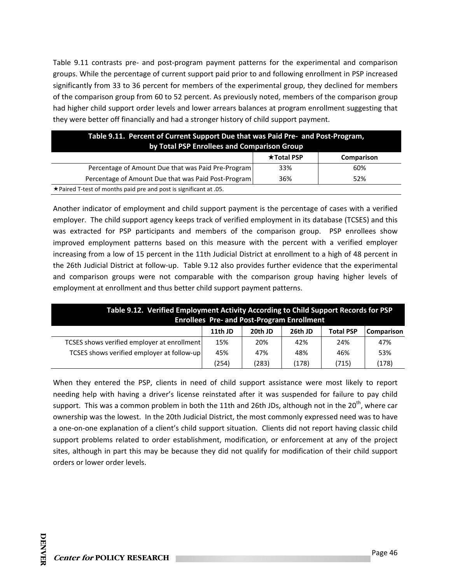Table 9.11 contrasts pre- and post-program payment patterns for the experimental and comparison groups. While the percentage of current support paid prior to and following enrollment in PSP increased significantly from 33 to 36 percent for members of the experimental group, they declined for members of the comparison group from 60 to 52 percent. As previously noted, members of the comparison group had higher child support order levels and lower arrears balances at program enrollment suggesting that they were better off financially and had a stronger history of child support payment.

| Table 9.11. Percent of Current Support Due that was Paid Pre- and Post-Program,<br>by Total PSP Enrollees and Comparison Group |                   |            |  |  |  |
|--------------------------------------------------------------------------------------------------------------------------------|-------------------|------------|--|--|--|
|                                                                                                                                | <b>★Total PSP</b> | Comparison |  |  |  |
| Percentage of Amount Due that was Paid Pre-Program                                                                             | 33%               | 60%        |  |  |  |
| Percentage of Amount Due that was Paid Post-Program                                                                            | 36%               | 52%        |  |  |  |
| $\star$ Paired T-test of months paid pre and post is significant at .05.                                                       |                   |            |  |  |  |

Another indicator of employment and child support payment is the percentage of cases with a verified employer. The child support agency keeps track of verified employment in its database (TCSES) and this was extracted for PSP participants and members of the comparison group. PSP enrollees show improved employment patterns based on this measure with the percent with a verified employer increasing from a low of 15 percent in the 11th Judicial District at enrollment to a high of 48 percent in the 26th Judicial District at follow‐up. Table 9.12 also provides further evidence that the experimental and comparison groups were not comparable with the comparison group having higher levels of employment at enrollment and thus better child support payment patterns.

| Table 9.12. Verified Employment Activity According to Child Support Records for PSP<br><b>Enrollees Pre- and Post-Program Enrollment</b> |         |         |         |                  |                   |  |
|------------------------------------------------------------------------------------------------------------------------------------------|---------|---------|---------|------------------|-------------------|--|
|                                                                                                                                          | 11th JD | 20th JD | 26th JD | <b>Total PSP</b> | <b>Comparison</b> |  |
| TCSES shows verified employer at enrollment                                                                                              | 15%     | 20%     | 42%     | 24%              | 47%               |  |
| TCSES shows verified employer at follow-up                                                                                               | 45%     | 47%     | 48%     | 46%              | 53%               |  |
|                                                                                                                                          | (254)   | (283)   | (178)   | (715)            | (178)             |  |

When they entered the PSP, clients in need of child support assistance were most likely to report needing help with having a driver's license reinstated after it was suspended for failure to pay child support. This was a common problem in both the 11th and 26th JDs, although not in the 20<sup>th</sup>, where car ownership was the lowest. In the 20th Judicial District, the most commonly expressed need was to have a one‐on‐one explanation of a client's child support situation. Clients did not report having classic child support problems related to order establishment, modification, or enforcement at any of the project sites, although in part this may be because they did not qualify for modification of their child support orders or lower order levels.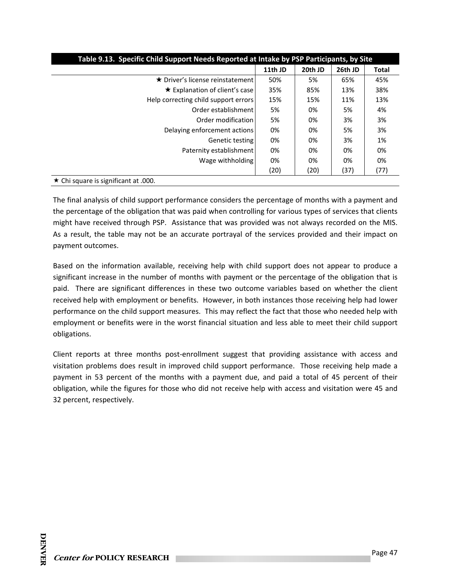| Table 9.13. Specific Child Support Needs Reported at Intake by PSP Participants, by Site |         |         |         |              |
|------------------------------------------------------------------------------------------|---------|---------|---------|--------------|
|                                                                                          | 11th JD | 20th JD | 26th JD | <b>Total</b> |
| ★ Driver's license reinstatement l                                                       | 50%     | 5%      | 65%     | 45%          |
| ★ Explanation of client's case                                                           | 35%     | 85%     | 13%     | 38%          |
| Help correcting child support errors                                                     | 15%     | 15%     | 11%     | 13%          |
| Order establishment                                                                      | 5%      | 0%      | 5%      | 4%           |
| Order modification                                                                       | 5%      | 0%      | 3%      | 3%           |
| Delaying enforcement actions                                                             | 0%      | 0%      | 5%      | 3%           |
| Genetic testing                                                                          | 0%      | 0%      | 3%      | 1%           |
| Paternity establishment                                                                  | 0%      | 0%      | 0%      | 0%           |
| Wage withholding                                                                         | 0%      | 0%      | 0%      | 0%           |
|                                                                                          | (20)    | (20)    | (37)    | (77)         |
| $\star$ Chi square is significant at .000.                                               |         |         |         |              |

The final analysis of child support performance considers the percentage of months with a payment and the percentage of the obligation that was paid when controlling for various types of services that clients might have received through PSP. Assistance that was provided was not always recorded on the MIS. As a result, the table may not be an accurate portrayal of the services provided and their impact on payment outcomes.

Based on the information available, receiving help with child support does not appear to produce a significant increase in the number of months with payment or the percentage of the obligation that is paid. There are significant differences in these two outcome variables based on whether the client received help with employment or benefits. However, in both instances those receiving help had lower performance on the child support measures. This may reflect the fact that those who needed help with employment or benefits were in the worst financial situation and less able to meet their child support obligations.

Client reports at three months post‐enrollment suggest that providing assistance with access and visitation problems does result in improved child support performance. Those receiving help made a payment in 53 percent of the months with a payment due, and paid a total of 45 percent of their obligation, while the figures for those who did not receive help with access and visitation were 45 and 32 percent, respectively.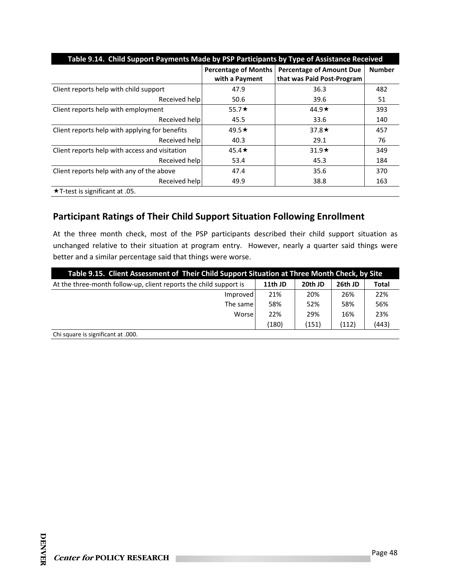| Table 9.14. Child Support Payments Made by PSP Participants by Type of Assistance Received |                             |                                 |               |  |
|--------------------------------------------------------------------------------------------|-----------------------------|---------------------------------|---------------|--|
|                                                                                            | <b>Percentage of Months</b> | <b>Percentage of Amount Due</b> | <b>Number</b> |  |
|                                                                                            | with a Payment              | that was Paid Post-Program      |               |  |
| Client reports help with child support                                                     | 47.9                        | 36.3                            | 482           |  |
| Received help                                                                              | 50.6                        | 39.6                            | 51            |  |
| Client reports help with employment                                                        | 55.7 $\star$                | 44.9 $\star$                    | 393           |  |
| Received help                                                                              | 45.5                        | 33.6                            | 140           |  |
| Client reports help with applying for benefits                                             | 49.5 $\star$                | 37.8 $\star$                    | 457           |  |
| Received help                                                                              | 40.3                        | 29.1                            | 76            |  |
| Client reports help with access and visitation                                             | $45.4\star$                 | $31.9*$                         | 349           |  |
| Received help                                                                              | 53.4                        | 45.3                            | 184           |  |
| Client reports help with any of the above                                                  | 47.4                        | 35.6                            | 370           |  |
| Received help                                                                              | 49.9                        | 38.8                            | 163           |  |
| $\star$ T-test is significant at .05.                                                      |                             |                                 |               |  |

# **Participant Ratings of Their Child Support Situation Following Enrollment**

At the three month check, most of the PSP participants described their child support situation as unchanged relative to their situation at program entry. However, nearly a quarter said things were better and a similar percentage said that things were worse.

| Table 9.15. Client Assessment of Their Child Support Situation at Three Month Check, by Site |         |         |         |              |
|----------------------------------------------------------------------------------------------|---------|---------|---------|--------------|
| At the three-month follow-up, client reports the child support is                            | 11th JD | 20th JD | 26th JD | <b>Total</b> |
| Improved                                                                                     | 21%     | 20%     | 26%     | 22%          |
| The same!                                                                                    | 58%     | 52%     | 58%     | 56%          |
| Worse                                                                                        | 22%     | 29%     | 16%     | 23%          |
|                                                                                              | (180)   | (151)   | (112)   | (443)        |
| Chi square is significant at .000.                                                           |         |         |         |              |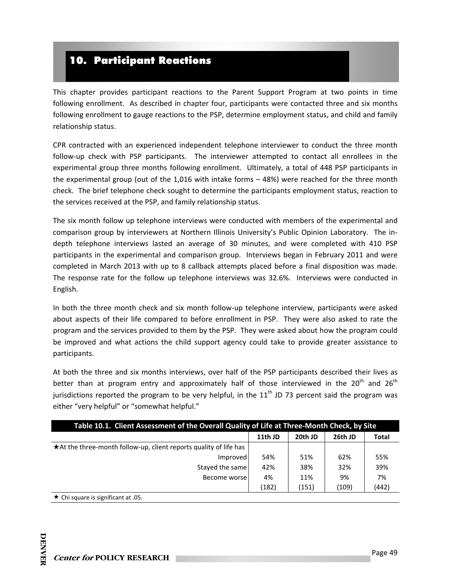# 10. Participant Reactions

This chapter provides participant reactions to the Parent Support Program at two points in time following enrollment. As described in chapter four, participants were contacted three and six months following enrollment to gauge reactions to the PSP, determine employment status, and child and family relationship status.

CPR contracted with an experienced independent telephone interviewer to conduct the three month follow-up check with PSP participants. The interviewer attempted to contact all enrollees in the experimental group three months following enrollment. Ultimately, a total of 448 PSP participants in the experimental group (out of the 1,016 with intake forms – 48%) were reached for the three month check. The brief telephone check sought to determine the participants employment status, reaction to the services received at the PSP, and family relationship status.

The six month follow up telephone interviews were conducted with members of the experimental and comparison group by interviewers at Northern Illinois University's Public Opinion Laboratory. The in‐ depth telephone interviews lasted an average of 30 minutes, and were completed with 410 PSP participants in the experimental and comparison group. Interviews began in February 2011 and were completed in March 2013 with up to 8 callback attempts placed before a final disposition was made. The response rate for the follow up telephone interviews was 32.6%. Interviews were conducted in English.

In both the three month check and six month follow-up telephone interview, participants were asked about aspects of their life compared to before enrollment in PSP. They were also asked to rate the program and the services provided to them by the PSP. They were asked about how the program could be improved and what actions the child support agency could take to provide greater assistance to participants.

At both the three and six months interviews, over half of the PSP participants described their lives as better than at program entry and approximately half of those interviewed in the  $20<sup>th</sup>$  and  $26<sup>th</sup>$ jurisdictions reported the program to be very helpful, in the  $11<sup>th</sup>$  JD 73 percent said the program was either "very helpful" or "somewhat helpful."

| Table 10.1. Client Assessment of the Overall Quality of Life at Three-Month Check, by Site |         |         |         |              |
|--------------------------------------------------------------------------------------------|---------|---------|---------|--------------|
|                                                                                            | 11th JD | 20th JD | 26th JD | <b>Total</b> |
| ★ At the three-month follow-up, client reports quality of life has                         |         |         |         |              |
| Improved                                                                                   | 54%     | 51%     | 62%     | 55%          |
| Stayed the same                                                                            | 42%     | 38%     | 32%     | 39%          |
| Become worse                                                                               | 4%      | 11%     | 9%      | 7%           |
|                                                                                            | (182)   | (151)   | (109)   | (442)        |
| $\star$ Chi square is significant at .05.                                                  |         |         |         |              |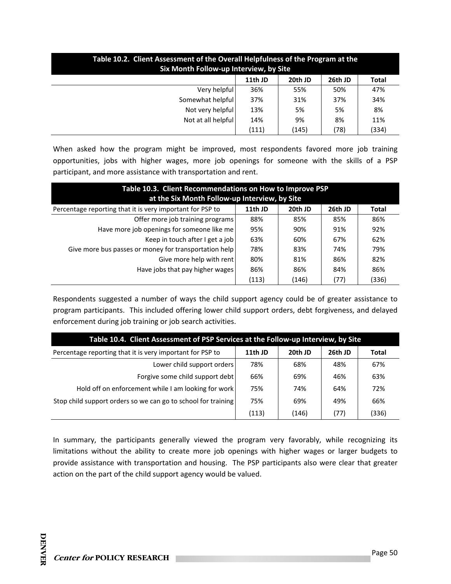| Table 10.2. Client Assessment of the Overall Helpfulness of the Program at the<br>Six Month Follow-up Interview, by Site |         |         |         |              |  |
|--------------------------------------------------------------------------------------------------------------------------|---------|---------|---------|--------------|--|
|                                                                                                                          | 11th JD | 20th JD | 26th JD | <b>Total</b> |  |
| Very helpful                                                                                                             | 36%     | 55%     | 50%     | 47%          |  |
| Somewhat helpful                                                                                                         | 37%     | 31%     | 37%     | 34%          |  |
| Not very helpful                                                                                                         | 13%     | 5%      | 5%      | 8%           |  |
| Not at all helpful                                                                                                       | 14%     | 9%      | 8%      | 11%          |  |
|                                                                                                                          | (111)   | (145)   | (78)    | (334)        |  |

When asked how the program might be improved, most respondents favored more job training opportunities, jobs with higher wages, more job openings for someone with the skills of a PSP participant, and more assistance with transportation and rent.

| Table 10.3. Client Recommendations on How to Improve PSP<br>at the Six Month Follow-up Interview, by Site |         |         |         |              |
|-----------------------------------------------------------------------------------------------------------|---------|---------|---------|--------------|
| Percentage reporting that it is very important for PSP to                                                 | 11th JD | 20th JD | 26th JD | <b>Total</b> |
| Offer more job training programs                                                                          | 88%     | 85%     | 85%     | 86%          |
| Have more job openings for someone like me                                                                | 95%     | 90%     | 91%     | 92%          |
| Keep in touch after I get a job                                                                           | 63%     | 60%     | 67%     | 62%          |
| Give more bus passes or money for transportation help                                                     | 78%     | 83%     | 74%     | 79%          |
| Give more help with rent                                                                                  | 80%     | 81%     | 86%     | 82%          |
| Have jobs that pay higher wages                                                                           | 86%     | 86%     | 84%     | 86%          |
|                                                                                                           | (113)   | (146)   | (77)    | (336)        |

Respondents suggested a number of ways the child support agency could be of greater assistance to program participants. This included offering lower child support orders, debt forgiveness, and delayed enforcement during job training or job search activities.

| Table 10.4. Client Assessment of PSP Services at the Follow-up Interview, by Site |         |         |         |       |  |
|-----------------------------------------------------------------------------------|---------|---------|---------|-------|--|
| Percentage reporting that it is very important for PSP to                         | 11th JD | 20th JD | 26th JD | Total |  |
| Lower child support orders                                                        | 78%     | 68%     | 48%     | 67%   |  |
| Forgive some child support debt                                                   | 66%     | 69%     | 46%     | 63%   |  |
| Hold off on enforcement while I am looking for work                               | 75%     | 74%     | 64%     | 72%   |  |
| Stop child support orders so we can go to school for training                     | 75%     | 69%     | 49%     | 66%   |  |
|                                                                                   | (113)   | (146)   | (77)    | (336) |  |

In summary, the participants generally viewed the program very favorably, while recognizing its limitations without the ability to create more job openings with higher wages or larger budgets to provide assistance with transportation and housing. The PSP participants also were clear that greater action on the part of the child support agency would be valued.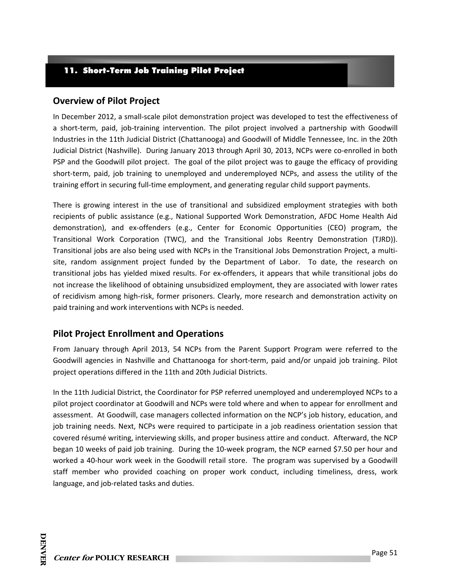### 11. Short-Term Job Training Pilot Project

### **Overview of Pilot Project**

In December 2012, a small‐scale pilot demonstration project was developed to test the effectiveness of a short-term, paid, job-training intervention. The pilot project involved a partnership with Goodwill Industries in the 11th Judicial District (Chattanooga) and Goodwill of Middle Tennessee, Inc. in the 20th Judicial District (Nashville). During January 2013 through April 30, 2013, NCPs were co‐enrolled in both PSP and the Goodwill pilot project. The goal of the pilot project was to gauge the efficacy of providing short-term, paid, job training to unemployed and underemployed NCPs, and assess the utility of the training effort in securing full‐time employment, and generating regular child support payments.

There is growing interest in the use of transitional and subsidized employment strategies with both recipients of public assistance (e.g., National Supported Work Demonstration, AFDC Home Health Aid demonstration), and ex‐offenders (e.g., Center for Economic Opportunities (CEO) program, the Transitional Work Corporation (TWC), and the Transitional Jobs Reentry Demonstration (TJRD)). Transitional jobs are also being used with NCPs in the Transitional Jobs Demonstration Project, a multi‐ site, random assignment project funded by the Department of Labor. To date, the research on transitional jobs has yielded mixed results. For ex‐offenders, it appears that while transitional jobs do not increase the likelihood of obtaining unsubsidized employment, they are associated with lower rates of recidivism among high‐risk, former prisoners. Clearly, more research and demonstration activity on paid training and work interventions with NCPs is needed.

### **Pilot Project Enrollment and Operations**

From January through April 2013, 54 NCPs from the Parent Support Program were referred to the Goodwill agencies in Nashville and Chattanooga for short‐term, paid and/or unpaid job training. Pilot project operations differed in the 11th and 20th Judicial Districts.

In the 11th Judicial District, the Coordinator for PSP referred unemployed and underemployed NCPs to a pilot project coordinator at Goodwill and NCPs were told where and when to appear for enrollment and assessment. At Goodwill, case managers collected information on the NCP's job history, education, and job training needs. Next, NCPs were required to participate in a job readiness orientation session that covered résumé writing, interviewing skills, and proper business attire and conduct. Afterward, the NCP began 10 weeks of paid job training. During the 10‐week program, the NCP earned \$7.50 per hour and worked a 40‐hour work week in the Goodwill retail store. The program was supervised by a Goodwill staff member who provided coaching on proper work conduct, including timeliness, dress, work language, and job-related tasks and duties.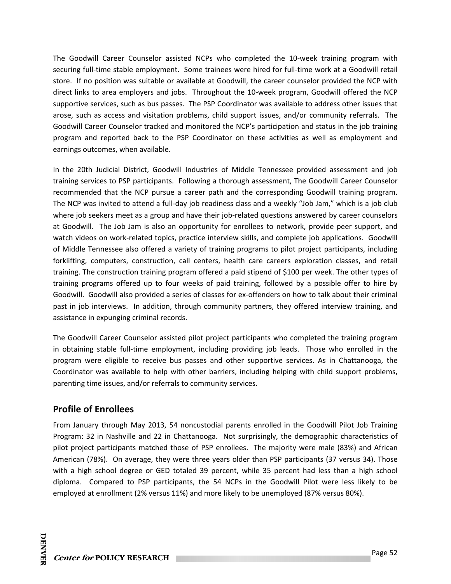The Goodwill Career Counselor assisted NCPs who completed the 10-week training program with securing full-time stable employment. Some trainees were hired for full-time work at a Goodwill retail store. If no position was suitable or available at Goodwill, the career counselor provided the NCP with direct links to area employers and jobs. Throughout the 10‐week program, Goodwill offered the NCP supportive services, such as bus passes. The PSP Coordinator was available to address other issues that arose, such as access and visitation problems, child support issues, and/or community referrals. The Goodwill Career Counselor tracked and monitored the NCP's participation and status in the job training program and reported back to the PSP Coordinator on these activities as well as employment and earnings outcomes, when available.

In the 20th Judicial District, Goodwill Industries of Middle Tennessee provided assessment and job training services to PSP participants. Following a thorough assessment, The Goodwill Career Counselor recommended that the NCP pursue a career path and the corresponding Goodwill training program. The NCP was invited to attend a full‐day job readiness class and a weekly "Job Jam," which is a job club where job seekers meet as a group and have their job-related questions answered by career counselors at Goodwill. The Job Jam is also an opportunity for enrollees to network, provide peer support, and watch videos on work‐related topics, practice interview skills, and complete job applications. Goodwill of Middle Tennessee also offered a variety of training programs to pilot project participants, including forklifting, computers, construction, call centers, health care careers exploration classes, and retail training. The construction training program offered a paid stipend of \$100 per week. The other types of training programs offered up to four weeks of paid training, followed by a possible offer to hire by Goodwill. Goodwill also provided a series of classes for ex‐offenders on how to talk about their criminal past in job interviews. In addition, through community partners, they offered interview training, and assistance in expunging criminal records.

The Goodwill Career Counselor assisted pilot project participants who completed the training program in obtaining stable full-time employment, including providing job leads. Those who enrolled in the program were eligible to receive bus passes and other supportive services. As in Chattanooga, the Coordinator was available to help with other barriers, including helping with child support problems, parenting time issues, and/or referrals to community services.

# **Profile of Enrollees**

From January through May 2013, 54 noncustodial parents enrolled in the Goodwill Pilot Job Training Program: 32 in Nashville and 22 in Chattanooga. Not surprisingly, the demographic characteristics of pilot project participants matched those of PSP enrollees. The majority were male (83%) and African American (78%). On average, they were three years older than PSP participants (37 versus 34). Those with a high school degree or GED totaled 39 percent, while 35 percent had less than a high school diploma. Compared to PSP participants, the 54 NCPs in the Goodwill Pilot were less likely to be employed at enrollment (2% versus 11%) and more likely to be unemployed (87% versus 80%).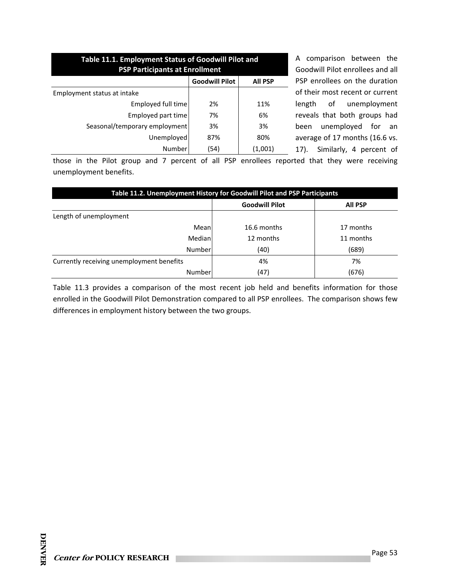| Table 11.1. Employment Status of Goodwill Pilot and<br><b>PSP Participants at Enrollment</b> |                       |                |  |
|----------------------------------------------------------------------------------------------|-----------------------|----------------|--|
|                                                                                              | <b>Goodwill Pilot</b> | <b>All PSP</b> |  |
| Employment status at intake                                                                  |                       |                |  |
| Employed full time                                                                           | 2%                    | 11%            |  |
| Employed part time                                                                           | 7%                    | 6%             |  |
| Seasonal/temporary employment                                                                | 3%                    | 3%             |  |
| Unemployed                                                                                   | 87%                   | 80%            |  |
| Number                                                                                       | (54)                  | (1,001)        |  |

A comparison between the Goodwill Pilot enrollees and all PSP enrollees on the duration of their most recent or current length of unemployment reveals that both groups had been unemployed for an average of 17 months (16.6 vs. 17). Similarly, 4 percent of

those in the Pilot group and 7 percent of all PSP enrollees reported that they were receiving unemployment benefits.

| Table 11.2. Unemployment History for Goodwill Pilot and PSP Participants |                       |                |  |  |
|--------------------------------------------------------------------------|-----------------------|----------------|--|--|
|                                                                          | <b>Goodwill Pilot</b> | <b>All PSP</b> |  |  |
| Length of unemployment                                                   |                       |                |  |  |
| Mean                                                                     | 16.6 months           | 17 months      |  |  |
| Median                                                                   | 12 months             | 11 months      |  |  |
| Number                                                                   | (40)                  | (689)          |  |  |
| Currently receiving unemployment benefits                                | 4%                    | 7%             |  |  |
| Number                                                                   | (47)                  | (676)          |  |  |

Table 11.3 provides a comparison of the most recent job held and benefits information for those enrolled in the Goodwill Pilot Demonstration compared to all PSP enrollees. The comparison shows few differences in employment history between the two groups.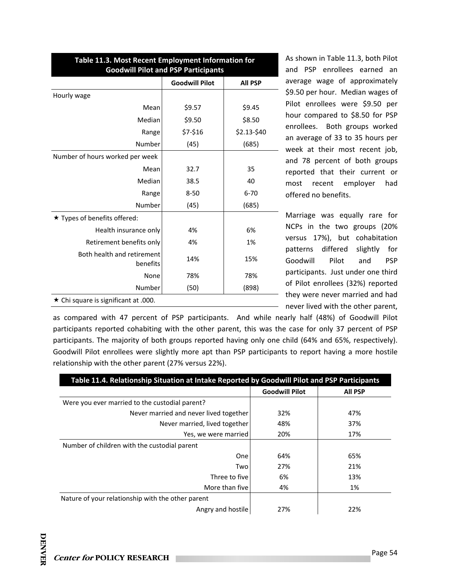| Table 11.3. Most Recent Employment Information for<br><b>Goodwill Pilot and PSP Participants</b> |                       |                |  |  |
|--------------------------------------------------------------------------------------------------|-----------------------|----------------|--|--|
|                                                                                                  | <b>Goodwill Pilot</b> | <b>All PSP</b> |  |  |
| Hourly wage                                                                                      |                       |                |  |  |
| Mean                                                                                             | \$9.57                | \$9.45         |  |  |
| Median                                                                                           | \$9.50                | \$8.50         |  |  |
| Range                                                                                            | \$7-\$16              | \$2.13-\$40    |  |  |
| Number                                                                                           | (45)                  | (685)          |  |  |
| Number of hours worked per week                                                                  |                       |                |  |  |
| Mean                                                                                             | 32.7                  | 35             |  |  |
| Median                                                                                           | 38.5                  | 40             |  |  |
| Range                                                                                            | $8 - 50$              | $6 - 70$       |  |  |
| Number                                                                                           | (45)                  | (685)          |  |  |
| ★ Types of benefits offered:                                                                     |                       |                |  |  |
| Health insurance only                                                                            | 4%                    | 6%             |  |  |
| Retirement benefits only                                                                         | 4%                    | 1%             |  |  |
| Both health and retirement<br>benefits                                                           | 14%                   | 15%            |  |  |
| None                                                                                             | 78%                   | 78%            |  |  |
| Number                                                                                           | (50)                  | (898)          |  |  |
| $\star$ Chi square is significant at .000.                                                       |                       |                |  |  |

As shown in Table 11.3, both Pilot and PSP enrollees earned an average wage of approximately \$9.50 per hour. Median wages of Pilot enrollees were \$9.50 per hour compared to \$8.50 for PSP enrollees. Both groups worked an average of 33 to 35 hours per week at their most recent job, and 78 percent of both groups reported that their current or most recent employer had offered no benefits.

Marriage was equally rare for NCPs in the two groups (20% versus 17%), but cohabitation patterns differed slightly for Goodwill Pilot and PSP participants. Just under one third of Pilot enrollees (32%) reported they were never married and had never lived with the other parent,

as compared with 47 percent of PSP participants. And while nearly half (48%) of Goodwill Pilot participants reported cohabiting with the other parent, this was the case for only 37 percent of PSP participants. The majority of both groups reported having only one child (64% and 65%, respectively). Goodwill Pilot enrollees were slightly more apt than PSP participants to report having a more hostile relationship with the other parent (27% versus 22%).

| Table 11.4. Relationship Situation at Intake Reported by Goodwill Pilot and PSP Participants |                       |                |  |
|----------------------------------------------------------------------------------------------|-----------------------|----------------|--|
|                                                                                              | <b>Goodwill Pilot</b> | <b>All PSP</b> |  |
| Were you ever married to the custodial parent?                                               |                       |                |  |
| Never married and never lived together                                                       | 32%                   | 47%            |  |
| Never married, lived together                                                                | 48%                   | 37%            |  |
| Yes, we were married                                                                         | 20%                   | 17%            |  |
| Number of children with the custodial parent                                                 |                       |                |  |
| <b>One</b>                                                                                   | 64%                   | 65%            |  |
| Two                                                                                          | 27%                   | 21%            |  |
| Three to five                                                                                | 6%                    | 13%            |  |
| More than five                                                                               | 4%                    | 1%             |  |
| Nature of your relationship with the other parent                                            |                       |                |  |
| Angry and hostile                                                                            | 27%                   | 22%            |  |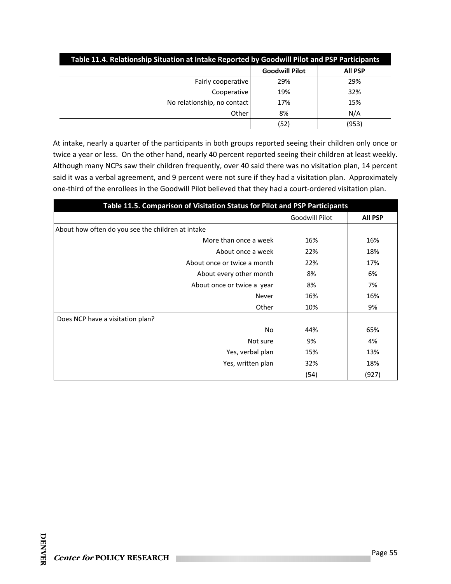| Table 11.4. Relationship Situation at Intake Reported by Goodwill Pilot and PSP Participants |                       |                |  |  |
|----------------------------------------------------------------------------------------------|-----------------------|----------------|--|--|
|                                                                                              | <b>Goodwill Pilot</b> | <b>All PSP</b> |  |  |
| Fairly cooperative                                                                           | 29%                   | 29%            |  |  |
| Cooperative                                                                                  | 19%                   | 32%            |  |  |
| No relationship, no contact                                                                  | 17%                   | 15%            |  |  |
| Other                                                                                        | 8%                    | N/A            |  |  |
|                                                                                              | (52)                  | (953)          |  |  |

At intake, nearly a quarter of the participants in both groups reported seeing their children only once or twice a year or less. On the other hand, nearly 40 percent reported seeing their children at least weekly. Although many NCPs saw their children frequently, over 40 said there was no visitation plan, 14 percent said it was a verbal agreement, and 9 percent were not sure if they had a visitation plan. Approximately one‐third of the enrollees in the Goodwill Pilot believed that they had a court‐ordered visitation plan.

| Table 11.5. Comparison of Visitation Status for Pilot and PSP Participants |                |                |  |
|----------------------------------------------------------------------------|----------------|----------------|--|
|                                                                            | Goodwill Pilot | <b>All PSP</b> |  |
| About how often do you see the children at intake                          |                |                |  |
| More than once a week                                                      | 16%            | 16%            |  |
| About once a week                                                          | 22%            | 18%            |  |
| About once or twice a month                                                | 22%            | 17%            |  |
| About every other month                                                    | 8%             | 6%             |  |
| About once or twice a year                                                 | 8%             | 7%             |  |
| Never                                                                      | 16%            | 16%            |  |
| Other                                                                      | 10%            | 9%             |  |
| Does NCP have a visitation plan?                                           |                |                |  |
| No                                                                         | 44%            | 65%            |  |
| Not sure                                                                   | 9%             | 4%             |  |
| Yes, verbal plan                                                           | 15%            | 13%            |  |
| Yes, written plan                                                          | 32%            | 18%            |  |
|                                                                            | (54)           | (927)          |  |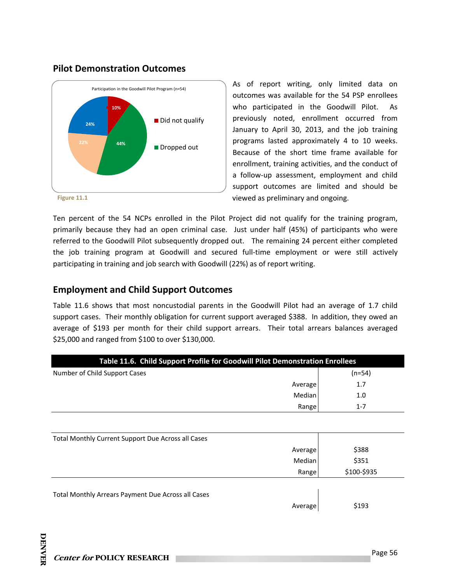#### **Pilot Demonstration Outcomes**



As of report writing, only limited data on outcomes was available for the 54 PSP enrollees who participated in the Goodwill Pilot. As previously noted, enrollment occurred from January to April 30, 2013, and the job training programs lasted approximately 4 to 10 weeks. Because of the short time frame available for enrollment, training activities, and the conduct of a follow‐up assessment, employment and child support outcomes are limited and should be viewed as preliminary and ongoing.

Ten percent of the 54 NCPs enrolled in the Pilot Project did not qualify for the training program, primarily because they had an open criminal case. Just under half (45%) of participants who were referred to the Goodwill Pilot subsequently dropped out. The remaining 24 percent either completed the job training program at Goodwill and secured full-time employment or were still actively participating in training and job search with Goodwill (22%) as of report writing.

#### **Employment and Child Support Outcomes**

Table 11.6 shows that most noncustodial parents in the Goodwill Pilot had an average of 1.7 child support cases. Their monthly obligation for current support averaged \$388. In addition, they owed an average of \$193 per month for their child support arrears. Their total arrears balances averaged \$25,000 and ranged from \$100 to over \$130,000.

| Table 11.6. Child Support Profile for Goodwill Pilot Demonstration Enrollees |             |  |  |
|------------------------------------------------------------------------------|-------------|--|--|
| Number of Child Support Cases                                                | $(n=54)$    |  |  |
| Average                                                                      | 1.7         |  |  |
| Median                                                                       | 1.0         |  |  |
| Range                                                                        | $1 - 7$     |  |  |
|                                                                              |             |  |  |
| Total Monthly Current Support Due Across all Cases                           |             |  |  |
| Average                                                                      | \$388       |  |  |
| Median                                                                       | \$351       |  |  |
| Range                                                                        | \$100-\$935 |  |  |
| Total Monthly Arrears Payment Due Across all Cases<br>Average                | \$193       |  |  |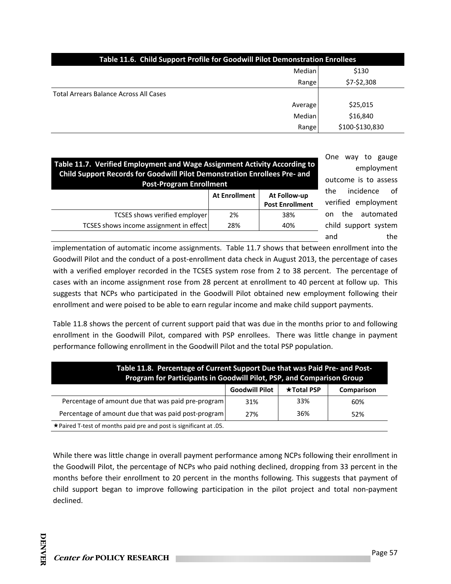| Table 11.6. Child Support Profile for Goodwill Pilot Demonstration Enrollees |                 |  |
|------------------------------------------------------------------------------|-----------------|--|
| Median                                                                       | \$130           |  |
| Range                                                                        | \$7-\$2,308     |  |
| <b>Total Arrears Balance Across All Cases</b>                                |                 |  |
| Average                                                                      | \$25,015        |  |
| Median                                                                       | \$16,840        |  |
| Range                                                                        | \$100-\$130,830 |  |

| Table 11.7. Verified Employment and Wage Assignment Activity According to<br>Child Support Records for Goodwill Pilot Demonstration Enrollees Pre- and<br><b>Post-Program Enrollment</b> |                      |                                        |  |
|------------------------------------------------------------------------------------------------------------------------------------------------------------------------------------------|----------------------|----------------------------------------|--|
|                                                                                                                                                                                          | <b>At Enrollment</b> | At Follow-up<br><b>Post Enrollment</b> |  |
| <b>TCSES</b> shows verified employer                                                                                                                                                     | 2%                   | 38%                                    |  |
| TCSES shows income assignment in effect                                                                                                                                                  | 28%                  | 40%                                    |  |
|                                                                                                                                                                                          |                      |                                        |  |

One way to gauge employment outcome is to assess the incidence of verified employment on the automated child support system and the

implementation of automatic income assignments. Table 11.7 shows that between enrollment into the Goodwill Pilot and the conduct of a post‐enrollment data check in August 2013, the percentage of cases with a verified employer recorded in the TCSES system rose from 2 to 38 percent. The percentage of cases with an income assignment rose from 28 percent at enrollment to 40 percent at follow up. This suggests that NCPs who participated in the Goodwill Pilot obtained new employment following their enrollment and were poised to be able to earn regular income and make child support payments.

Table 11.8 shows the percent of current support paid that was due in the months prior to and following enrollment in the Goodwill Pilot, compared with PSP enrollees. There was little change in payment performance following enrollment in the Goodwill Pilot and the total PSP population.

| Table 11.8. Percentage of Current Support Due that was Paid Pre- and Post-<br>Program for Participants in Goodwill Pilot, PSP, and Comparison Group |                       |                   |            |
|-----------------------------------------------------------------------------------------------------------------------------------------------------|-----------------------|-------------------|------------|
|                                                                                                                                                     | <b>Goodwill Pilot</b> | <b>★Total PSP</b> | Comparison |
| Percentage of amount due that was paid pre-program                                                                                                  | 31%                   | 33%               | 60%        |
| Percentage of amount due that was paid post-program                                                                                                 | 27%                   | 36%               | 52%        |
| ★ Paired T-test of months paid pre and post is significant at .05.                                                                                  |                       |                   |            |

While there was little change in overall payment performance among NCPs following their enrollment in the Goodwill Pilot, the percentage of NCPs who paid nothing declined, dropping from 33 percent in the months before their enrollment to 20 percent in the months following. This suggests that payment of child support began to improve following participation in the pilot project and total non‐payment declined.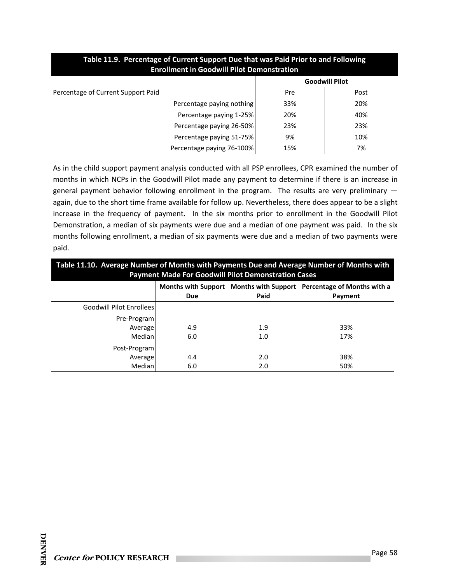| Enrollment in Goodwill Pilot Demonstration |                       |      |  |
|--------------------------------------------|-----------------------|------|--|
|                                            | <b>Goodwill Pilot</b> |      |  |
| Percentage of Current Support Paid         | Pre                   | Post |  |
| Percentage paying nothing                  | 33%                   | 20%  |  |
| Percentage paying 1-25%                    | 20%                   | 40%  |  |
| Percentage paying 26-50%                   | 23%                   | 23%  |  |
| Percentage paying 51-75%                   | 9%                    | 10%  |  |
| Percentage paying 76-100%                  | 15%                   | 7%   |  |

#### **Table 11.9. Percentage of Current Support Due that was Paid Prior to and Following Enrollment in Goodwill Pilot Demonstration**

As in the child support payment analysis conducted with all PSP enrollees, CPR examined the number of months in which NCPs in the Goodwill Pilot made any payment to determine if there is an increase in general payment behavior following enrollment in the program. The results are very preliminary again, due to the short time frame available for follow up. Nevertheless, there does appear to be a slight increase in the frequency of payment. In the six months prior to enrollment in the Goodwill Pilot Demonstration, a median of six payments were due and a median of one payment was paid. In the six months following enrollment, a median of six payments were due and a median of two payments were paid.

| Table 11.10. Average Number of Months with Payments Due and Average Number of Months with<br><b>Payment Made For Goodwill Pilot Demonstration Cases</b> |     |      |                                                                     |
|---------------------------------------------------------------------------------------------------------------------------------------------------------|-----|------|---------------------------------------------------------------------|
|                                                                                                                                                         |     |      | Months with Support Months with Support Percentage of Months with a |
|                                                                                                                                                         | Due | Paid | Payment                                                             |
| Goodwill Pilot Enrollees                                                                                                                                |     |      |                                                                     |
| Pre-Program                                                                                                                                             |     |      |                                                                     |
| Average                                                                                                                                                 | 4.9 | 1.9  | 33%                                                                 |
| Median                                                                                                                                                  | 6.0 | 1.0  | 17%                                                                 |
| Post-Program                                                                                                                                            |     |      |                                                                     |
| Average                                                                                                                                                 | 4.4 | 2.0  | 38%                                                                 |
| Median                                                                                                                                                  | 6.0 | 2.0  | 50%                                                                 |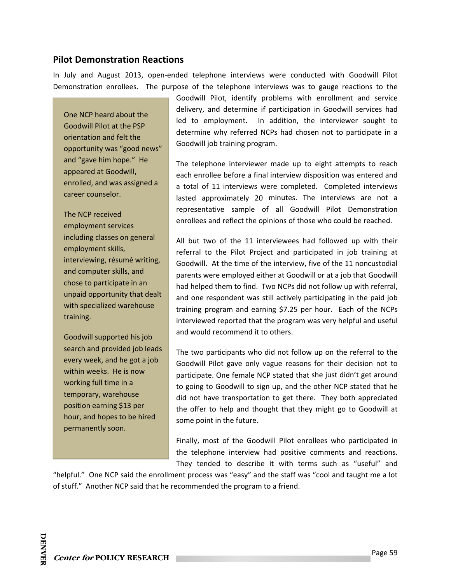#### **Pilot Demonstration Reactions**

In July and August 2013, open‐ended telephone interviews were conducted with Goodwill Pilot Demonstration enrollees. The purpose of the telephone interviews was to gauge reactions to the

One NCP heard about the Goodwill Pilot at the PSP orientation and felt the opportunity was "good news" and "gave him hope." He appeared at Goodwill, enrolled, and was assigned a career counselor.

The NCP received employment services including classes on general employment skills, interviewing, résumé writing, and computer skills, and chose to participate in an unpaid opportunity that dealt with specialized warehouse training.

Goodwill supported his job search and provided job leads every week, and he got a job within weeks. He is now working full time in a temporary, warehouse position earning \$13 per hour, and hopes to be hired permanently soon.

Goodwill Pilot, identify problems with enrollment and service delivery, and determine if participation in Goodwill services had led to employment. In addition, the interviewer sought to determine why referred NCPs had chosen not to participate in a Goodwill job training program.

The telephone interviewer made up to eight attempts to reach each enrollee before a final interview disposition was entered and a total of 11 interviews were completed. Completed interviews lasted approximately 20 minutes. The interviews are not a representative sample of all Goodwill Pilot Demonstration enrollees and reflect the opinions of those who could be reached.

All but two of the 11 interviewees had followed up with their referral to the Pilot Project and participated in job training at Goodwill. At the time of the interview, five of the 11 noncustodial parents were employed either at Goodwill or at a job that Goodwill had helped them to find. Two NCPs did not follow up with referral, and one respondent was still actively participating in the paid job training program and earning \$7.25 per hour. Each of the NCPs interviewed reported that the program was very helpful and useful and would recommend it to others.

The two participants who did not follow up on the referral to the Goodwill Pilot gave only vague reasons for their decision not to participate. One female NCP stated that she just didn't get around to going to Goodwill to sign up, and the other NCP stated that he did not have transportation to get there. They both appreciated the offer to help and thought that they might go to Goodwill at some point in the future.

Finally, most of the Goodwill Pilot enrollees who participated in the telephone interview had positive comments and reactions. They tended to describe it with terms such as "useful" and

"helpful." One NCP said the enrollment process was "easy" and the staff was "cool and taught me a lot of stuff." Another NCP said that he recommended the program to a friend.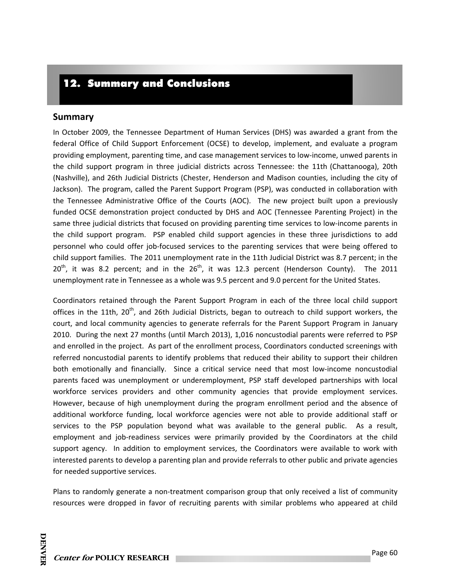# 12. Summary and Conclusions

#### **Summary**

In October 2009, the Tennessee Department of Human Services (DHS) was awarded a grant from the federal Office of Child Support Enforcement (OCSE) to develop, implement, and evaluate a program providing employment, parenting time, and case management services to low‐income, unwed parents in the child support program in three judicial districts across Tennessee: the 11th (Chattanooga), 20th (Nashville), and 26th Judicial Districts (Chester, Henderson and Madison counties, including the city of Jackson). The program, called the Parent Support Program (PSP), was conducted in collaboration with the Tennessee Administrative Office of the Courts (AOC). The new project built upon a previously funded OCSE demonstration project conducted by DHS and AOC (Tennessee Parenting Project) in the same three judicial districts that focused on providing parenting time services to low-income parents in the child support program. PSP enabled child support agencies in these three jurisdictions to add personnel who could offer job‐focused services to the parenting services that were being offered to child support families. The 2011 unemployment rate in the 11th Judicial District was 8.7 percent; in the  $20<sup>th</sup>$ , it was 8.2 percent; and in the  $26<sup>th</sup>$ , it was 12.3 percent (Henderson County). The 2011 unemployment rate in Tennessee as a whole was 9.5 percent and 9.0 percent for the United States.

Coordinators retained through the Parent Support Program in each of the three local child support offices in the 11th, 20<sup>th</sup>, and 26th Judicial Districts, began to outreach to child support workers, the court, and local community agencies to generate referrals for the Parent Support Program in January 2010. During the next 27 months (until March 2013), 1,016 noncustodial parents were referred to PSP and enrolled in the project. As part of the enrollment process, Coordinators conducted screenings with referred noncustodial parents to identify problems that reduced their ability to support their children both emotionally and financially. Since a critical service need that most low-income noncustodial parents faced was unemployment or underemployment, PSP staff developed partnerships with local workforce services providers and other community agencies that provide employment services. However, because of high unemployment during the program enrollment period and the absence of additional workforce funding, local workforce agencies were not able to provide additional staff or services to the PSP population beyond what was available to the general public. As a result, employment and job-readiness services were primarily provided by the Coordinators at the child support agency. In addition to employment services, the Coordinators were available to work with interested parents to develop a parenting plan and provide referrals to other public and private agencies for needed supportive services.

Plans to randomly generate a non-treatment comparison group that only received a list of community resources were dropped in favor of recruiting parents with similar problems who appeared at child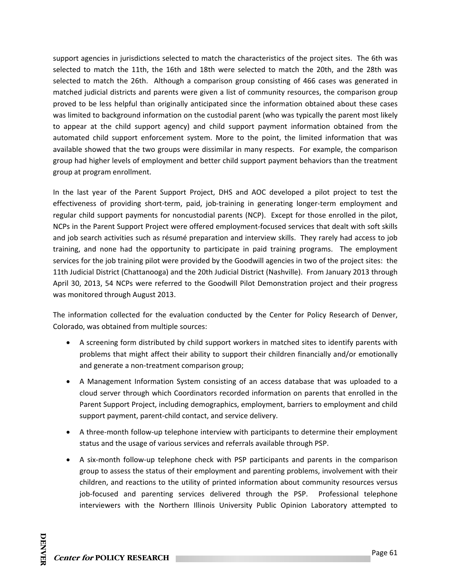support agencies in jurisdictions selected to match the characteristics of the project sites. The 6th was selected to match the 11th, the 16th and 18th were selected to match the 20th, and the 28th was selected to match the 26th. Although a comparison group consisting of 466 cases was generated in matched judicial districts and parents were given a list of community resources, the comparison group proved to be less helpful than originally anticipated since the information obtained about these cases was limited to background information on the custodial parent (who was typically the parent most likely to appear at the child support agency) and child support payment information obtained from the automated child support enforcement system. More to the point, the limited information that was available showed that the two groups were dissimilar in many respects. For example, the comparison group had higher levels of employment and better child support payment behaviors than the treatment group at program enrollment.

In the last year of the Parent Support Project, DHS and AOC developed a pilot project to test the effectiveness of providing short-term, paid, job-training in generating longer-term employment and regular child support payments for noncustodial parents (NCP). Except for those enrolled in the pilot, NCPs in the Parent Support Project were offered employment‐focused services that dealt with soft skills and job search activities such as résumé preparation and interview skills. They rarely had access to job training, and none had the opportunity to participate in paid training programs. The employment services for the job training pilot were provided by the Goodwill agencies in two of the project sites: the 11th Judicial District (Chattanooga) and the 20th Judicial District (Nashville). From January 2013 through April 30, 2013, 54 NCPs were referred to the Goodwill Pilot Demonstration project and their progress was monitored through August 2013.

The information collected for the evaluation conducted by the Center for Policy Research of Denver, Colorado, was obtained from multiple sources:

- A screening form distributed by child support workers in matched sites to identify parents with problems that might affect their ability to support their children financially and/or emotionally and generate a non-treatment comparison group;
- A Management Information System consisting of an access database that was uploaded to a cloud server through which Coordinators recorded information on parents that enrolled in the Parent Support Project, including demographics, employment, barriers to employment and child support payment, parent‐child contact, and service delivery.
- A three-month follow-up telephone interview with participants to determine their employment status and the usage of various services and referrals available through PSP.
- A six‐month follow‐up telephone check with PSP participants and parents in the comparison group to assess the status of their employment and parenting problems, involvement with their children, and reactions to the utility of printed information about community resources versus job-focused and parenting services delivered through the PSP. Professional telephone interviewers with the Northern Illinois University Public Opinion Laboratory attempted to

**DENVER** 

**DENVER**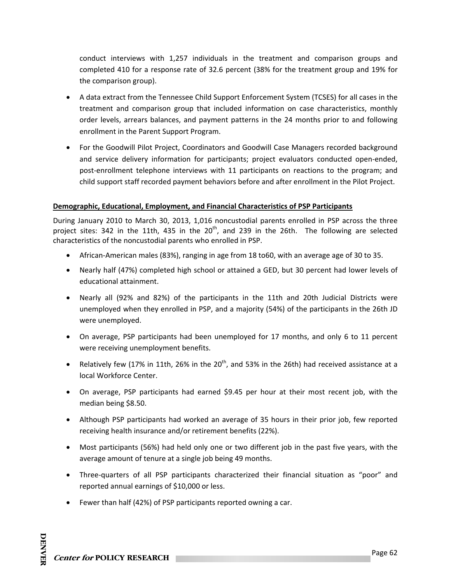conduct interviews with 1,257 individuals in the treatment and comparison groups and completed 410 for a response rate of 32.6 percent (38% for the treatment group and 19% for the comparison group).

- A data extract from the Tennessee Child Support Enforcement System (TCSES) for all cases in the treatment and comparison group that included information on case characteristics, monthly order levels, arrears balances, and payment patterns in the 24 months prior to and following enrollment in the Parent Support Program.
- For the Goodwill Pilot Project, Coordinators and Goodwill Case Managers recorded background and service delivery information for participants; project evaluators conducted open-ended, post-enrollment telephone interviews with 11 participants on reactions to the program; and child support staff recorded payment behaviors before and after enrollment in the Pilot Project.

#### **Demographic, Educational, Employment, and Financial Characteristics of PSP Participants**

During January 2010 to March 30, 2013, 1,016 noncustodial parents enrolled in PSP across the three project sites: 342 in the 11th, 435 in the  $20<sup>th</sup>$ , and 239 in the 26th. The following are selected characteristics of the noncustodial parents who enrolled in PSP.

- African‐American males (83%), ranging in age from 18 to60, with an average age of 30 to 35.
- Nearly half (47%) completed high school or attained a GED, but 30 percent had lower levels of educational attainment.
- Nearly all (92% and 82%) of the participants in the 11th and 20th Judicial Districts were unemployed when they enrolled in PSP, and a majority (54%) of the participants in the 26th JD were unemployed.
- On average, PSP participants had been unemployed for 17 months, and only 6 to 11 percent were receiving unemployment benefits.
- Relatively few (17% in 11th, 26% in the 20<sup>th</sup>, and 53% in the 26th) had received assistance at a local Workforce Center.
- On average, PSP participants had earned \$9.45 per hour at their most recent job, with the median being \$8.50.
- Although PSP participants had worked an average of 35 hours in their prior job, few reported receiving health insurance and/or retirement benefits (22%).
- Most participants (56%) had held only one or two different job in the past five years, with the average amount of tenure at a single job being 49 months.
- Three-quarters of all PSP participants characterized their financial situation as "poor" and reported annual earnings of \$10,000 or less.
- Fewer than half (42%) of PSP participants reported owning a car.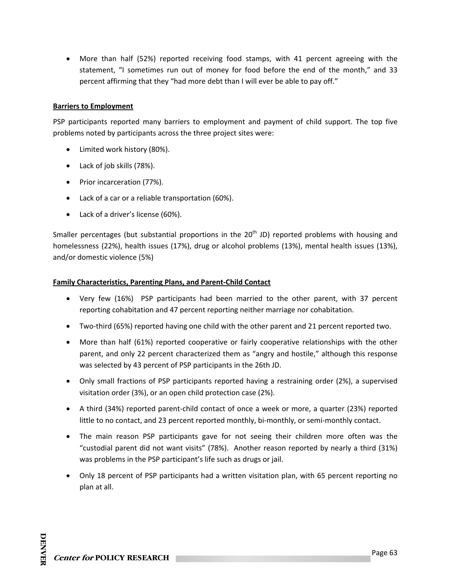More than half (52%) reported receiving food stamps, with 41 percent agreeing with the statement, "I sometimes run out of money for food before the end of the month," and 33 percent affirming that they "had more debt than I will ever be able to pay off."

#### **Barriers to Employment**

PSP participants reported many barriers to employment and payment of child support. The top five problems noted by participants across the three project sites were:

- Limited work history (80%).
- Lack of job skills (78%).
- Prior incarceration (77%).
- Lack of a car or a reliable transportation (60%).
- Lack of a driver's license (60%).

Smaller percentages (but substantial proportions in the 20<sup>th</sup> JD) reported problems with housing and homelessness (22%), health issues (17%), drug or alcohol problems (13%), mental health issues (13%), and/or domestic violence (5%)

#### **Family Characteristics, Parenting Plans, and Parent‐Child Contact**

- Very few (16%) PSP participants had been married to the other parent, with 37 percent reporting cohabitation and 47 percent reporting neither marriage nor cohabitation.
- Two-third (65%) reported having one child with the other parent and 21 percent reported two.
- More than half (61%) reported cooperative or fairly cooperative relationships with the other parent, and only 22 percent characterized them as "angry and hostile," although this response was selected by 43 percent of PSP participants in the 26th JD.
- Only small fractions of PSP participants reported having a restraining order (2%), a supervised visitation order (3%), or an open child protection case (2%).
- A third (34%) reported parent‐child contact of once a week or more, a quarter (23%) reported little to no contact, and 23 percent reported monthly, bi‐monthly, or semi‐monthly contact.
- The main reason PSP participants gave for not seeing their children more often was the "custodial parent did not want visits" (78%). Another reason reported by nearly a third (31%) was problems in the PSP participant's life such as drugs or jail.
- Only 18 percent of PSP participants had a written visitation plan, with 65 percent reporting no plan at all.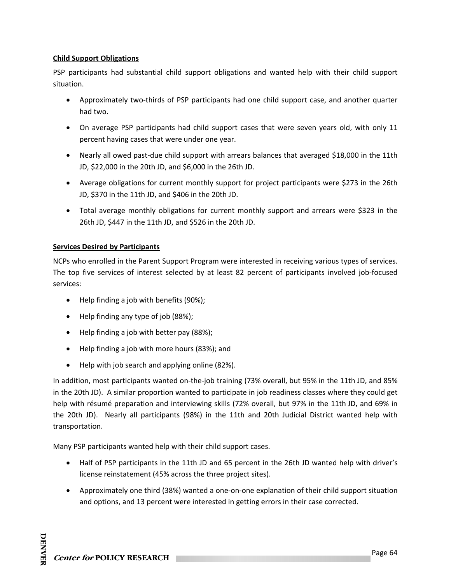#### **Child Support Obligations**

PSP participants had substantial child support obligations and wanted help with their child support situation.

- Approximately two-thirds of PSP participants had one child support case, and another quarter had two.
- On average PSP participants had child support cases that were seven years old, with only 11 percent having cases that were under one year.
- Nearly all owed past-due child support with arrears balances that averaged \$18,000 in the 11th JD, \$22,000 in the 20th JD, and \$6,000 in the 26th JD.
- Average obligations for current monthly support for project participants were \$273 in the 26th JD, \$370 in the 11th JD, and \$406 in the 20th JD.
- Total average monthly obligations for current monthly support and arrears were \$323 in the 26th JD, \$447 in the 11th JD, and \$526 in the 20th JD.

### **Services Desired by Participants**

NCPs who enrolled in the Parent Support Program were interested in receiving various types of services. The top five services of interest selected by at least 82 percent of participants involved job‐focused services:

- Help finding a job with benefits (90%);
- Help finding any type of job (88%);
- Help finding a job with better pay (88%);
- Help finding a job with more hours (83%); and
- Help with job search and applying online (82%).

In addition, most participants wanted on-the-job training (73% overall, but 95% in the 11th JD, and 85% in the 20th JD). A similar proportion wanted to participate in job readiness classes where they could get help with résumé preparation and interviewing skills (72% overall, but 97% in the 11th JD, and 69% in the 20th JD). Nearly all participants (98%) in the 11th and 20th Judicial District wanted help with transportation.

Many PSP participants wanted help with their child support cases.

- Half of PSP participants in the 11th JD and 65 percent in the 26th JD wanted help with driver's license reinstatement (45% across the three project sites).
- Approximately one third (38%) wanted a one-on-one explanation of their child support situation and options, and 13 percent were interested in getting errors in their case corrected.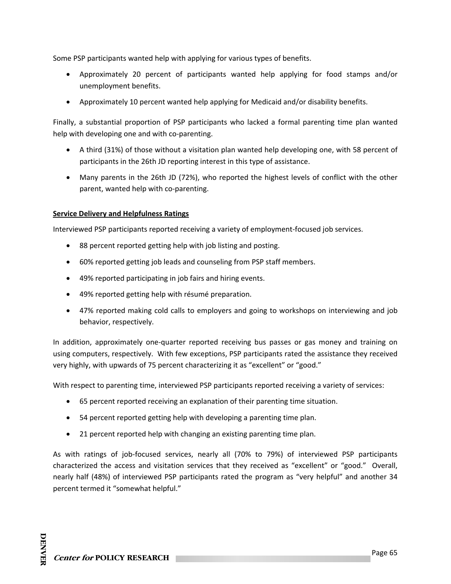Some PSP participants wanted help with applying for various types of benefits.

- Approximately 20 percent of participants wanted help applying for food stamps and/or unemployment benefits.
- Approximately 10 percent wanted help applying for Medicaid and/or disability benefits.

Finally, a substantial proportion of PSP participants who lacked a formal parenting time plan wanted help with developing one and with co-parenting.

- A third (31%) of those without a visitation plan wanted help developing one, with 58 percent of participants in the 26th JD reporting interest in this type of assistance.
- Many parents in the 26th JD (72%), who reported the highest levels of conflict with the other parent, wanted help with co‐parenting.

#### **Service Delivery and Helpfulness Ratings**

Interviewed PSP participants reported receiving a variety of employment‐focused job services.

- 88 percent reported getting help with job listing and posting.
- 60% reported getting job leads and counseling from PSP staff members.
- 49% reported participating in job fairs and hiring events.
- 49% reported getting help with résumé preparation.
- 47% reported making cold calls to employers and going to workshops on interviewing and job behavior, respectively.

In addition, approximately one‐quarter reported receiving bus passes or gas money and training on using computers, respectively. With few exceptions, PSP participants rated the assistance they received very highly, with upwards of 75 percent characterizing it as "excellent" or "good."

With respect to parenting time, interviewed PSP participants reported receiving a variety of services:

- 65 percent reported receiving an explanation of their parenting time situation.
- 54 percent reported getting help with developing a parenting time plan.
- 21 percent reported help with changing an existing parenting time plan.

As with ratings of job‐focused services, nearly all (70% to 79%) of interviewed PSP participants characterized the access and visitation services that they received as "excellent" or "good." Overall, nearly half (48%) of interviewed PSP participants rated the program as "very helpful" and another 34 percent termed it "somewhat helpful."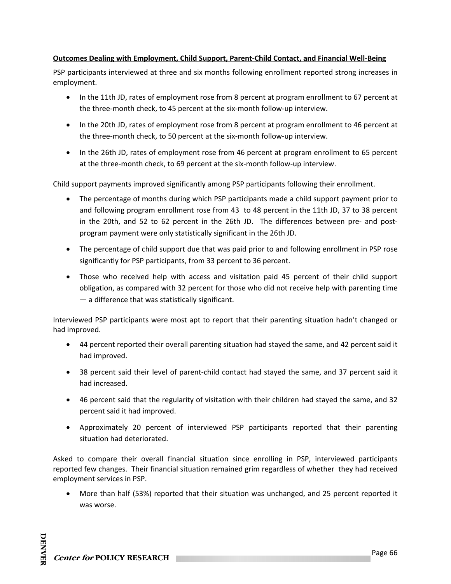#### **Outcomes Dealing with Employment, Child Support, Parent‐Child Contact, and Financial Well‐Being**

PSP participants interviewed at three and six months following enrollment reported strong increases in employment.

- In the 11th JD, rates of employment rose from 8 percent at program enrollment to 67 percent at the three‐month check, to 45 percent at the six‐month follow‐up interview.
- In the 20th JD, rates of employment rose from 8 percent at program enrollment to 46 percent at the three‐month check, to 50 percent at the six‐month follow‐up interview.
- In the 26th JD, rates of employment rose from 46 percent at program enrollment to 65 percent at the three‐month check, to 69 percent at the six‐month follow‐up interview.

Child support payments improved significantly among PSP participants following their enrollment.

- The percentage of months during which PSP participants made a child support payment prior to and following program enrollment rose from 43 to 48 percent in the 11th JD, 37 to 38 percent in the 20th, and 52 to 62 percent in the 26th JD. The differences between pre- and postprogram payment were only statistically significant in the 26th JD.
- The percentage of child support due that was paid prior to and following enrollment in PSP rose significantly for PSP participants, from 33 percent to 36 percent.
- Those who received help with access and visitation paid 45 percent of their child support obligation, as compared with 32 percent for those who did not receive help with parenting time — a difference that was statistically significant.

Interviewed PSP participants were most apt to report that their parenting situation hadn't changed or had improved.

- 44 percent reported their overall parenting situation had stayed the same, and 42 percent said it had improved.
- 38 percent said their level of parent-child contact had stayed the same, and 37 percent said it had increased.
- 46 percent said that the regularity of visitation with their children had stayed the same, and 32 percent said it had improved.
- Approximately 20 percent of interviewed PSP participants reported that their parenting situation had deteriorated.

Asked to compare their overall financial situation since enrolling in PSP, interviewed participants reported few changes. Their financial situation remained grim regardless of whether they had received employment services in PSP.

 More than half (53%) reported that their situation was unchanged, and 25 percent reported it was worse.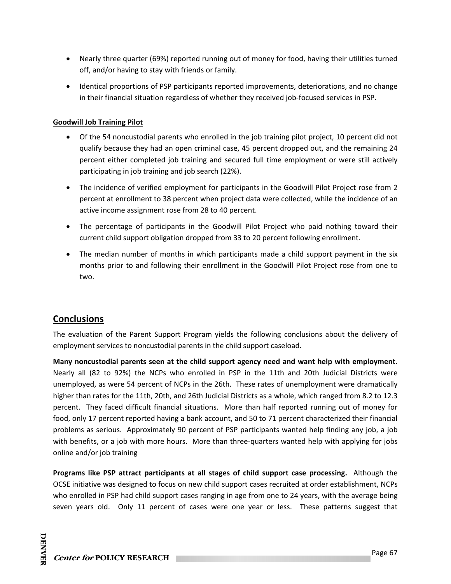- Nearly three quarter (69%) reported running out of money for food, having their utilities turned off, and/or having to stay with friends or family.
- Identical proportions of PSP participants reported improvements, deteriorations, and no change in their financial situation regardless of whether they received job-focused services in PSP.

## **Goodwill Job Training Pilot**

- Of the 54 noncustodial parents who enrolled in the job training pilot project, 10 percent did not qualify because they had an open criminal case, 45 percent dropped out, and the remaining 24 percent either completed job training and secured full time employment or were still actively participating in job training and job search (22%).
- The incidence of verified employment for participants in the Goodwill Pilot Project rose from 2 percent at enrollment to 38 percent when project data were collected, while the incidence of an active income assignment rose from 28 to 40 percent.
- The percentage of participants in the Goodwill Pilot Project who paid nothing toward their current child support obligation dropped from 33 to 20 percent following enrollment.
- The median number of months in which participants made a child support payment in the six months prior to and following their enrollment in the Goodwill Pilot Project rose from one to two.

# **Conclusions**

The evaluation of the Parent Support Program yields the following conclusions about the delivery of employment services to noncustodial parents in the child support caseload.

**Many noncustodial parents seen at the child support agency need and want help with employment.** Nearly all (82 to 92%) the NCPs who enrolled in PSP in the 11th and 20th Judicial Districts were unemployed, as were 54 percent of NCPs in the 26th. These rates of unemployment were dramatically higher than rates for the 11th, 20th, and 26th Judicial Districts as a whole, which ranged from 8.2 to 12.3 percent. They faced difficult financial situations. More than half reported running out of money for food, only 17 percent reported having a bank account, and 50 to 71 percent characterized their financial problems as serious. Approximately 90 percent of PSP participants wanted help finding any job, a job with benefits, or a job with more hours. More than three-quarters wanted help with applying for jobs online and/or job training

**Programs like PSP attract participants at all stages of child support case processing.**  Although the OCSE initiative was designed to focus on new child support cases recruited at order establishment, NCPs who enrolled in PSP had child support cases ranging in age from one to 24 years, with the average being seven years old. Only 11 percent of cases were one year or less. These patterns suggest that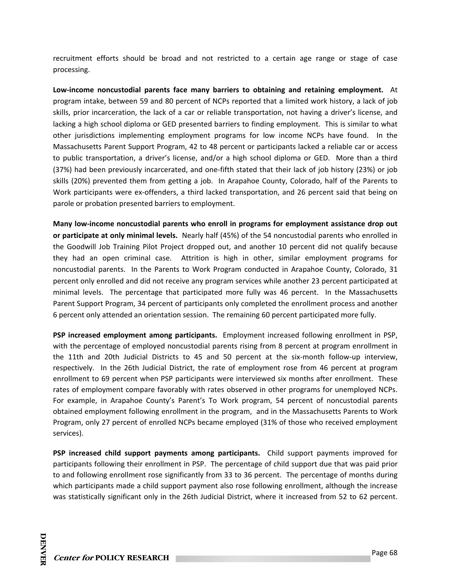recruitment efforts should be broad and not restricted to a certain age range or stage of case processing.

**Low‐income noncustodial parents face many barriers to obtaining and retaining employment.**  At program intake, between 59 and 80 percent of NCPs reported that a limited work history, a lack of job skills, prior incarceration, the lack of a car or reliable transportation, not having a driver's license, and lacking a high school diploma or GED presented barriers to finding employment. This is similar to what other jurisdictions implementing employment programs for low income NCPs have found. In the Massachusetts Parent Support Program, 42 to 48 percent or participants lacked a reliable car or access to public transportation, a driver's license, and/or a high school diploma or GED. More than a third (37%) had been previously incarcerated, and one‐fifth stated that their lack of job history (23%) or job skills (20%) prevented them from getting a job. In Arapahoe County, Colorado, half of the Parents to Work participants were ex‐offenders, a third lacked transportation, and 26 percent said that being on parole or probation presented barriers to employment.

**Many low‐income noncustodial parents who enroll in programs for employment assistance drop out or participate at only minimal levels.** Nearly half (45%) of the 54 noncustodial parents who enrolled in the Goodwill Job Training Pilot Project dropped out, and another 10 percent did not qualify because they had an open criminal case. Attrition is high in other, similar employment programs for noncustodial parents. In the Parents to Work Program conducted in Arapahoe County, Colorado, 31 percent only enrolled and did not receive any program services while another 23 percent participated at minimal levels. The percentage that participated more fully was 46 percent. In the Massachusetts Parent Support Program, 34 percent of participants only completed the enrollment process and another 6 percent only attended an orientation session. The remaining 60 percent participated more fully.

**PSP increased employment among participants.** Employment increased following enrollment in PSP, with the percentage of employed noncustodial parents rising from 8 percent at program enrollment in the 11th and 20th Judicial Districts to 45 and 50 percent at the six-month follow-up interview, respectively. In the 26th Judicial District, the rate of employment rose from 46 percent at program enrollment to 69 percent when PSP participants were interviewed six months after enrollment. These rates of employment compare favorably with rates observed in other programs for unemployed NCPs. For example, in Arapahoe County's Parent's To Work program, 54 percent of noncustodial parents obtained employment following enrollment in the program, and in the Massachusetts Parents to Work Program, only 27 percent of enrolled NCPs became employed (31% of those who received employment services).

**PSP increased child support payments among participants.**  Child support payments improved for participants following their enrollment in PSP. The percentage of child support due that was paid prior to and following enrollment rose significantly from 33 to 36 percent. The percentage of months during which participants made a child support payment also rose following enrollment, although the increase was statistically significant only in the 26th Judicial District, where it increased from 52 to 62 percent.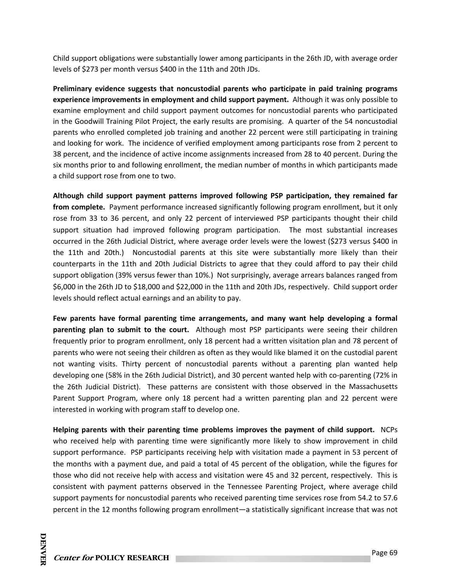Child support obligations were substantially lower among participants in the 26th JD, with average order levels of \$273 per month versus \$400 in the 11th and 20th JDs.

**Preliminary evidence suggests that noncustodial parents who participate in paid training programs experience improvements in employment and child support payment.** Although it was only possible to examine employment and child support payment outcomes for noncustodial parents who participated in the Goodwill Training Pilot Project, the early results are promising. A quarter of the 54 noncustodial parents who enrolled completed job training and another 22 percent were still participating in training and looking for work. The incidence of verified employment among participants rose from 2 percent to 38 percent, and the incidence of active income assignments increased from 28 to 40 percent. During the six months prior to and following enrollment, the median number of months in which participants made a child support rose from one to two.

**Although child support payment patterns improved following PSP participation, they remained far from complete.** Payment performance increased significantly following program enrollment, but it only rose from 33 to 36 percent, and only 22 percent of interviewed PSP participants thought their child support situation had improved following program participation. The most substantial increases occurred in the 26th Judicial District, where average order levels were the lowest (\$273 versus \$400 in the 11th and 20th.) Noncustodial parents at this site were substantially more likely than their counterparts in the 11th and 20th Judicial Districts to agree that they could afford to pay their child support obligation (39% versus fewer than 10%.) Not surprisingly, average arrears balances ranged from \$6,000 in the 26th JD to \$18,000 and \$22,000 in the 11th and 20th JDs, respectively. Child support order levels should reflect actual earnings and an ability to pay.

**Few parents have formal parenting time arrangements, and many want help developing a formal parenting plan to submit to the court.**  Although most PSP participants were seeing their children frequently prior to program enrollment, only 18 percent had a written visitation plan and 78 percent of parents who were not seeing their children as often as they would like blamed it on the custodial parent not wanting visits. Thirty percent of noncustodial parents without a parenting plan wanted help developing one (58% in the 26th Judicial District), and 30 percent wanted help with co-parenting (72% in the 26th Judicial District). These patterns are consistent with those observed in the Massachusetts Parent Support Program, where only 18 percent had a written parenting plan and 22 percent were interested in working with program staff to develop one.

**Helping parents with their parenting time problems improves the payment of child support.** NCPs who received help with parenting time were significantly more likely to show improvement in child support performance. PSP participants receiving help with visitation made a payment in 53 percent of the months with a payment due, and paid a total of 45 percent of the obligation, while the figures for those who did not receive help with access and visitation were 45 and 32 percent, respectively. This is consistent with payment patterns observed in the Tennessee Parenting Project, where average child support payments for noncustodial parents who received parenting time services rose from 54.2 to 57.6 percent in the 12 months following program enrollment—a statistically significant increase that was not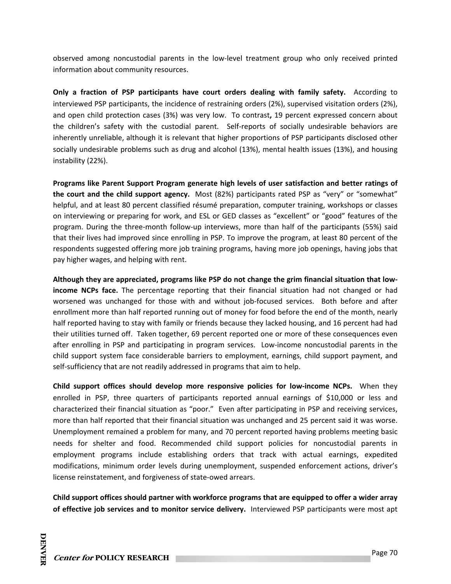observed among noncustodial parents in the low‐level treatment group who only received printed information about community resources.

**Only a fraction of PSP participants have court orders dealing with family safety.**  According to interviewed PSP participants, the incidence of restraining orders (2%), supervised visitation orders (2%), and open child protection cases (3%) was very low. To contrast**,** 19 percent expressed concern about the children's safety with the custodial parent. Self‐reports of socially undesirable behaviors are inherently unreliable, although it is relevant that higher proportions of PSP participants disclosed other socially undesirable problems such as drug and alcohol (13%), mental health issues (13%), and housing instability (22%).

**Programs like Parent Support Program generate high levels of user satisfaction and better ratings of the court and the child support agency.** Most (82%) participants rated PSP as "very" or "somewhat" helpful, and at least 80 percent classified résumé preparation, computer training, workshops or classes on interviewing or preparing for work, and ESL or GED classes as "excellent" or "good" features of the program. During the three‐month follow‐up interviews, more than half of the participants (55%) said that their lives had improved since enrolling in PSP. To improve the program, at least 80 percent of the respondents suggested offering more job training programs, having more job openings, having jobs that pay higher wages, and helping with rent.

**Although they are appreciated, programs like PSP do not change the grim financial situation that low‐ income NCPs face.** The percentage reporting that their financial situation had not changed or had worsened was unchanged for those with and without job-focused services. Both before and after enrollment more than half reported running out of money for food before the end of the month, nearly half reported having to stay with family or friends because they lacked housing, and 16 percent had had their utilities turned off. Taken together, 69 percent reported one or more of these consequences even after enrolling in PSP and participating in program services. Low-income noncustodial parents in the child support system face considerable barriers to employment, earnings, child support payment, and self-sufficiency that are not readily addressed in programs that aim to help.

**Child support offices should develop more responsive policies for low‐income NCPs.**  When they enrolled in PSP, three quarters of participants reported annual earnings of \$10,000 or less and characterized their financial situation as "poor." Even after participating in PSP and receiving services, more than half reported that their financial situation was unchanged and 25 percent said it was worse. Unemployment remained a problem for many, and 70 percent reported having problems meeting basic needs for shelter and food. Recommended child support policies for noncustodial parents in employment programs include establishing orders that track with actual earnings, expedited modifications, minimum order levels during unemployment, suspended enforcement actions, driver's license reinstatement, and forgiveness of state‐owed arrears.

**Child support offices should partner with workforce programs that are equipped to offer a wider array of effective job services and to monitor service delivery.** Interviewed PSP participants were most apt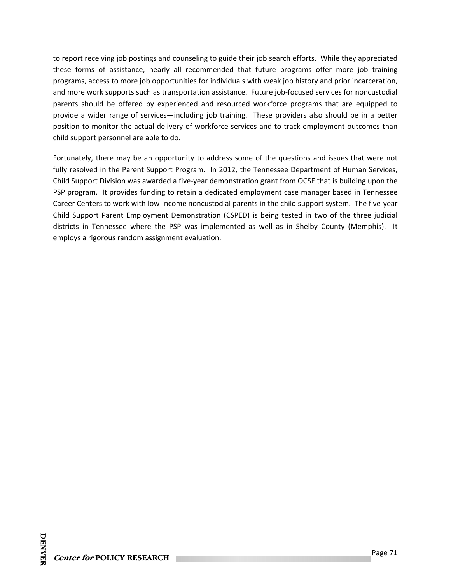to report receiving job postings and counseling to guide their job search efforts. While they appreciated these forms of assistance, nearly all recommended that future programs offer more job training programs, access to more job opportunities for individuals with weak job history and prior incarceration, and more work supports such as transportation assistance. Future job-focused services for noncustodial parents should be offered by experienced and resourced workforce programs that are equipped to provide a wider range of services—including job training. These providers also should be in a better position to monitor the actual delivery of workforce services and to track employment outcomes than child support personnel are able to do.

Fortunately, there may be an opportunity to address some of the questions and issues that were not fully resolved in the Parent Support Program. In 2012, the Tennessee Department of Human Services, Child Support Division was awarded a five‐year demonstration grant from OCSE that is building upon the PSP program. It provides funding to retain a dedicated employment case manager based in Tennessee Career Centers to work with low‐income noncustodial parents in the child support system. The five‐year Child Support Parent Employment Demonstration (CSPED) is being tested in two of the three judicial districts in Tennessee where the PSP was implemented as well as in Shelby County (Memphis). It employs a rigorous random assignment evaluation.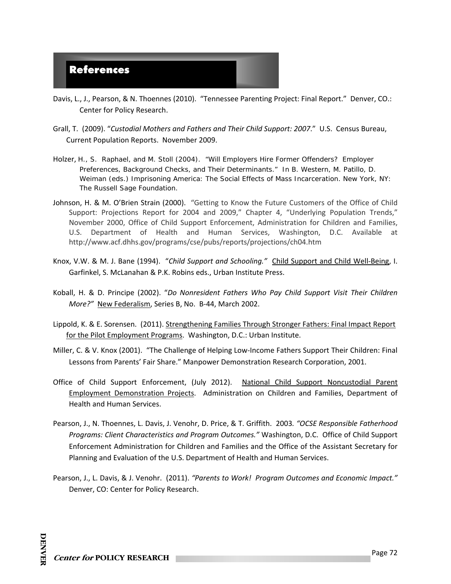

- Davis, L., J., Pearson, & N. Thoennes (2010). "Tennessee Parenting Project: Final Report." Denver, CO.: Center for Policy Research.
- Grall, T. (2009). "*Custodial Mothers and Fathers and Their Child Support: 2007*." U.S. Census Bureau, Current Population Reports. November 2009.
- Holzer, H., S. Raphael, and M. Stoll (2004). "Will Employers Hire Former Offenders? Employer Preferences, Background Checks, and Their Determinants." In B. Western, M. Patillo, D. Weiman (eds.) *Imprisoning America: The Social Effects of Mass Incarceration.* New York, NY: The Russell Sage Foundation.
- Johnson, H. & M. O'Brien Strain (2000). "Getting to Know the Future Customers of the Office of Child Support: Projections Report for 2004 and 2009," Chapter 4, "Underlying Population Trends," November 2000, Office of Child Support Enforcement, Administration for Children and Families, U.S. Department of Health and Human Services, Washington, D.C. Available at http://www.acf.dhhs.gov/programs/cse/pubs/reports/projections/ch04.htm
- Knox, V.W. & M. J. Bane (1994). "*Child Support and Schooling."* Child Support and Child Well‐Being, I. Garfinkel, S. McLanahan & P.K. Robins eds., Urban Institute Press.
- Koball, H. & D. Principe (2002). "*Do Nonresident Fathers Who Pay Child Support Visit Their Children More?"* New Federalism, Series B, No. B‐44, March 2002.
- Lippold, K. & E. Sorensen. (2011). Strengthening Families Through Stronger Fathers: Final Impact Report for the Pilot Employment Programs. Washington, D.C.: Urban Institute.
- Miller, C. & V. Knox (2001). "The Challenge of Helping Low‐Income Fathers Support Their Children: Final Lessons from Parents' Fair Share." Manpower Demonstration Research Corporation, 2001.
- Office of Child Support Enforcement, (July 2012). National Child Support Noncustodial Parent Employment Demonstration Projects. Administration on Children and Families, Department of Health and Human Services.
- Pearson, J., N. Thoennes, L. Davis, J. Venohr, D. Price, & T. Griffith. 2003*. "OCSE Responsible Fatherhood Programs: Client Characteristics and Program Outcomes."* Washington, D.C. Office of Child Support Enforcement Administration for Children and Families and the Office of the Assistant Secretary for Planning and Evaluation of the U.S. Department of Health and Human Services.
- Pearson, J., L. Davis, & J. Venohr. (2011). *"Parents to Work! Program Outcomes and Economic Impact."*  Denver, CO: Center for Policy Research.